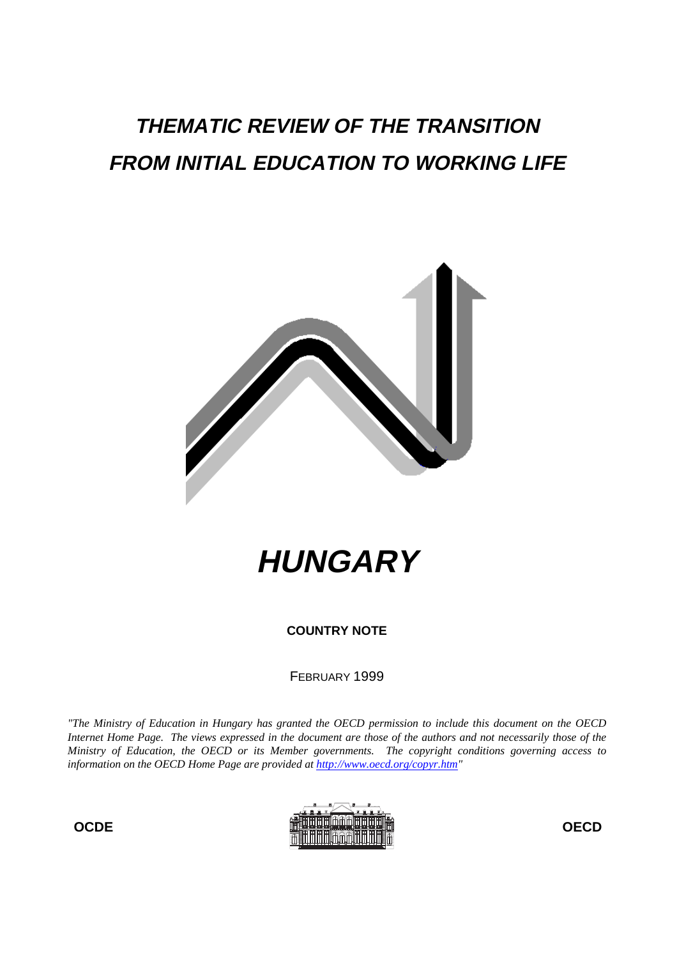# **THEMATIC REVIEW OF THE TRANSITION FROM INITIAL EDUCATION TO WORKING LIFE**



**HUNGARY**

**COUNTRY NOTE**

FEBRUARY 1999

*"The Ministry of Education in Hungary has granted the OECD permission to include this document on the OECD Internet Home Page. The views expressed in the document are those of the authors and not necessarily those of the Ministry of Education, the OECD or its Member governments. The copyright conditions governing access to information on the OECD Home Page are provided at http://www.oecd.org/copyr.htm"*



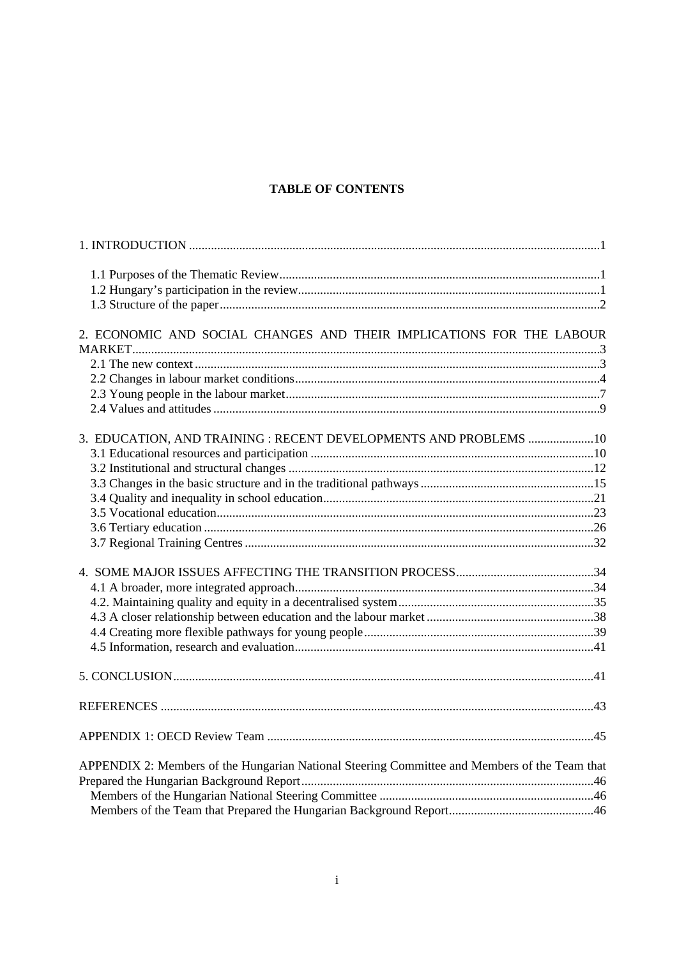# **TABLE OF CONTENTS**

| 2. ECONOMIC AND SOCIAL CHANGES AND THEIR IMPLICATIONS FOR THE LABOUR                          |  |
|-----------------------------------------------------------------------------------------------|--|
|                                                                                               |  |
|                                                                                               |  |
|                                                                                               |  |
|                                                                                               |  |
|                                                                                               |  |
|                                                                                               |  |
| 3. EDUCATION, AND TRAINING : RECENT DEVELOPMENTS AND PROBLEMS 10                              |  |
|                                                                                               |  |
|                                                                                               |  |
|                                                                                               |  |
|                                                                                               |  |
|                                                                                               |  |
|                                                                                               |  |
|                                                                                               |  |
|                                                                                               |  |
|                                                                                               |  |
|                                                                                               |  |
|                                                                                               |  |
|                                                                                               |  |
|                                                                                               |  |
|                                                                                               |  |
|                                                                                               |  |
|                                                                                               |  |
|                                                                                               |  |
|                                                                                               |  |
| APPENDIX 2: Members of the Hungarian National Steering Committee and Members of the Team that |  |
|                                                                                               |  |
|                                                                                               |  |
|                                                                                               |  |
|                                                                                               |  |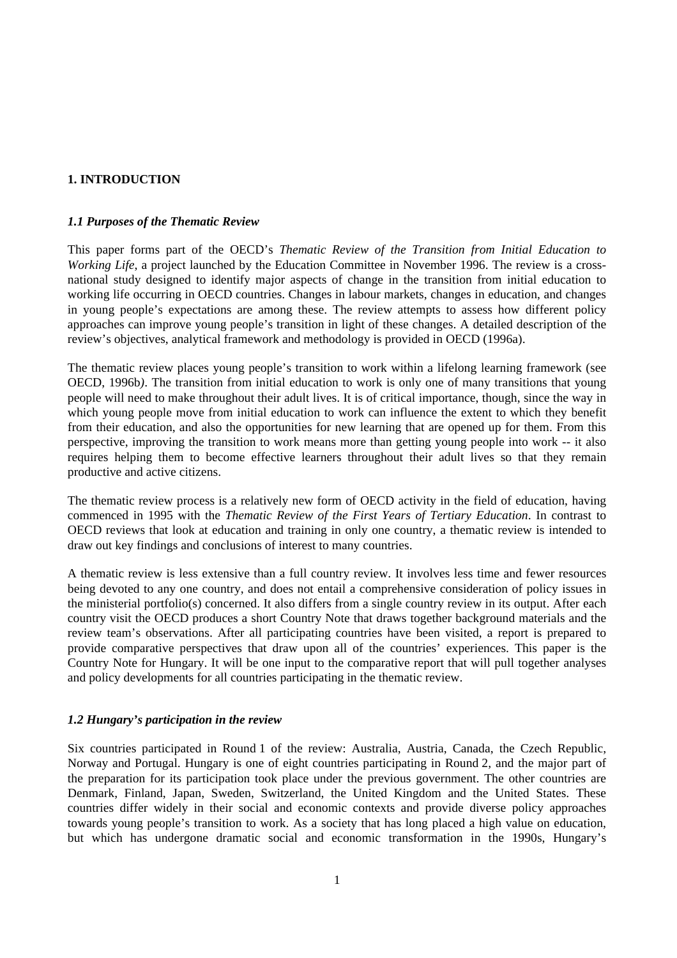# **1. INTRODUCTION**

## *1.1 Purposes of the Thematic Review*

This paper forms part of the OECD's *Thematic Review of the Transition from Initial Education to Working Life*, a project launched by the Education Committee in November 1996. The review is a crossnational study designed to identify major aspects of change in the transition from initial education to working life occurring in OECD countries. Changes in labour markets, changes in education, and changes in young people's expectations are among these. The review attempts to assess how different policy approaches can improve young people's transition in light of these changes. A detailed description of the review's objectives, analytical framework and methodology is provided in OECD (1996a).

The thematic review places young people's transition to work within a lifelong learning framework (see OECD, 1996b*)*. The transition from initial education to work is only one of many transitions that young people will need to make throughout their adult lives. It is of critical importance, though, since the way in which young people move from initial education to work can influence the extent to which they benefit from their education, and also the opportunities for new learning that are opened up for them. From this perspective, improving the transition to work means more than getting young people into work -- it also requires helping them to become effective learners throughout their adult lives so that they remain productive and active citizens.

The thematic review process is a relatively new form of OECD activity in the field of education, having commenced in 1995 with the *Thematic Review of the First Years of Tertiary Education*. In contrast to OECD reviews that look at education and training in only one country, a thematic review is intended to draw out key findings and conclusions of interest to many countries.

A thematic review is less extensive than a full country review. It involves less time and fewer resources being devoted to any one country, and does not entail a comprehensive consideration of policy issues in the ministerial portfolio(s) concerned. It also differs from a single country review in its output. After each country visit the OECD produces a short Country Note that draws together background materials and the review team's observations. After all participating countries have been visited, a report is prepared to provide comparative perspectives that draw upon all of the countries' experiences. This paper is the Country Note for Hungary. It will be one input to the comparative report that will pull together analyses and policy developments for all countries participating in the thematic review.

## *1.2 Hungary's participation in the review*

Six countries participated in Round 1 of the review: Australia, Austria, Canada, the Czech Republic, Norway and Portugal. Hungary is one of eight countries participating in Round 2, and the major part of the preparation for its participation took place under the previous government. The other countries are Denmark, Finland, Japan, Sweden, Switzerland, the United Kingdom and the United States. These countries differ widely in their social and economic contexts and provide diverse policy approaches towards young people's transition to work. As a society that has long placed a high value on education, but which has undergone dramatic social and economic transformation in the 1990s, Hungary's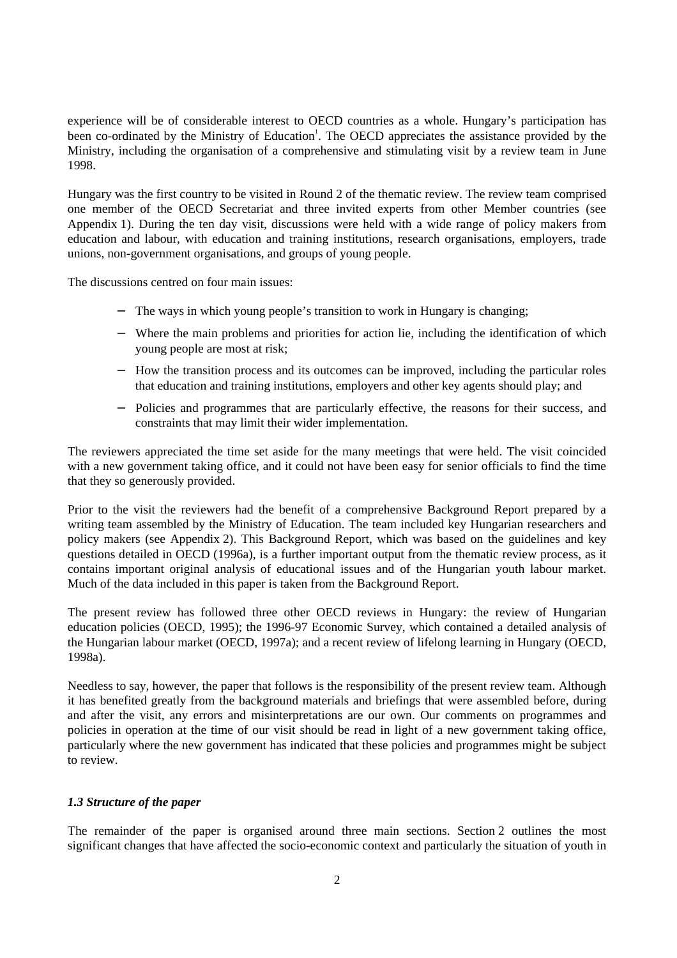experience will be of considerable interest to OECD countries as a whole. Hungary's participation has been co-ordinated by the Ministry of Education<sup>1</sup>. The OECD appreciates the assistance provided by the Ministry, including the organisation of a comprehensive and stimulating visit by a review team in June 1998.

Hungary was the first country to be visited in Round 2 of the thematic review. The review team comprised one member of the OECD Secretariat and three invited experts from other Member countries (see Appendix 1). During the ten day visit, discussions were held with a wide range of policy makers from education and labour, with education and training institutions, research organisations, employers, trade unions, non-government organisations, and groups of young people.

The discussions centred on four main issues:

- − The ways in which young people's transition to work in Hungary is changing;
- − Where the main problems and priorities for action lie, including the identification of which young people are most at risk;
- − How the transition process and its outcomes can be improved, including the particular roles that education and training institutions, employers and other key agents should play; and
- − Policies and programmes that are particularly effective, the reasons for their success, and constraints that may limit their wider implementation.

The reviewers appreciated the time set aside for the many meetings that were held. The visit coincided with a new government taking office, and it could not have been easy for senior officials to find the time that they so generously provided.

Prior to the visit the reviewers had the benefit of a comprehensive Background Report prepared by a writing team assembled by the Ministry of Education. The team included key Hungarian researchers and policy makers (see Appendix 2). This Background Report, which was based on the guidelines and key questions detailed in OECD (1996a), is a further important output from the thematic review process, as it contains important original analysis of educational issues and of the Hungarian youth labour market. Much of the data included in this paper is taken from the Background Report.

The present review has followed three other OECD reviews in Hungary: the review of Hungarian education policies (OECD, 1995); the 1996-97 Economic Survey, which contained a detailed analysis of the Hungarian labour market (OECD, 1997a); and a recent review of lifelong learning in Hungary (OECD, 1998a).

Needless to say, however, the paper that follows is the responsibility of the present review team. Although it has benefited greatly from the background materials and briefings that were assembled before, during and after the visit, any errors and misinterpretations are our own. Our comments on programmes and policies in operation at the time of our visit should be read in light of a new government taking office, particularly where the new government has indicated that these policies and programmes might be subject to review.

## *1.3 Structure of the paper*

The remainder of the paper is organised around three main sections. Section 2 outlines the most significant changes that have affected the socio-economic context and particularly the situation of youth in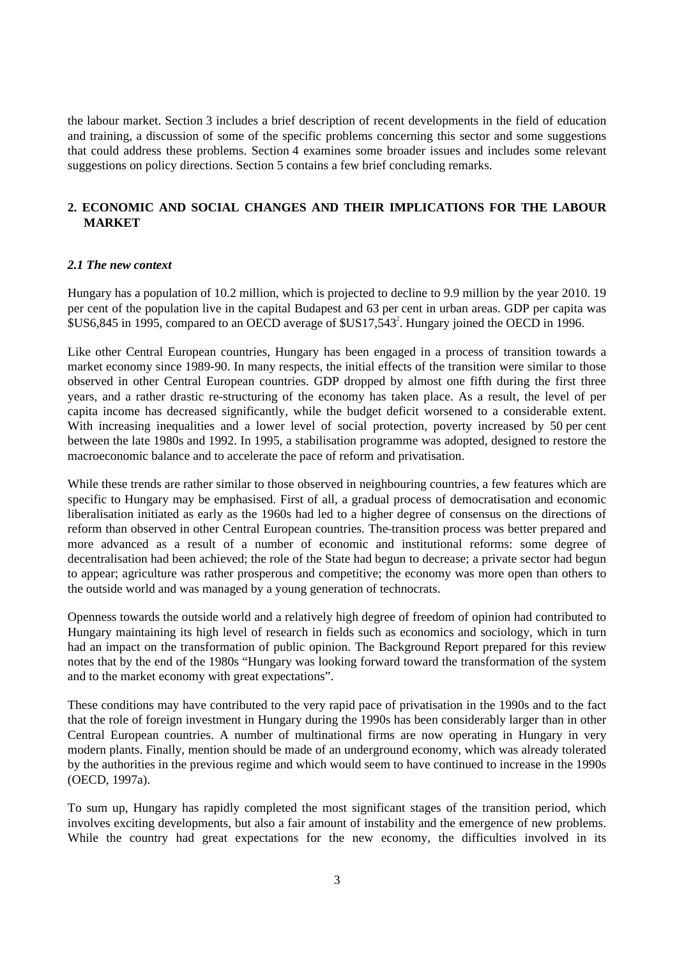the labour market. Section 3 includes a brief description of recent developments in the field of education and training, a discussion of some of the specific problems concerning this sector and some suggestions that could address these problems. Section 4 examines some broader issues and includes some relevant suggestions on policy directions. Section 5 contains a few brief concluding remarks.

# **2. ECONOMIC AND SOCIAL CHANGES AND THEIR IMPLICATIONS FOR THE LABOUR MARKET**

#### *2.1 The new context*

Hungary has a population of 10.2 million, which is projected to decline to 9.9 million by the year 2010. 19 per cent of the population live in the capital Budapest and 63 per cent in urban areas. GDP per capita was \$US6,845 in 1995, compared to an OECD average of \$US17,543<sup>2</sup>. Hungary joined the OECD in 1996.

Like other Central European countries, Hungary has been engaged in a process of transition towards a market economy since 1989-90. In many respects, the initial effects of the transition were similar to those observed in other Central European countries. GDP dropped by almost one fifth during the first three years, and a rather drastic re-structuring of the economy has taken place. As a result, the level of per capita income has decreased significantly, while the budget deficit worsened to a considerable extent. With increasing inequalities and a lower level of social protection, poverty increased by 50 per cent between the late 1980s and 1992. In 1995, a stabilisation programme was adopted, designed to restore the macroeconomic balance and to accelerate the pace of reform and privatisation.

While these trends are rather similar to those observed in neighbouring countries, a few features which are specific to Hungary may be emphasised. First of all, a gradual process of democratisation and economic liberalisation initiated as early as the 1960s had led to a higher degree of consensus on the directions of reform than observed in other Central European countries. The transition process was better prepared and more advanced as a result of a number of economic and institutional reforms: some degree of decentralisation had been achieved; the role of the State had begun to decrease; a private sector had begun to appear; agriculture was rather prosperous and competitive; the economy was more open than others to the outside world and was managed by a young generation of technocrats.

Openness towards the outside world and a relatively high degree of freedom of opinion had contributed to Hungary maintaining its high level of research in fields such as economics and sociology, which in turn had an impact on the transformation of public opinion. The Background Report prepared for this review notes that by the end of the 1980s "Hungary was looking forward toward the transformation of the system and to the market economy with great expectations".

These conditions may have contributed to the very rapid pace of privatisation in the 1990s and to the fact that the role of foreign investment in Hungary during the 1990s has been considerably larger than in other Central European countries. A number of multinational firms are now operating in Hungary in very modern plants. Finally, mention should be made of an underground economy, which was already tolerated by the authorities in the previous regime and which would seem to have continued to increase in the 1990s (OECD, 1997a).

To sum up, Hungary has rapidly completed the most significant stages of the transition period, which involves exciting developments, but also a fair amount of instability and the emergence of new problems. While the country had great expectations for the new economy, the difficulties involved in its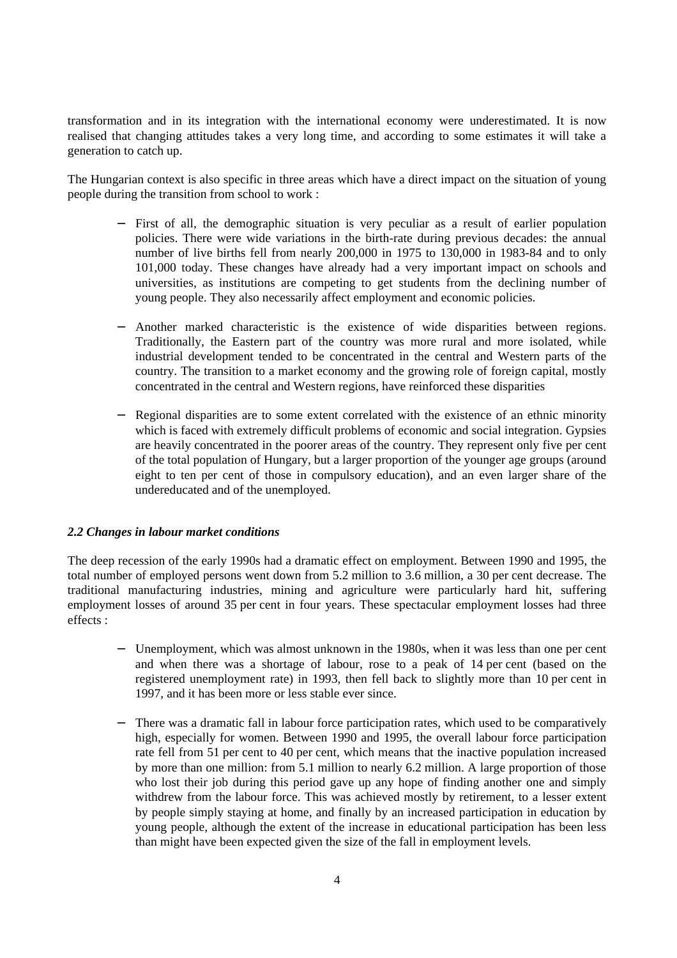transformation and in its integration with the international economy were underestimated. It is now realised that changing attitudes takes a very long time, and according to some estimates it will take a generation to catch up.

The Hungarian context is also specific in three areas which have a direct impact on the situation of young people during the transition from school to work :

- First of all, the demographic situation is very peculiar as a result of earlier population policies. There were wide variations in the birth-rate during previous decades: the annual number of live births fell from nearly 200,000 in 1975 to 130,000 in 1983-84 and to only 101,000 today. These changes have already had a very important impact on schools and universities, as institutions are competing to get students from the declining number of young people. They also necessarily affect employment and economic policies.
- Another marked characteristic is the existence of wide disparities between regions. Traditionally, the Eastern part of the country was more rural and more isolated, while industrial development tended to be concentrated in the central and Western parts of the country. The transition to a market economy and the growing role of foreign capital, mostly concentrated in the central and Western regions, have reinforced these disparities
- − Regional disparities are to some extent correlated with the existence of an ethnic minority which is faced with extremely difficult problems of economic and social integration. Gypsies are heavily concentrated in the poorer areas of the country. They represent only five per cent of the total population of Hungary, but a larger proportion of the younger age groups (around eight to ten per cent of those in compulsory education), and an even larger share of the undereducated and of the unemployed.

## *2.2 Changes in labour market conditions*

The deep recession of the early 1990s had a dramatic effect on employment. Between 1990 and 1995, the total number of employed persons went down from 5.2 million to 3.6 million, a 30 per cent decrease. The traditional manufacturing industries, mining and agriculture were particularly hard hit, suffering employment losses of around 35 per cent in four years. These spectacular employment losses had three effects :

- Unemployment, which was almost unknown in the 1980s, when it was less than one per cent and when there was a shortage of labour, rose to a peak of 14 per cent (based on the registered unemployment rate) in 1993, then fell back to slightly more than 10 per cent in 1997, and it has been more or less stable ever since.
- There was a dramatic fall in labour force participation rates, which used to be comparatively high, especially for women. Between 1990 and 1995, the overall labour force participation rate fell from 51 per cent to 40 per cent, which means that the inactive population increased by more than one million: from 5.1 million to nearly 6.2 million. A large proportion of those who lost their job during this period gave up any hope of finding another one and simply withdrew from the labour force. This was achieved mostly by retirement, to a lesser extent by people simply staying at home, and finally by an increased participation in education by young people, although the extent of the increase in educational participation has been less than might have been expected given the size of the fall in employment levels.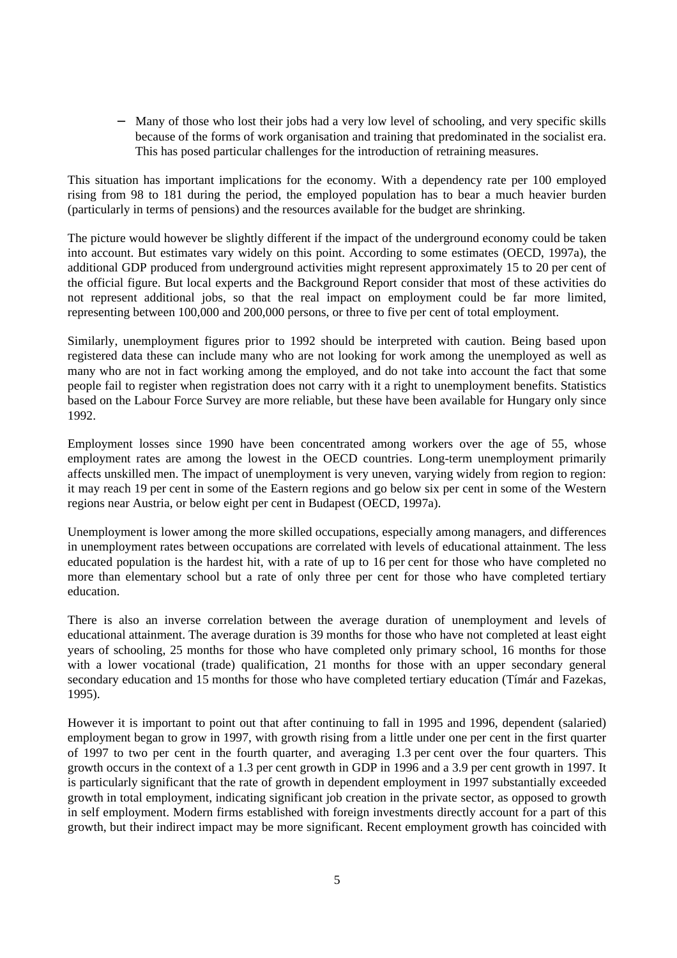− Many of those who lost their jobs had a very low level of schooling, and very specific skills because of the forms of work organisation and training that predominated in the socialist era. This has posed particular challenges for the introduction of retraining measures.

This situation has important implications for the economy. With a dependency rate per 100 employed rising from 98 to 181 during the period, the employed population has to bear a much heavier burden (particularly in terms of pensions) and the resources available for the budget are shrinking.

The picture would however be slightly different if the impact of the underground economy could be taken into account. But estimates vary widely on this point. According to some estimates (OECD, 1997a), the additional GDP produced from underground activities might represent approximately 15 to 20 per cent of the official figure. But local experts and the Background Report consider that most of these activities do not represent additional jobs, so that the real impact on employment could be far more limited, representing between 100,000 and 200,000 persons, or three to five per cent of total employment.

Similarly, unemployment figures prior to 1992 should be interpreted with caution. Being based upon registered data these can include many who are not looking for work among the unemployed as well as many who are not in fact working among the employed, and do not take into account the fact that some people fail to register when registration does not carry with it a right to unemployment benefits. Statistics based on the Labour Force Survey are more reliable, but these have been available for Hungary only since 1992.

Employment losses since 1990 have been concentrated among workers over the age of 55, whose employment rates are among the lowest in the OECD countries. Long-term unemployment primarily affects unskilled men. The impact of unemployment is very uneven, varying widely from region to region: it may reach 19 per cent in some of the Eastern regions and go below six per cent in some of the Western regions near Austria, or below eight per cent in Budapest (OECD, 1997a).

Unemployment is lower among the more skilled occupations, especially among managers, and differences in unemployment rates between occupations are correlated with levels of educational attainment. The less educated population is the hardest hit, with a rate of up to 16 per cent for those who have completed no more than elementary school but a rate of only three per cent for those who have completed tertiary education.

There is also an inverse correlation between the average duration of unemployment and levels of educational attainment. The average duration is 39 months for those who have not completed at least eight years of schooling, 25 months for those who have completed only primary school, 16 months for those with a lower vocational (trade) qualification, 21 months for those with an upper secondary general secondary education and 15 months for those who have completed tertiary education (Tímár and Fazekas, 1995).

However it is important to point out that after continuing to fall in 1995 and 1996, dependent (salaried) employment began to grow in 1997, with growth rising from a little under one per cent in the first quarter of 1997 to two per cent in the fourth quarter, and averaging 1.3 per cent over the four quarters. This growth occurs in the context of a 1.3 per cent growth in GDP in 1996 and a 3.9 per cent growth in 1997. It is particularly significant that the rate of growth in dependent employment in 1997 substantially exceeded growth in total employment, indicating significant job creation in the private sector, as opposed to growth in self employment. Modern firms established with foreign investments directly account for a part of this growth, but their indirect impact may be more significant. Recent employment growth has coincided with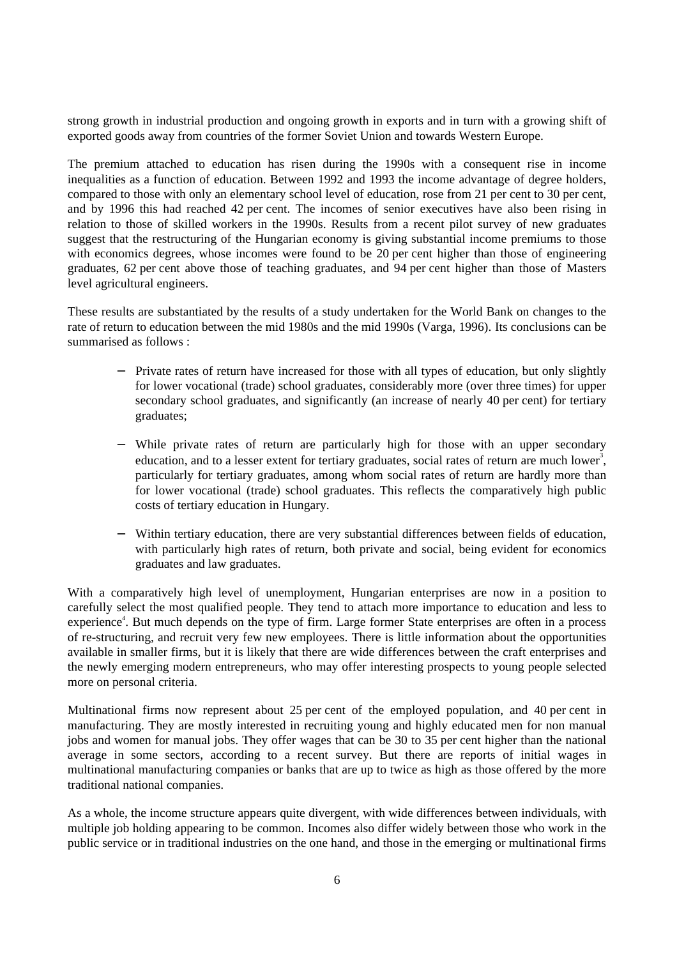strong growth in industrial production and ongoing growth in exports and in turn with a growing shift of exported goods away from countries of the former Soviet Union and towards Western Europe.

The premium attached to education has risen during the 1990s with a consequent rise in income inequalities as a function of education. Between 1992 and 1993 the income advantage of degree holders, compared to those with only an elementary school level of education, rose from 21 per cent to 30 per cent, and by 1996 this had reached 42 per cent. The incomes of senior executives have also been rising in relation to those of skilled workers in the 1990s. Results from a recent pilot survey of new graduates suggest that the restructuring of the Hungarian economy is giving substantial income premiums to those with economics degrees, whose incomes were found to be 20 per cent higher than those of engineering graduates, 62 per cent above those of teaching graduates, and 94 per cent higher than those of Masters level agricultural engineers.

These results are substantiated by the results of a study undertaken for the World Bank on changes to the rate of return to education between the mid 1980s and the mid 1990s (Varga, 1996). Its conclusions can be summarised as follows :

- Private rates of return have increased for those with all types of education, but only slightly for lower vocational (trade) school graduates, considerably more (over three times) for upper secondary school graduates, and significantly (an increase of nearly 40 per cent) for tertiary graduates;
- While private rates of return are particularly high for those with an upper secondary education, and to a lesser extent for tertiary graduates, social rates of return are much lower<sup>3</sup>, particularly for tertiary graduates, among whom social rates of return are hardly more than for lower vocational (trade) school graduates. This reflects the comparatively high public costs of tertiary education in Hungary.
- Within tertiary education, there are very substantial differences between fields of education, with particularly high rates of return, both private and social, being evident for economics graduates and law graduates.

With a comparatively high level of unemployment, Hungarian enterprises are now in a position to carefully select the most qualified people. They tend to attach more importance to education and less to experience<sup>4</sup>. But much depends on the type of firm. Large former State enterprises are often in a process of re-structuring, and recruit very few new employees. There is little information about the opportunities available in smaller firms, but it is likely that there are wide differences between the craft enterprises and the newly emerging modern entrepreneurs, who may offer interesting prospects to young people selected more on personal criteria.

Multinational firms now represent about 25 per cent of the employed population, and 40 per cent in manufacturing. They are mostly interested in recruiting young and highly educated men for non manual jobs and women for manual jobs. They offer wages that can be 30 to 35 per cent higher than the national average in some sectors, according to a recent survey. But there are reports of initial wages in multinational manufacturing companies or banks that are up to twice as high as those offered by the more traditional national companies.

As a whole, the income structure appears quite divergent, with wide differences between individuals, with multiple job holding appearing to be common. Incomes also differ widely between those who work in the public service or in traditional industries on the one hand, and those in the emerging or multinational firms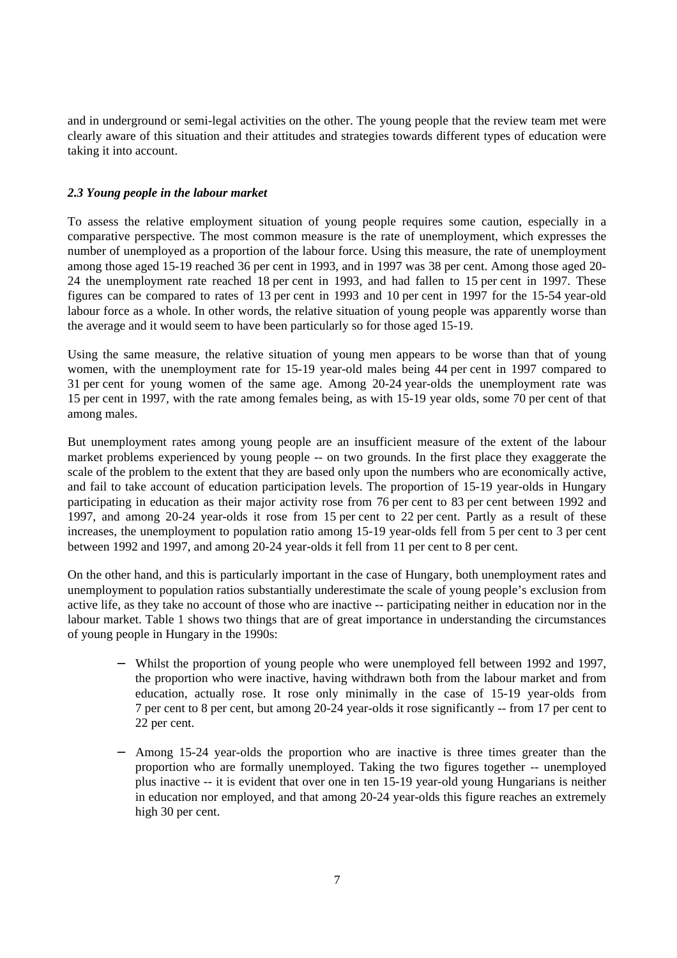and in underground or semi-legal activities on the other. The young people that the review team met were clearly aware of this situation and their attitudes and strategies towards different types of education were taking it into account.

# *2.3 Young people in the labour market*

To assess the relative employment situation of young people requires some caution, especially in a comparative perspective. The most common measure is the rate of unemployment, which expresses the number of unemployed as a proportion of the labour force. Using this measure, the rate of unemployment among those aged 15-19 reached 36 per cent in 1993, and in 1997 was 38 per cent. Among those aged 20- 24 the unemployment rate reached 18 per cent in 1993, and had fallen to 15 per cent in 1997. These figures can be compared to rates of 13 per cent in 1993 and 10 per cent in 1997 for the 15-54 year-old labour force as a whole. In other words, the relative situation of young people was apparently worse than the average and it would seem to have been particularly so for those aged 15-19.

Using the same measure, the relative situation of young men appears to be worse than that of young women, with the unemployment rate for 15-19 year-old males being 44 per cent in 1997 compared to 31 per cent for young women of the same age. Among 20-24 year-olds the unemployment rate was 15 per cent in 1997, with the rate among females being, as with 15-19 year olds, some 70 per cent of that among males.

But unemployment rates among young people are an insufficient measure of the extent of the labour market problems experienced by young people -- on two grounds. In the first place they exaggerate the scale of the problem to the extent that they are based only upon the numbers who are economically active, and fail to take account of education participation levels. The proportion of 15-19 year-olds in Hungary participating in education as their major activity rose from 76 per cent to 83 per cent between 1992 and 1997, and among 20-24 year-olds it rose from 15 per cent to 22 per cent. Partly as a result of these increases, the unemployment to population ratio among 15-19 year-olds fell from 5 per cent to 3 per cent between 1992 and 1997, and among 20-24 year-olds it fell from 11 per cent to 8 per cent.

On the other hand, and this is particularly important in the case of Hungary, both unemployment rates and unemployment to population ratios substantially underestimate the scale of young people's exclusion from active life, as they take no account of those who are inactive -- participating neither in education nor in the labour market. Table 1 shows two things that are of great importance in understanding the circumstances of young people in Hungary in the 1990s:

- Whilst the proportion of young people who were unemployed fell between 1992 and 1997, the proportion who were inactive, having withdrawn both from the labour market and from education, actually rose. It rose only minimally in the case of 15-19 year-olds from 7 per cent to 8 per cent, but among 20-24 year-olds it rose significantly -- from 17 per cent to 22 per cent.
- Among 15-24 year-olds the proportion who are inactive is three times greater than the proportion who are formally unemployed. Taking the two figures together -- unemployed plus inactive -- it is evident that over one in ten 15-19 year-old young Hungarians is neither in education nor employed, and that among 20-24 year-olds this figure reaches an extremely high 30 per cent.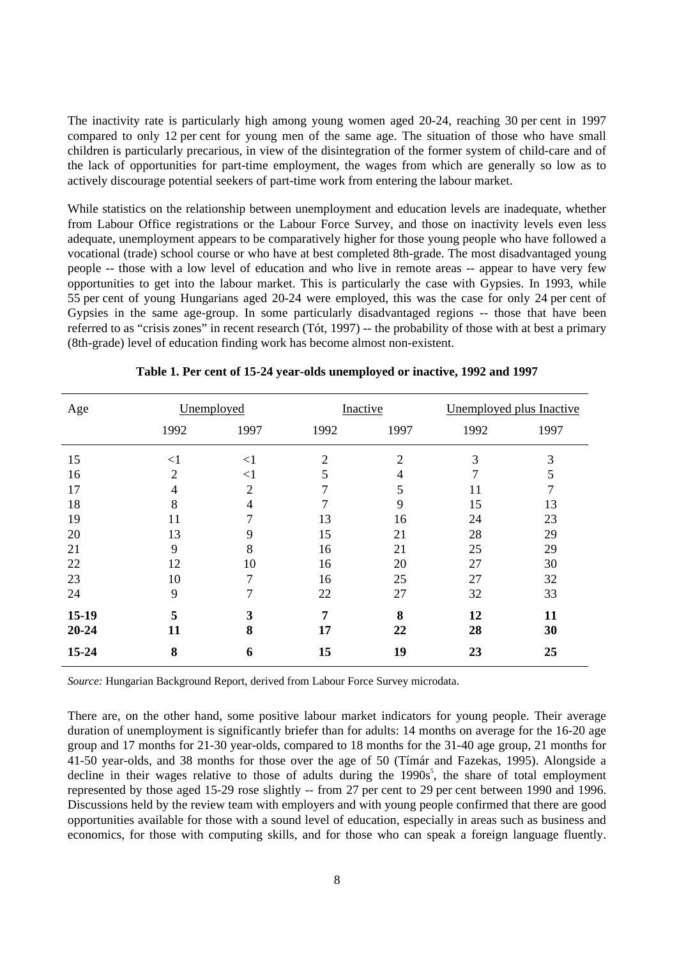The inactivity rate is particularly high among young women aged 20-24, reaching 30 per cent in 1997 compared to only 12 per cent for young men of the same age. The situation of those who have small children is particularly precarious, in view of the disintegration of the former system of child-care and of the lack of opportunities for part-time employment, the wages from which are generally so low as to actively discourage potential seekers of part-time work from entering the labour market.

While statistics on the relationship between unemployment and education levels are inadequate, whether from Labour Office registrations or the Labour Force Survey, and those on inactivity levels even less adequate, unemployment appears to be comparatively higher for those young people who have followed a vocational (trade) school course or who have at best completed 8th-grade. The most disadvantaged young people -- those with a low level of education and who live in remote areas -- appear to have very few opportunities to get into the labour market. This is particularly the case with Gypsies. In 1993, while 55 per cent of young Hungarians aged 20-24 were employed, this was the case for only 24 per cent of Gypsies in the same age-group. In some particularly disadvantaged regions -- those that have been referred to as "crisis zones" in recent research (Tót, 1997) -- the probability of those with at best a primary (8th-grade) level of education finding work has become almost non-existent.

| Age       | Unemployed     |                |                | Inactive | Unemployed plus Inactive |      |
|-----------|----------------|----------------|----------------|----------|--------------------------|------|
|           | 1992           | 1997           | 1992           | 1997     | 1992                     | 1997 |
| 15        | $\leq$ 1       | $\leq$ 1       | $\overline{2}$ | 2        | 3                        | 3    |
| 16        | $\overline{2}$ | $\leq$ 1       | 5              | 4        | 7                        | 5    |
| 17        | 4              | $\overline{2}$ |                | 5        | 11                       | 7    |
| 18        | 8              | $\overline{4}$ |                | 9        | 15                       | 13   |
| 19        | 11             | 7              | 13             | 16       | 24                       | 23   |
| 20        | 13             | 9              | 15             | 21       | 28                       | 29   |
| 21        | 9              | 8              | 16             | 21       | 25                       | 29   |
| 22        | 12             | 10             | 16             | 20       | 27                       | 30   |
| 23        | 10             | $\overline{7}$ | 16             | 25       | 27                       | 32   |
| 24        | 9              | $\overline{7}$ | 22             | 27       | 32                       | 33   |
| $15-19$   | 5              | 3              | 7              | 8        | 12                       | 11   |
| $20 - 24$ | 11             | 8              | 17             | 22       | 28                       | 30   |
| 15-24     | 8              | 6              | 15             | 19       | 23                       | 25   |

**Table 1. Per cent of 15-24 year-olds unemployed or inactive, 1992 and 1997**

*Source:* Hungarian Background Report, derived from Labour Force Survey microdata.

There are, on the other hand, some positive labour market indicators for young people. Their average duration of unemployment is significantly briefer than for adults: 14 months on average for the 16-20 age group and 17 months for 21-30 year-olds, compared to 18 months for the 31-40 age group, 21 months for 41-50 year-olds, and 38 months for those over the age of 50 (Tímár and Fazekas, 1995). Alongside a decline in their wages relative to those of adults during the  $1990s^5$ , the share of total employment represented by those aged 15-29 rose slightly -- from 27 per cent to 29 per cent between 1990 and 1996. Discussions held by the review team with employers and with young people confirmed that there are good opportunities available for those with a sound level of education, especially in areas such as business and economics, for those with computing skills, and for those who can speak a foreign language fluently.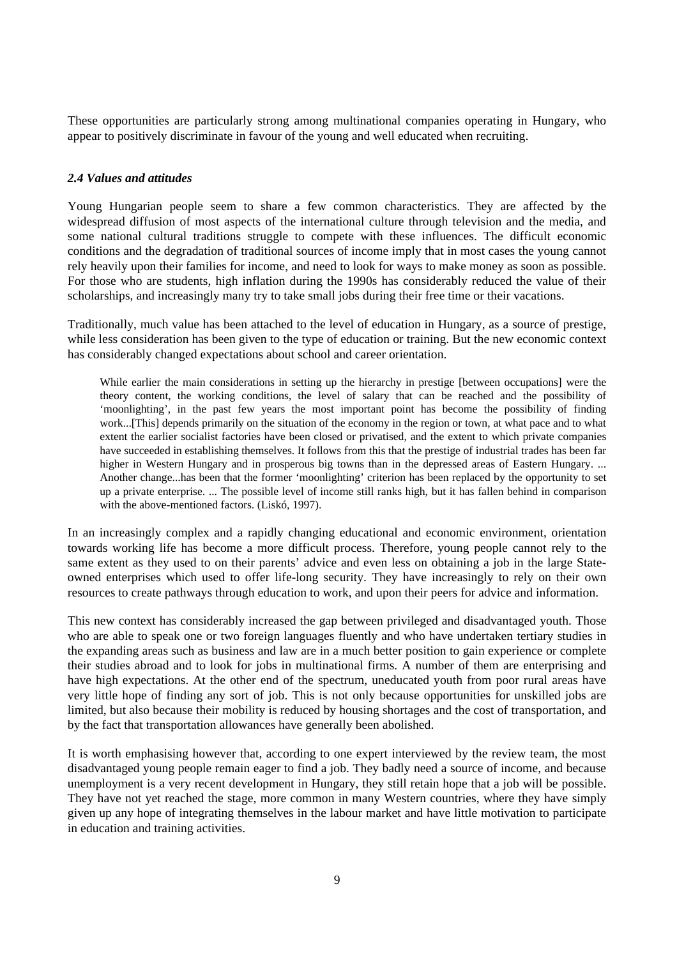These opportunities are particularly strong among multinational companies operating in Hungary, who appear to positively discriminate in favour of the young and well educated when recruiting.

## *2.4 Values and attitudes*

Young Hungarian people seem to share a few common characteristics. They are affected by the widespread diffusion of most aspects of the international culture through television and the media, and some national cultural traditions struggle to compete with these influences. The difficult economic conditions and the degradation of traditional sources of income imply that in most cases the young cannot rely heavily upon their families for income, and need to look for ways to make money as soon as possible. For those who are students, high inflation during the 1990s has considerably reduced the value of their scholarships, and increasingly many try to take small jobs during their free time or their vacations.

Traditionally, much value has been attached to the level of education in Hungary, as a source of prestige, while less consideration has been given to the type of education or training. But the new economic context has considerably changed expectations about school and career orientation.

While earlier the main considerations in setting up the hierarchy in prestige [between occupations] were the theory content, the working conditions, the level of salary that can be reached and the possibility of 'moonlighting', in the past few years the most important point has become the possibility of finding work...[This] depends primarily on the situation of the economy in the region or town, at what pace and to what extent the earlier socialist factories have been closed or privatised, and the extent to which private companies have succeeded in establishing themselves. It follows from this that the prestige of industrial trades has been far higher in Western Hungary and in prosperous big towns than in the depressed areas of Eastern Hungary. ... Another change...has been that the former 'moonlighting' criterion has been replaced by the opportunity to set up a private enterprise. ... The possible level of income still ranks high, but it has fallen behind in comparison with the above-mentioned factors. (Liskó, 1997).

In an increasingly complex and a rapidly changing educational and economic environment, orientation towards working life has become a more difficult process. Therefore, young people cannot rely to the same extent as they used to on their parents' advice and even less on obtaining a job in the large Stateowned enterprises which used to offer life-long security. They have increasingly to rely on their own resources to create pathways through education to work, and upon their peers for advice and information.

This new context has considerably increased the gap between privileged and disadvantaged youth. Those who are able to speak one or two foreign languages fluently and who have undertaken tertiary studies in the expanding areas such as business and law are in a much better position to gain experience or complete their studies abroad and to look for jobs in multinational firms. A number of them are enterprising and have high expectations. At the other end of the spectrum, uneducated youth from poor rural areas have very little hope of finding any sort of job. This is not only because opportunities for unskilled jobs are limited, but also because their mobility is reduced by housing shortages and the cost of transportation, and by the fact that transportation allowances have generally been abolished.

It is worth emphasising however that, according to one expert interviewed by the review team, the most disadvantaged young people remain eager to find a job. They badly need a source of income, and because unemployment is a very recent development in Hungary, they still retain hope that a job will be possible. They have not yet reached the stage, more common in many Western countries, where they have simply given up any hope of integrating themselves in the labour market and have little motivation to participate in education and training activities.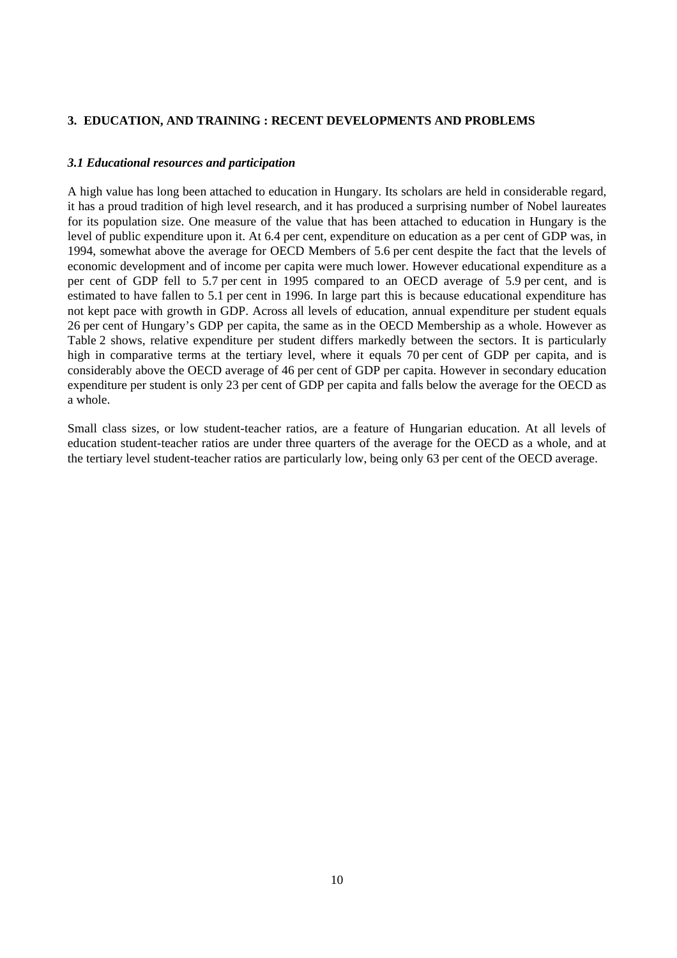# **3. EDUCATION, AND TRAINING : RECENT DEVELOPMENTS AND PROBLEMS**

## *3.1 Educational resources and participation*

A high value has long been attached to education in Hungary. Its scholars are held in considerable regard, it has a proud tradition of high level research, and it has produced a surprising number of Nobel laureates for its population size. One measure of the value that has been attached to education in Hungary is the level of public expenditure upon it. At 6.4 per cent, expenditure on education as a per cent of GDP was, in 1994, somewhat above the average for OECD Members of 5.6 per cent despite the fact that the levels of economic development and of income per capita were much lower. However educational expenditure as a per cent of GDP fell to 5.7 per cent in 1995 compared to an OECD average of 5.9 per cent, and is estimated to have fallen to 5.1 per cent in 1996. In large part this is because educational expenditure has not kept pace with growth in GDP. Across all levels of education, annual expenditure per student equals 26 per cent of Hungary's GDP per capita, the same as in the OECD Membership as a whole. However as Table 2 shows, relative expenditure per student differs markedly between the sectors. It is particularly high in comparative terms at the tertiary level, where it equals 70 per cent of GDP per capita, and is considerably above the OECD average of 46 per cent of GDP per capita. However in secondary education expenditure per student is only 23 per cent of GDP per capita and falls below the average for the OECD as a whole.

Small class sizes, or low student-teacher ratios, are a feature of Hungarian education. At all levels of education student-teacher ratios are under three quarters of the average for the OECD as a whole, and at the tertiary level student-teacher ratios are particularly low, being only 63 per cent of the OECD average.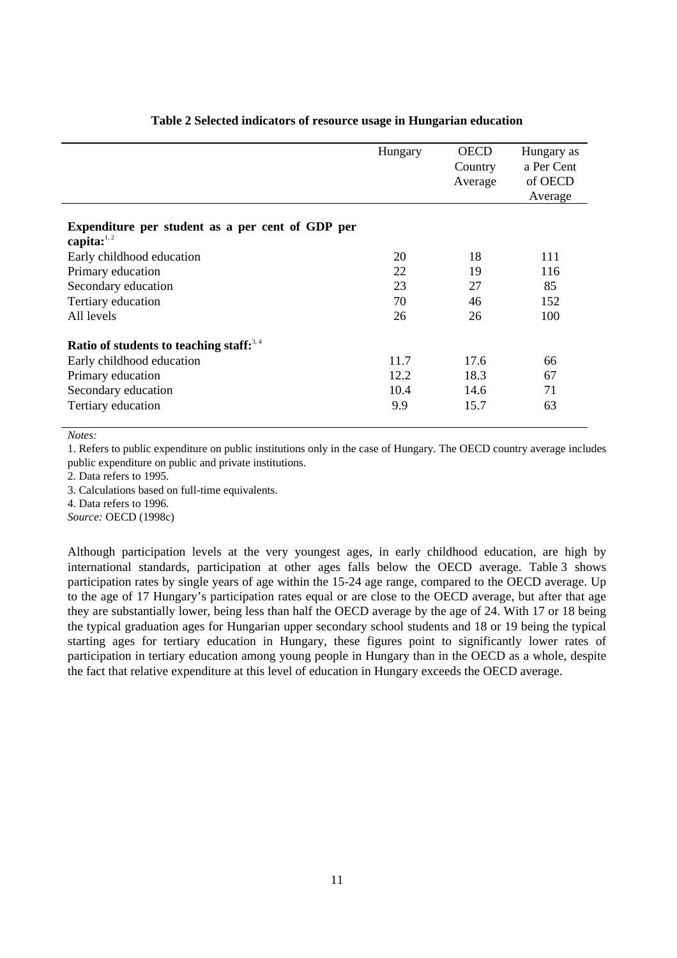|                                                                    | Hungary | <b>OECD</b><br>Country<br>Average | Hungary as<br>a Per Cent<br>of OECD<br>Average |
|--------------------------------------------------------------------|---------|-----------------------------------|------------------------------------------------|
| Expenditure per student as a per cent of GDP per<br>capita: $1, 2$ |         |                                   |                                                |
| Early childhood education                                          | 20      | 18                                | 111                                            |
| Primary education                                                  | 22      | 19                                | 116                                            |
| Secondary education                                                | 23      | 27                                | 85                                             |
| Tertiary education                                                 | 70      | 46                                | 152                                            |
| All levels                                                         | 26      | 26                                | 100                                            |
| Ratio of students to teaching staff: $3,4$                         |         |                                   |                                                |
| Early childhood education                                          | 11.7    | 17.6                              | 66                                             |
| Primary education                                                  | 12.2    | 18.3                              | 67                                             |
| Secondary education                                                | 10.4    | 14.6                              | 71                                             |
| Tertiary education                                                 | 9.9     | 15.7                              | 63                                             |

## **Table 2 Selected indicators of resource usage in Hungarian education**

*Notes:*

1. Refers to public expenditure on public institutions only in the case of Hungary. The OECD country average includes public expenditure on public and private institutions.

2. Data refers to 1995.

3. Calculations based on full-time equivalents.

4. Data refers to 1996.

*Source:* OECD (1998c)

Although participation levels at the very youngest ages, in early childhood education, are high by international standards, participation at other ages falls below the OECD average. Table 3 shows participation rates by single years of age within the 15-24 age range, compared to the OECD average. Up to the age of 17 Hungary's participation rates equal or are close to the OECD average, but after that age they are substantially lower, being less than half the OECD average by the age of 24. With 17 or 18 being the typical graduation ages for Hungarian upper secondary school students and 18 or 19 being the typical starting ages for tertiary education in Hungary, these figures point to significantly lower rates of participation in tertiary education among young people in Hungary than in the OECD as a whole, despite the fact that relative expenditure at this level of education in Hungary exceeds the OECD average.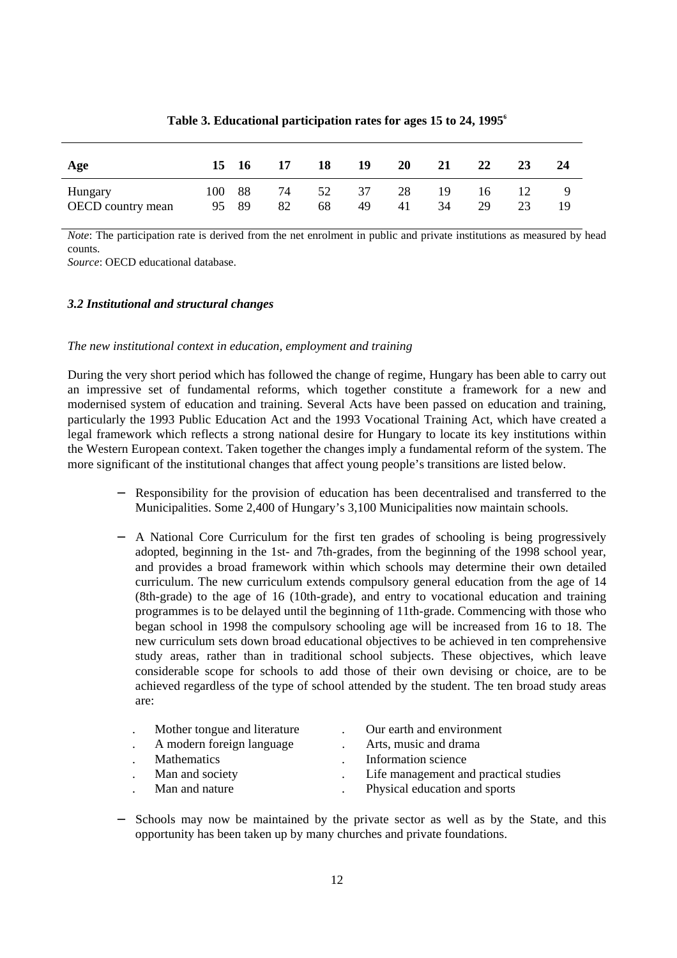| Age                          | 15           | - 16 | 17       | 18       | 19       | 20       | 21       | 22       | 23       | 24 |
|------------------------------|--------------|------|----------|----------|----------|----------|----------|----------|----------|----|
| Hungary<br>OECD country mean | 100<br>95 89 | -88  | 74<br>82 | 52<br>68 | 37<br>49 | 28<br>41 | 19<br>34 | 16<br>29 | 12<br>23 | 19 |

**Table 3. Educational participation rates for ages 15 to 24, 1995<sup>6</sup>**

*Note*: The participation rate is derived from the net enrolment in public and private institutions as measured by head counts.

*Source*: OECD educational database.

#### *3.2 Institutional and structural changes*

#### *The new institutional context in education, employment and training*

During the very short period which has followed the change of regime, Hungary has been able to carry out an impressive set of fundamental reforms, which together constitute a framework for a new and modernised system of education and training. Several Acts have been passed on education and training, particularly the 1993 Public Education Act and the 1993 Vocational Training Act, which have created a legal framework which reflects a strong national desire for Hungary to locate its key institutions within the Western European context. Taken together the changes imply a fundamental reform of the system. The more significant of the institutional changes that affect young people's transitions are listed below.

- Responsibility for the provision of education has been decentralised and transferred to the Municipalities. Some 2,400 of Hungary's 3,100 Municipalities now maintain schools.
- − A National Core Curriculum for the first ten grades of schooling is being progressively adopted, beginning in the 1st- and 7th-grades, from the beginning of the 1998 school year, and provides a broad framework within which schools may determine their own detailed curriculum. The new curriculum extends compulsory general education from the age of 14 (8th-grade) to the age of 16 (10th-grade), and entry to vocational education and training programmes is to be delayed until the beginning of 11th-grade. Commencing with those who began school in 1998 the compulsory schooling age will be increased from 16 to 18. The new curriculum sets down broad educational objectives to be achieved in ten comprehensive study areas, rather than in traditional school subjects. These objectives, which leave considerable scope for schools to add those of their own devising or choice, are to be achieved regardless of the type of school attended by the student. The ten broad study areas are:

| $\cdot$ | Mother tongue and literature | Our earth and environment             |
|---------|------------------------------|---------------------------------------|
|         | A modern foreign language    | Arts, music and drama                 |
|         | Mathematics                  | Information science                   |
|         | Man and society              | Life management and practical studies |
|         | Man and nature               | Physical education and sports         |

− Schools may now be maintained by the private sector as well as by the State, and this opportunity has been taken up by many churches and private foundations.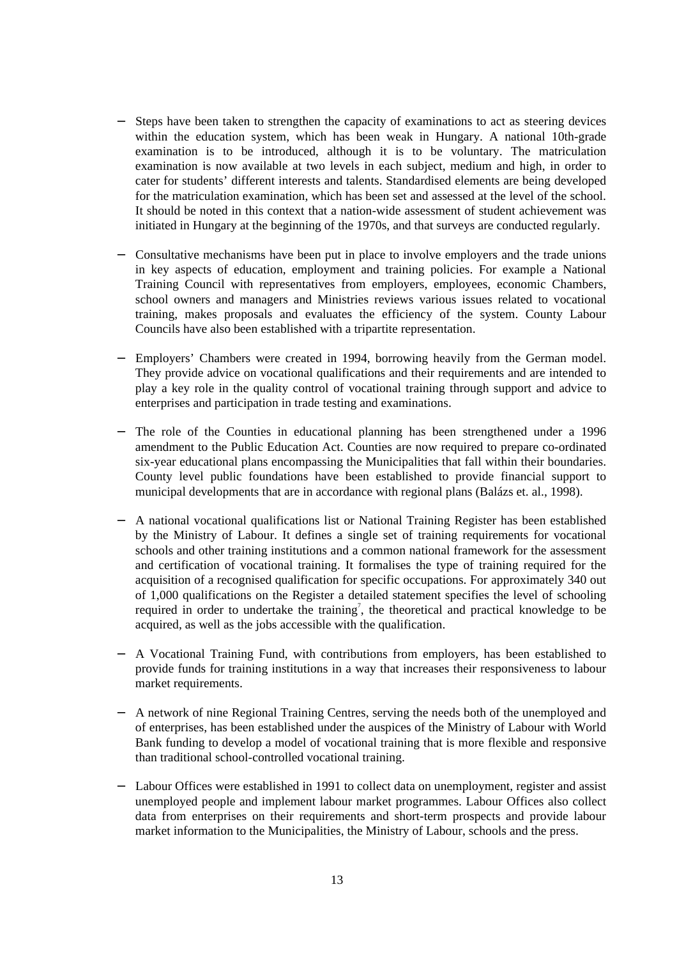- Steps have been taken to strengthen the capacity of examinations to act as steering devices within the education system, which has been weak in Hungary. A national 10th-grade examination is to be introduced, although it is to be voluntary. The matriculation examination is now available at two levels in each subject, medium and high, in order to cater for students' different interests and talents. Standardised elements are being developed for the matriculation examination, which has been set and assessed at the level of the school. It should be noted in this context that a nation-wide assessment of student achievement was initiated in Hungary at the beginning of the 1970s, and that surveys are conducted regularly.
- − Consultative mechanisms have been put in place to involve employers and the trade unions in key aspects of education, employment and training policies. For example a National Training Council with representatives from employers, employees, economic Chambers, school owners and managers and Ministries reviews various issues related to vocational training, makes proposals and evaluates the efficiency of the system. County Labour Councils have also been established with a tripartite representation.
- Employers' Chambers were created in 1994, borrowing heavily from the German model. They provide advice on vocational qualifications and their requirements and are intended to play a key role in the quality control of vocational training through support and advice to enterprises and participation in trade testing and examinations.
- The role of the Counties in educational planning has been strengthened under a 1996 amendment to the Public Education Act. Counties are now required to prepare co-ordinated six-year educational plans encompassing the Municipalities that fall within their boundaries. County level public foundations have been established to provide financial support to municipal developments that are in accordance with regional plans (Balázs et. al., 1998).
- − A national vocational qualifications list or National Training Register has been established by the Ministry of Labour. It defines a single set of training requirements for vocational schools and other training institutions and a common national framework for the assessment and certification of vocational training. It formalises the type of training required for the acquisition of a recognised qualification for specific occupations. For approximately 340 out of 1,000 qualifications on the Register a detailed statement specifies the level of schooling required in order to undertake the training<sup>7</sup>, the theoretical and practical knowledge to be acquired, as well as the jobs accessible with the qualification.
- − A Vocational Training Fund, with contributions from employers, has been established to provide funds for training institutions in a way that increases their responsiveness to labour market requirements.
- − A network of nine Regional Training Centres, serving the needs both of the unemployed and of enterprises, has been established under the auspices of the Ministry of Labour with World Bank funding to develop a model of vocational training that is more flexible and responsive than traditional school-controlled vocational training.
- Labour Offices were established in 1991 to collect data on unemployment, register and assist unemployed people and implement labour market programmes. Labour Offices also collect data from enterprises on their requirements and short-term prospects and provide labour market information to the Municipalities, the Ministry of Labour, schools and the press.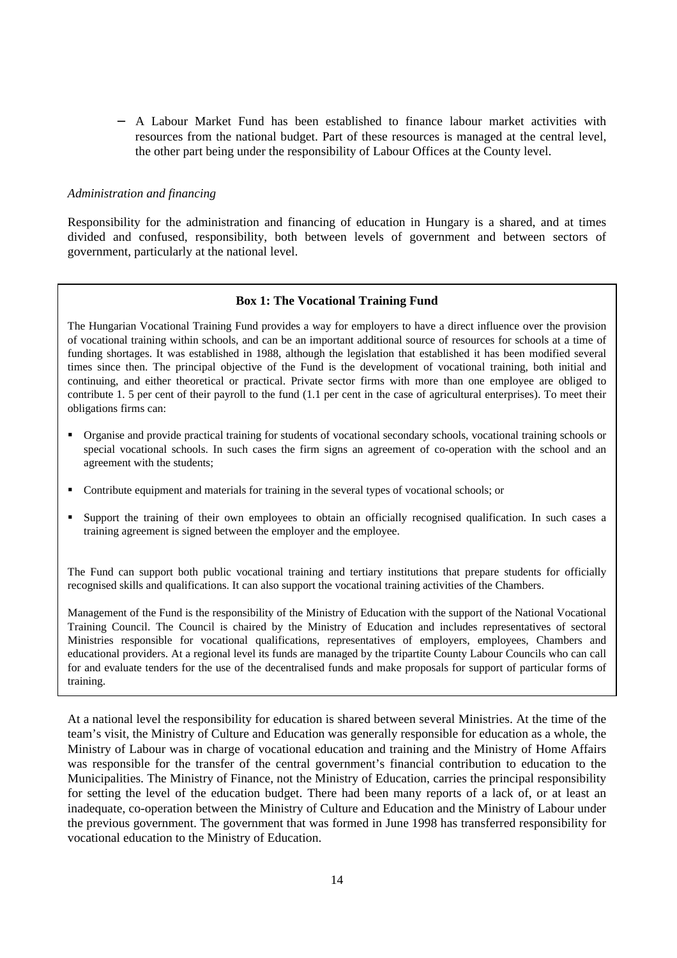− A Labour Market Fund has been established to finance labour market activities with resources from the national budget. Part of these resources is managed at the central level, the other part being under the responsibility of Labour Offices at the County level.

#### *Administration and financing*

Responsibility for the administration and financing of education in Hungary is a shared, and at times divided and confused, responsibility, both between levels of government and between sectors of government, particularly at the national level.

#### **Box 1: The Vocational Training Fund**

The Hungarian Vocational Training Fund provides a way for employers to have a direct influence over the provision of vocational training within schools, and can be an important additional source of resources for schools at a time of funding shortages. It was established in 1988, although the legislation that established it has been modified several times since then. The principal objective of the Fund is the development of vocational training, both initial and continuing, and either theoretical or practical. Private sector firms with more than one employee are obliged to contribute 1. 5 per cent of their payroll to the fund (1.1 per cent in the case of agricultural enterprises). To meet their obligations firms can:

- Organise and provide practical training for students of vocational secondary schools, vocational training schools or special vocational schools. In such cases the firm signs an agreement of co-operation with the school and an agreement with the students;
- Contribute equipment and materials for training in the several types of vocational schools; or
- Support the training of their own employees to obtain an officially recognised qualification. In such cases a training agreement is signed between the employer and the employee.

The Fund can support both public vocational training and tertiary institutions that prepare students for officially recognised skills and qualifications. It can also support the vocational training activities of the Chambers.

Management of the Fund is the responsibility of the Ministry of Education with the support of the National Vocational Training Council. The Council is chaired by the Ministry of Education and includes representatives of sectoral Ministries responsible for vocational qualifications, representatives of employers, employees, Chambers and educational providers. At a regional level its funds are managed by the tripartite County Labour Councils who can call for and evaluate tenders for the use of the decentralised funds and make proposals for support of particular forms of training.

At a national level the responsibility for education is shared between several Ministries. At the time of the team's visit, the Ministry of Culture and Education was generally responsible for education as a whole, the Ministry of Labour was in charge of vocational education and training and the Ministry of Home Affairs was responsible for the transfer of the central government's financial contribution to education to the Municipalities. The Ministry of Finance, not the Ministry of Education, carries the principal responsibility for setting the level of the education budget. There had been many reports of a lack of, or at least an inadequate, co-operation between the Ministry of Culture and Education and the Ministry of Labour under the previous government. The government that was formed in June 1998 has transferred responsibility for vocational education to the Ministry of Education.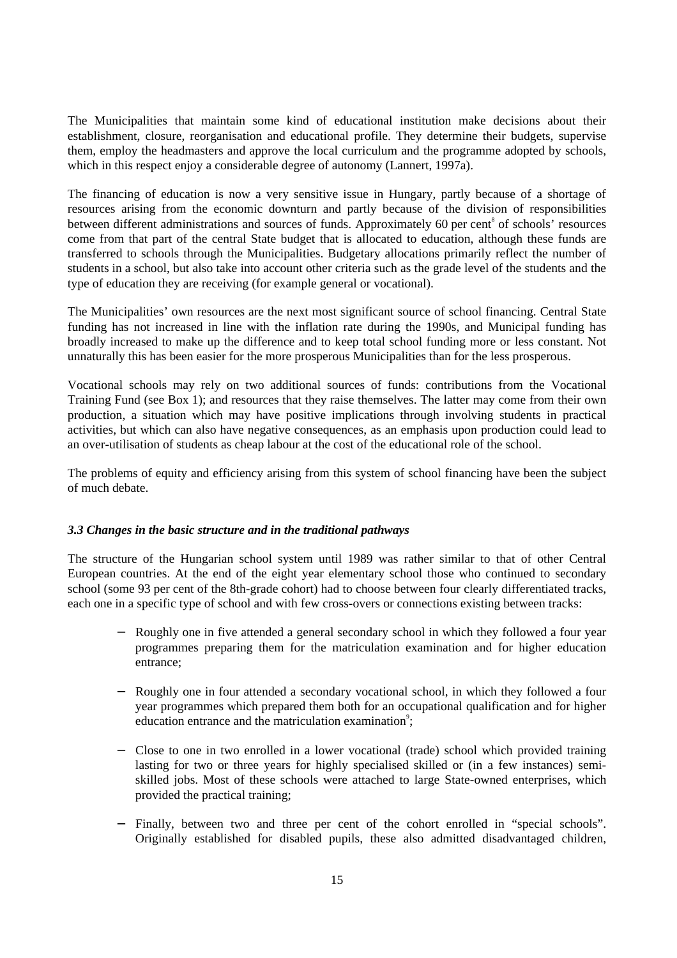The Municipalities that maintain some kind of educational institution make decisions about their establishment, closure, reorganisation and educational profile. They determine their budgets, supervise them, employ the headmasters and approve the local curriculum and the programme adopted by schools, which in this respect enjoy a considerable degree of autonomy (Lannert, 1997a).

The financing of education is now a very sensitive issue in Hungary, partly because of a shortage of resources arising from the economic downturn and partly because of the division of responsibilities between different administrations and sources of funds. Approximately 60 per cent<sup>8</sup> of schools' resources come from that part of the central State budget that is allocated to education, although these funds are transferred to schools through the Municipalities. Budgetary allocations primarily reflect the number of students in a school, but also take into account other criteria such as the grade level of the students and the type of education they are receiving (for example general or vocational).

The Municipalities' own resources are the next most significant source of school financing. Central State funding has not increased in line with the inflation rate during the 1990s, and Municipal funding has broadly increased to make up the difference and to keep total school funding more or less constant. Not unnaturally this has been easier for the more prosperous Municipalities than for the less prosperous.

Vocational schools may rely on two additional sources of funds: contributions from the Vocational Training Fund (see Box 1); and resources that they raise themselves. The latter may come from their own production, a situation which may have positive implications through involving students in practical activities, but which can also have negative consequences, as an emphasis upon production could lead to an over-utilisation of students as cheap labour at the cost of the educational role of the school.

The problems of equity and efficiency arising from this system of school financing have been the subject of much debate.

## *3.3 Changes in the basic structure and in the traditional pathways*

The structure of the Hungarian school system until 1989 was rather similar to that of other Central European countries. At the end of the eight year elementary school those who continued to secondary school (some 93 per cent of the 8th-grade cohort) had to choose between four clearly differentiated tracks, each one in a specific type of school and with few cross-overs or connections existing between tracks:

- Roughly one in five attended a general secondary school in which they followed a four year programmes preparing them for the matriculation examination and for higher education entrance;
- Roughly one in four attended a secondary vocational school, in which they followed a four year programmes which prepared them both for an occupational qualification and for higher education entrance and the matriculation examination<sup>9</sup>;
- − Close to one in two enrolled in a lower vocational (trade) school which provided training lasting for two or three years for highly specialised skilled or (in a few instances) semiskilled jobs. Most of these schools were attached to large State-owned enterprises, which provided the practical training;
- − Finally, between two and three per cent of the cohort enrolled in "special schools". Originally established for disabled pupils, these also admitted disadvantaged children,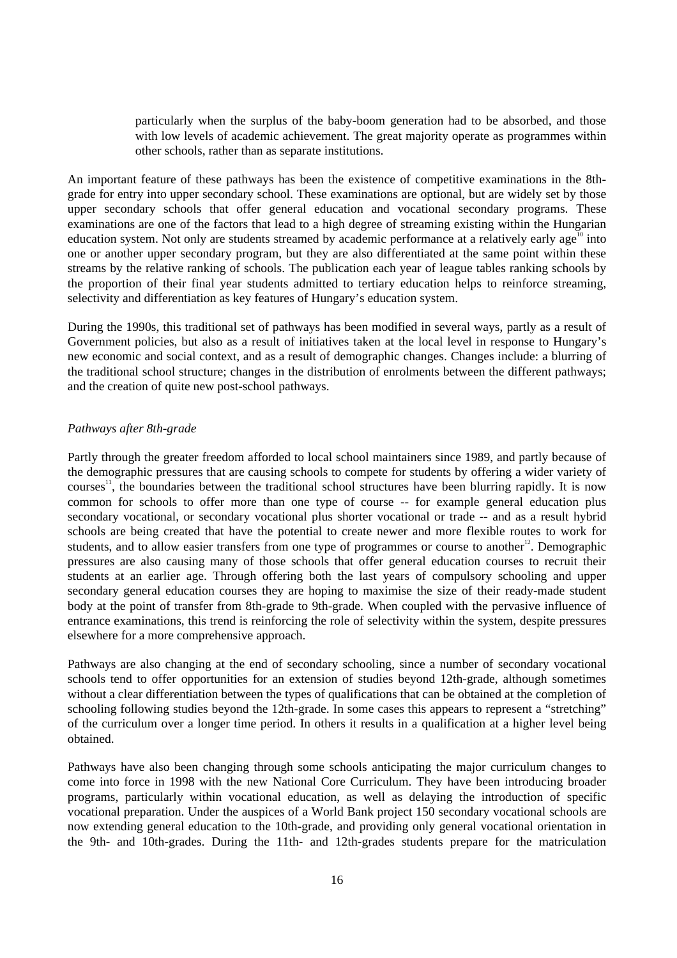particularly when the surplus of the baby-boom generation had to be absorbed, and those with low levels of academic achievement. The great majority operate as programmes within other schools, rather than as separate institutions.

An important feature of these pathways has been the existence of competitive examinations in the 8thgrade for entry into upper secondary school. These examinations are optional, but are widely set by those upper secondary schools that offer general education and vocational secondary programs. These examinations are one of the factors that lead to a high degree of streaming existing within the Hungarian education system. Not only are students streamed by academic performance at a relatively early age<sup>10</sup> into one or another upper secondary program, but they are also differentiated at the same point within these streams by the relative ranking of schools. The publication each year of league tables ranking schools by the proportion of their final year students admitted to tertiary education helps to reinforce streaming, selectivity and differentiation as key features of Hungary's education system.

During the 1990s, this traditional set of pathways has been modified in several ways, partly as a result of Government policies, but also as a result of initiatives taken at the local level in response to Hungary's new economic and social context, and as a result of demographic changes. Changes include: a blurring of the traditional school structure; changes in the distribution of enrolments between the different pathways; and the creation of quite new post-school pathways.

## *Pathways after 8th-grade*

Partly through the greater freedom afforded to local school maintainers since 1989, and partly because of the demographic pressures that are causing schools to compete for students by offering a wider variety of courses<sup>11</sup>, the boundaries between the traditional school structures have been blurring rapidly. It is now common for schools to offer more than one type of course -- for example general education plus secondary vocational, or secondary vocational plus shorter vocational or trade -- and as a result hybrid schools are being created that have the potential to create newer and more flexible routes to work for students, and to allow easier transfers from one type of programmes or course to another $12$ . Demographic pressures are also causing many of those schools that offer general education courses to recruit their students at an earlier age. Through offering both the last years of compulsory schooling and upper secondary general education courses they are hoping to maximise the size of their ready-made student body at the point of transfer from 8th-grade to 9th-grade. When coupled with the pervasive influence of entrance examinations, this trend is reinforcing the role of selectivity within the system, despite pressures elsewhere for a more comprehensive approach.

Pathways are also changing at the end of secondary schooling, since a number of secondary vocational schools tend to offer opportunities for an extension of studies beyond 12th-grade, although sometimes without a clear differentiation between the types of qualifications that can be obtained at the completion of schooling following studies beyond the 12th-grade. In some cases this appears to represent a "stretching" of the curriculum over a longer time period. In others it results in a qualification at a higher level being obtained.

Pathways have also been changing through some schools anticipating the major curriculum changes to come into force in 1998 with the new National Core Curriculum. They have been introducing broader programs, particularly within vocational education, as well as delaying the introduction of specific vocational preparation. Under the auspices of a World Bank project 150 secondary vocational schools are now extending general education to the 10th-grade, and providing only general vocational orientation in the 9th- and 10th-grades. During the 11th- and 12th-grades students prepare for the matriculation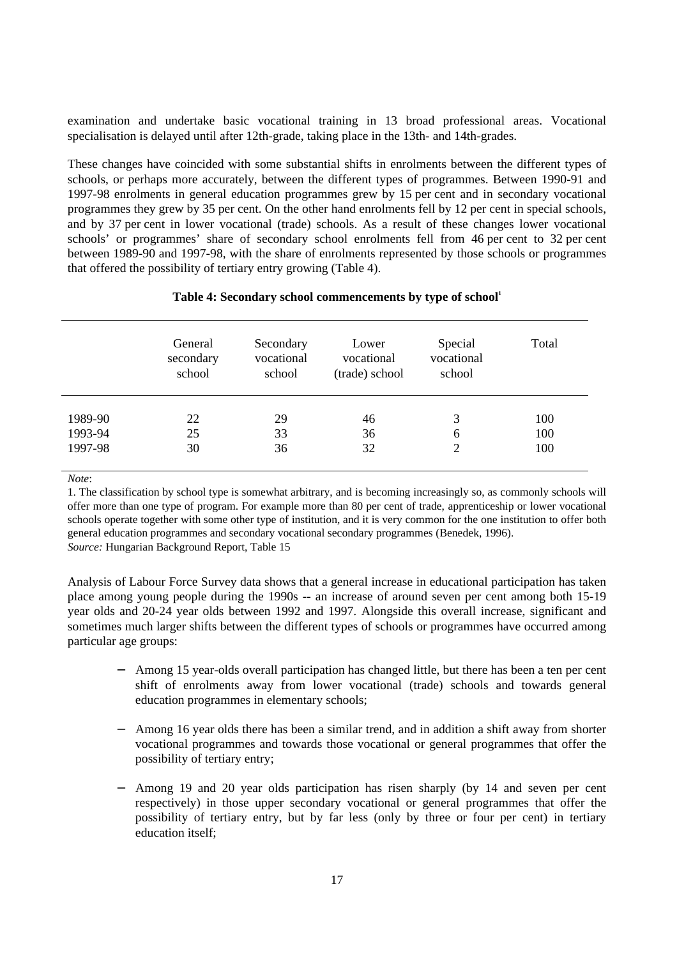examination and undertake basic vocational training in 13 broad professional areas. Vocational specialisation is delayed until after 12th-grade, taking place in the 13th- and 14th-grades.

These changes have coincided with some substantial shifts in enrolments between the different types of schools, or perhaps more accurately, between the different types of programmes. Between 1990-91 and 1997-98 enrolments in general education programmes grew by 15 per cent and in secondary vocational programmes they grew by 35 per cent. On the other hand enrolments fell by 12 per cent in special schools, and by 37 per cent in lower vocational (trade) schools. As a result of these changes lower vocational schools' or programmes' share of secondary school enrolments fell from 46 per cent to 32 per cent between 1989-90 and 1997-98, with the share of enrolments represented by those schools or programmes that offered the possibility of tertiary entry growing (Table 4).

#### Table 4: Secondary school commencements by type of school<sup>1</sup>

|         | General<br>secondary<br>school | Secondary<br>vocational<br>school | Lower<br>vocational<br>(trade) school | Special<br>vocational<br>school | Total |
|---------|--------------------------------|-----------------------------------|---------------------------------------|---------------------------------|-------|
| 1989-90 | 22                             | 29                                | 46                                    | 3                               | 100   |
| 1993-94 | 25                             | 33                                | 36                                    | 6                               | 100   |
| 1997-98 | 30                             | 36                                | 32                                    | 2                               | 100   |

*Note*:

1. The classification by school type is somewhat arbitrary, and is becoming increasingly so, as commonly schools will offer more than one type of program. For example more than 80 per cent of trade, apprenticeship or lower vocational schools operate together with some other type of institution, and it is very common for the one institution to offer both general education programmes and secondary vocational secondary programmes (Benedek, 1996). *Source:* Hungarian Background Report, Table 15

Analysis of Labour Force Survey data shows that a general increase in educational participation has taken place among young people during the 1990s -- an increase of around seven per cent among both 15-19 year olds and 20-24 year olds between 1992 and 1997. Alongside this overall increase, significant and sometimes much larger shifts between the different types of schools or programmes have occurred among particular age groups:

- − Among 15 year-olds overall participation has changed little, but there has been a ten per cent shift of enrolments away from lower vocational (trade) schools and towards general education programmes in elementary schools;
- Among 16 year olds there has been a similar trend, and in addition a shift away from shorter vocational programmes and towards those vocational or general programmes that offer the possibility of tertiary entry;
- Among 19 and 20 year olds participation has risen sharply (by 14 and seven per cent respectively) in those upper secondary vocational or general programmes that offer the possibility of tertiary entry, but by far less (only by three or four per cent) in tertiary education itself;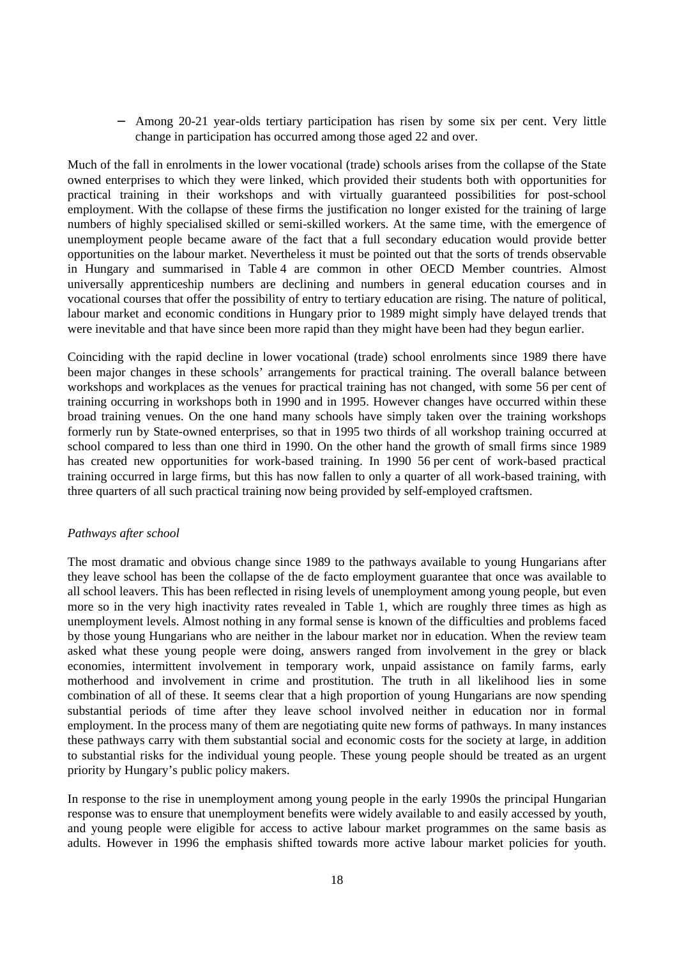− Among 20-21 year-olds tertiary participation has risen by some six per cent. Very little change in participation has occurred among those aged 22 and over.

Much of the fall in enrolments in the lower vocational (trade) schools arises from the collapse of the State owned enterprises to which they were linked, which provided their students both with opportunities for practical training in their workshops and with virtually guaranteed possibilities for post-school employment. With the collapse of these firms the justification no longer existed for the training of large numbers of highly specialised skilled or semi-skilled workers. At the same time, with the emergence of unemployment people became aware of the fact that a full secondary education would provide better opportunities on the labour market. Nevertheless it must be pointed out that the sorts of trends observable in Hungary and summarised in Table 4 are common in other OECD Member countries. Almost universally apprenticeship numbers are declining and numbers in general education courses and in vocational courses that offer the possibility of entry to tertiary education are rising. The nature of political, labour market and economic conditions in Hungary prior to 1989 might simply have delayed trends that were inevitable and that have since been more rapid than they might have been had they begun earlier.

Coinciding with the rapid decline in lower vocational (trade) school enrolments since 1989 there have been major changes in these schools' arrangements for practical training. The overall balance between workshops and workplaces as the venues for practical training has not changed, with some 56 per cent of training occurring in workshops both in 1990 and in 1995. However changes have occurred within these broad training venues. On the one hand many schools have simply taken over the training workshops formerly run by State-owned enterprises, so that in 1995 two thirds of all workshop training occurred at school compared to less than one third in 1990. On the other hand the growth of small firms since 1989 has created new opportunities for work-based training. In 1990 56 per cent of work-based practical training occurred in large firms, but this has now fallen to only a quarter of all work-based training, with three quarters of all such practical training now being provided by self-employed craftsmen.

#### *Pathways after school*

The most dramatic and obvious change since 1989 to the pathways available to young Hungarians after they leave school has been the collapse of the de facto employment guarantee that once was available to all school leavers. This has been reflected in rising levels of unemployment among young people, but even more so in the very high inactivity rates revealed in Table 1, which are roughly three times as high as unemployment levels. Almost nothing in any formal sense is known of the difficulties and problems faced by those young Hungarians who are neither in the labour market nor in education. When the review team asked what these young people were doing, answers ranged from involvement in the grey or black economies, intermittent involvement in temporary work, unpaid assistance on family farms, early motherhood and involvement in crime and prostitution. The truth in all likelihood lies in some combination of all of these. It seems clear that a high proportion of young Hungarians are now spending substantial periods of time after they leave school involved neither in education nor in formal employment. In the process many of them are negotiating quite new forms of pathways. In many instances these pathways carry with them substantial social and economic costs for the society at large, in addition to substantial risks for the individual young people. These young people should be treated as an urgent priority by Hungary's public policy makers.

In response to the rise in unemployment among young people in the early 1990s the principal Hungarian response was to ensure that unemployment benefits were widely available to and easily accessed by youth, and young people were eligible for access to active labour market programmes on the same basis as adults. However in 1996 the emphasis shifted towards more active labour market policies for youth.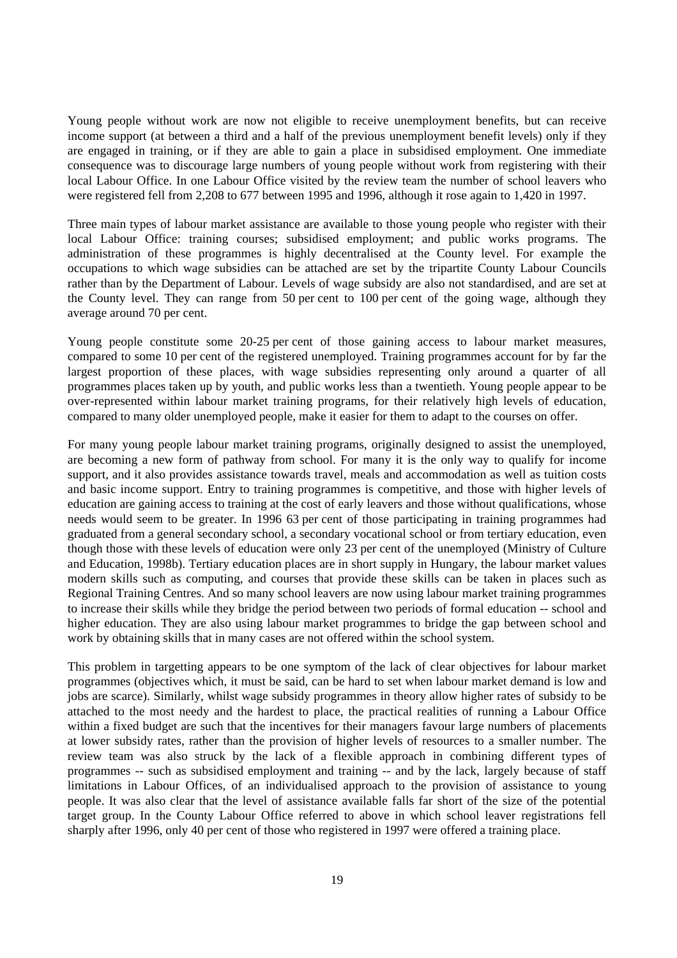Young people without work are now not eligible to receive unemployment benefits, but can receive income support (at between a third and a half of the previous unemployment benefit levels) only if they are engaged in training, or if they are able to gain a place in subsidised employment. One immediate consequence was to discourage large numbers of young people without work from registering with their local Labour Office. In one Labour Office visited by the review team the number of school leavers who were registered fell from 2,208 to 677 between 1995 and 1996, although it rose again to 1,420 in 1997.

Three main types of labour market assistance are available to those young people who register with their local Labour Office: training courses; subsidised employment; and public works programs. The administration of these programmes is highly decentralised at the County level. For example the occupations to which wage subsidies can be attached are set by the tripartite County Labour Councils rather than by the Department of Labour. Levels of wage subsidy are also not standardised, and are set at the County level. They can range from 50 per cent to 100 per cent of the going wage, although they average around 70 per cent.

Young people constitute some 20-25 per cent of those gaining access to labour market measures, compared to some 10 per cent of the registered unemployed. Training programmes account for by far the largest proportion of these places, with wage subsidies representing only around a quarter of all programmes places taken up by youth, and public works less than a twentieth. Young people appear to be over-represented within labour market training programs, for their relatively high levels of education, compared to many older unemployed people, make it easier for them to adapt to the courses on offer.

For many young people labour market training programs, originally designed to assist the unemployed, are becoming a new form of pathway from school. For many it is the only way to qualify for income support, and it also provides assistance towards travel, meals and accommodation as well as tuition costs and basic income support. Entry to training programmes is competitive, and those with higher levels of education are gaining access to training at the cost of early leavers and those without qualifications, whose needs would seem to be greater. In 1996 63 per cent of those participating in training programmes had graduated from a general secondary school, a secondary vocational school or from tertiary education, even though those with these levels of education were only 23 per cent of the unemployed (Ministry of Culture and Education, 1998b). Tertiary education places are in short supply in Hungary, the labour market values modern skills such as computing, and courses that provide these skills can be taken in places such as Regional Training Centres. And so many school leavers are now using labour market training programmes to increase their skills while they bridge the period between two periods of formal education -- school and higher education. They are also using labour market programmes to bridge the gap between school and work by obtaining skills that in many cases are not offered within the school system.

This problem in targetting appears to be one symptom of the lack of clear objectives for labour market programmes (objectives which, it must be said, can be hard to set when labour market demand is low and jobs are scarce). Similarly, whilst wage subsidy programmes in theory allow higher rates of subsidy to be attached to the most needy and the hardest to place, the practical realities of running a Labour Office within a fixed budget are such that the incentives for their managers favour large numbers of placements at lower subsidy rates, rather than the provision of higher levels of resources to a smaller number. The review team was also struck by the lack of a flexible approach in combining different types of programmes -- such as subsidised employment and training -- and by the lack, largely because of staff limitations in Labour Offices, of an individualised approach to the provision of assistance to young people. It was also clear that the level of assistance available falls far short of the size of the potential target group. In the County Labour Office referred to above in which school leaver registrations fell sharply after 1996, only 40 per cent of those who registered in 1997 were offered a training place.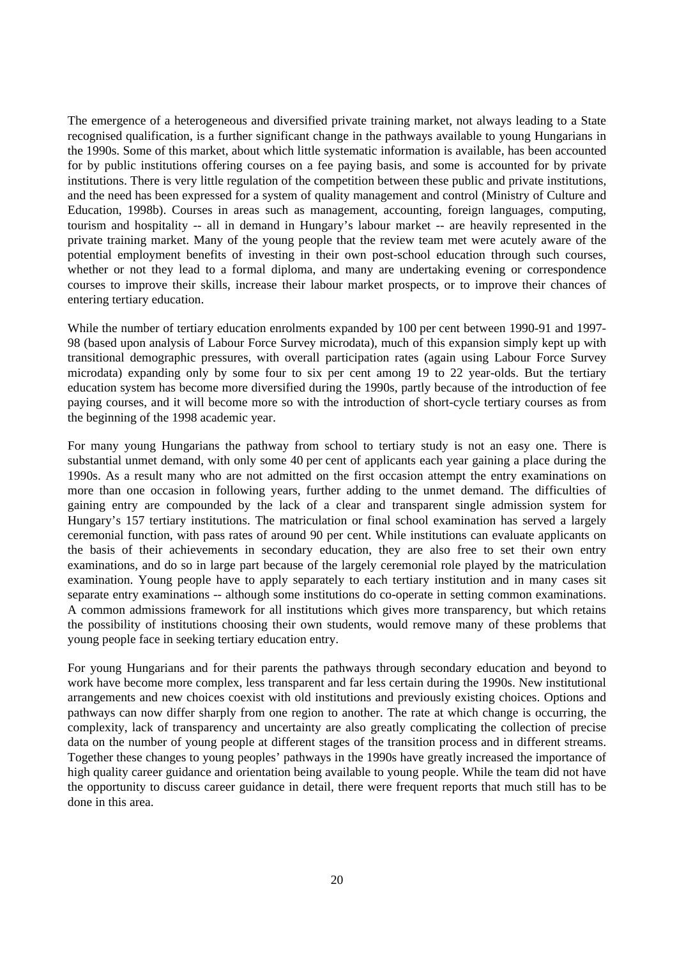The emergence of a heterogeneous and diversified private training market, not always leading to a State recognised qualification, is a further significant change in the pathways available to young Hungarians in the 1990s. Some of this market, about which little systematic information is available, has been accounted for by public institutions offering courses on a fee paying basis, and some is accounted for by private institutions. There is very little regulation of the competition between these public and private institutions, and the need has been expressed for a system of quality management and control (Ministry of Culture and Education, 1998b). Courses in areas such as management, accounting, foreign languages, computing, tourism and hospitality -- all in demand in Hungary's labour market -- are heavily represented in the private training market. Many of the young people that the review team met were acutely aware of the potential employment benefits of investing in their own post-school education through such courses, whether or not they lead to a formal diploma, and many are undertaking evening or correspondence courses to improve their skills, increase their labour market prospects, or to improve their chances of entering tertiary education.

While the number of tertiary education enrolments expanded by 100 per cent between 1990-91 and 1997- 98 (based upon analysis of Labour Force Survey microdata), much of this expansion simply kept up with transitional demographic pressures, with overall participation rates (again using Labour Force Survey microdata) expanding only by some four to six per cent among 19 to 22 year-olds. But the tertiary education system has become more diversified during the 1990s, partly because of the introduction of fee paying courses, and it will become more so with the introduction of short-cycle tertiary courses as from the beginning of the 1998 academic year.

For many young Hungarians the pathway from school to tertiary study is not an easy one. There is substantial unmet demand, with only some 40 per cent of applicants each year gaining a place during the 1990s. As a result many who are not admitted on the first occasion attempt the entry examinations on more than one occasion in following years, further adding to the unmet demand. The difficulties of gaining entry are compounded by the lack of a clear and transparent single admission system for Hungary's 157 tertiary institutions. The matriculation or final school examination has served a largely ceremonial function, with pass rates of around 90 per cent. While institutions can evaluate applicants on the basis of their achievements in secondary education, they are also free to set their own entry examinations, and do so in large part because of the largely ceremonial role played by the matriculation examination. Young people have to apply separately to each tertiary institution and in many cases sit separate entry examinations -- although some institutions do co-operate in setting common examinations. A common admissions framework for all institutions which gives more transparency, but which retains the possibility of institutions choosing their own students, would remove many of these problems that young people face in seeking tertiary education entry.

For young Hungarians and for their parents the pathways through secondary education and beyond to work have become more complex, less transparent and far less certain during the 1990s. New institutional arrangements and new choices coexist with old institutions and previously existing choices. Options and pathways can now differ sharply from one region to another. The rate at which change is occurring, the complexity, lack of transparency and uncertainty are also greatly complicating the collection of precise data on the number of young people at different stages of the transition process and in different streams. Together these changes to young peoples' pathways in the 1990s have greatly increased the importance of high quality career guidance and orientation being available to young people. While the team did not have the opportunity to discuss career guidance in detail, there were frequent reports that much still has to be done in this area.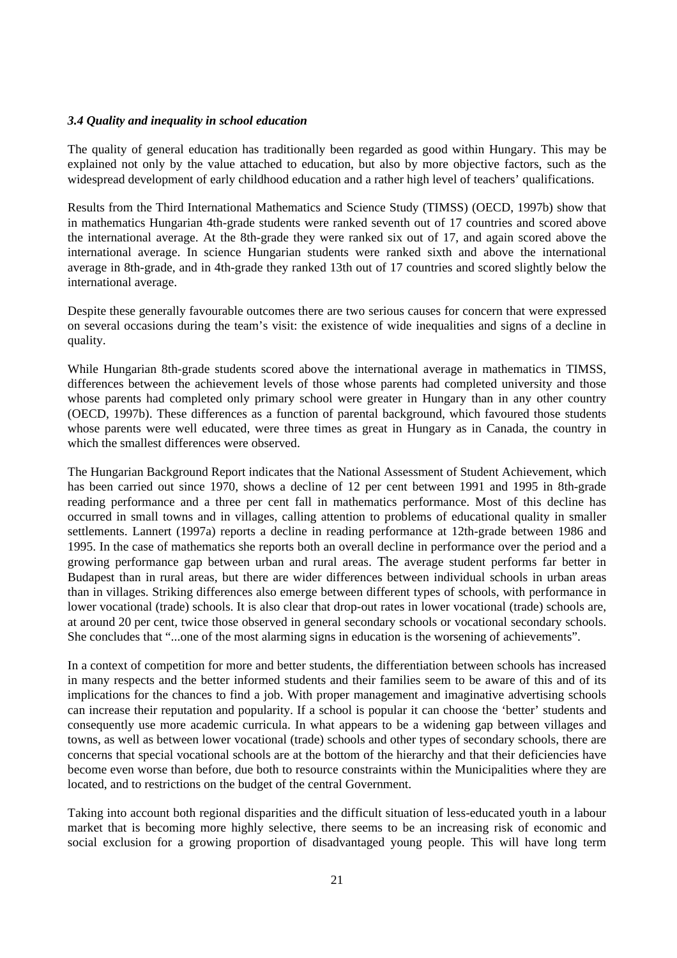#### *3.4 Quality and inequality in school education*

The quality of general education has traditionally been regarded as good within Hungary. This may be explained not only by the value attached to education, but also by more objective factors, such as the widespread development of early childhood education and a rather high level of teachers' qualifications.

Results from the Third International Mathematics and Science Study (TIMSS) (OECD, 1997b) show that in mathematics Hungarian 4th-grade students were ranked seventh out of 17 countries and scored above the international average. At the 8th-grade they were ranked six out of 17, and again scored above the international average. In science Hungarian students were ranked sixth and above the international average in 8th-grade, and in 4th-grade they ranked 13th out of 17 countries and scored slightly below the international average.

Despite these generally favourable outcomes there are two serious causes for concern that were expressed on several occasions during the team's visit: the existence of wide inequalities and signs of a decline in quality.

While Hungarian 8th-grade students scored above the international average in mathematics in TIMSS, differences between the achievement levels of those whose parents had completed university and those whose parents had completed only primary school were greater in Hungary than in any other country (OECD, 1997b). These differences as a function of parental background, which favoured those students whose parents were well educated, were three times as great in Hungary as in Canada, the country in which the smallest differences were observed.

The Hungarian Background Report indicates that the National Assessment of Student Achievement, which has been carried out since 1970, shows a decline of 12 per cent between 1991 and 1995 in 8th-grade reading performance and a three per cent fall in mathematics performance. Most of this decline has occurred in small towns and in villages, calling attention to problems of educational quality in smaller settlements. Lannert (1997a) reports a decline in reading performance at 12th-grade between 1986 and 1995. In the case of mathematics she reports both an overall decline in performance over the period and a growing performance gap between urban and rural areas. The average student performs far better in Budapest than in rural areas, but there are wider differences between individual schools in urban areas than in villages. Striking differences also emerge between different types of schools, with performance in lower vocational (trade) schools. It is also clear that drop-out rates in lower vocational (trade) schools are, at around 20 per cent, twice those observed in general secondary schools or vocational secondary schools. She concludes that "...one of the most alarming signs in education is the worsening of achievements".

In a context of competition for more and better students, the differentiation between schools has increased in many respects and the better informed students and their families seem to be aware of this and of its implications for the chances to find a job. With proper management and imaginative advertising schools can increase their reputation and popularity. If a school is popular it can choose the 'better' students and consequently use more academic curricula. In what appears to be a widening gap between villages and towns, as well as between lower vocational (trade) schools and other types of secondary schools, there are concerns that special vocational schools are at the bottom of the hierarchy and that their deficiencies have become even worse than before, due both to resource constraints within the Municipalities where they are located, and to restrictions on the budget of the central Government.

Taking into account both regional disparities and the difficult situation of less-educated youth in a labour market that is becoming more highly selective, there seems to be an increasing risk of economic and social exclusion for a growing proportion of disadvantaged young people. This will have long term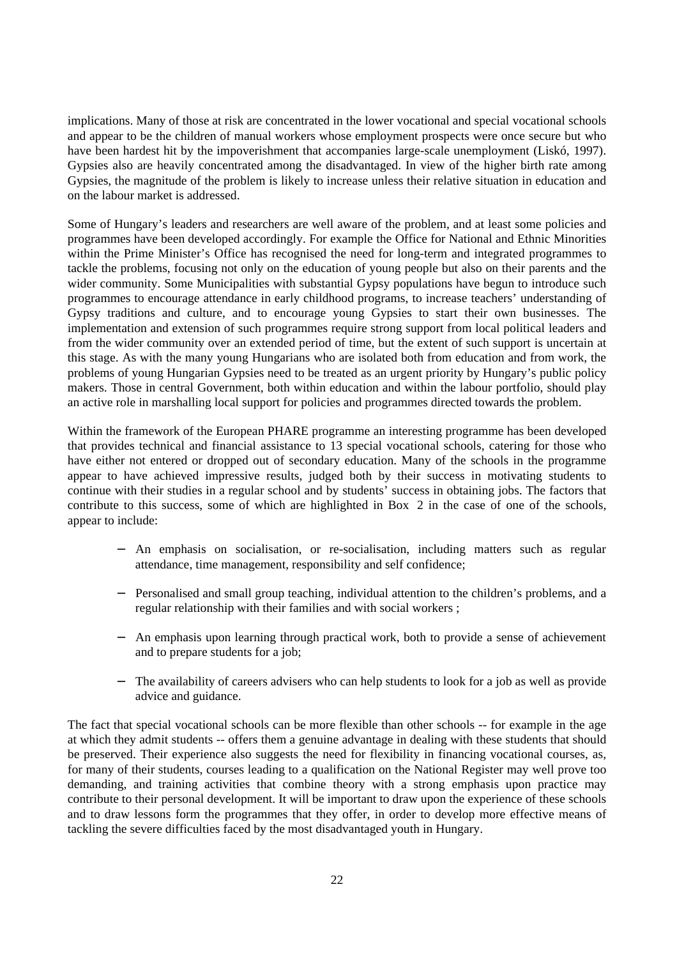implications. Many of those at risk are concentrated in the lower vocational and special vocational schools and appear to be the children of manual workers whose employment prospects were once secure but who have been hardest hit by the impoverishment that accompanies large-scale unemployment (Liskó, 1997). Gypsies also are heavily concentrated among the disadvantaged. In view of the higher birth rate among Gypsies, the magnitude of the problem is likely to increase unless their relative situation in education and on the labour market is addressed.

Some of Hungary's leaders and researchers are well aware of the problem, and at least some policies and programmes have been developed accordingly. For example the Office for National and Ethnic Minorities within the Prime Minister's Office has recognised the need for long-term and integrated programmes to tackle the problems, focusing not only on the education of young people but also on their parents and the wider community. Some Municipalities with substantial Gypsy populations have begun to introduce such programmes to encourage attendance in early childhood programs, to increase teachers' understanding of Gypsy traditions and culture, and to encourage young Gypsies to start their own businesses. The implementation and extension of such programmes require strong support from local political leaders and from the wider community over an extended period of time, but the extent of such support is uncertain at this stage. As with the many young Hungarians who are isolated both from education and from work, the problems of young Hungarian Gypsies need to be treated as an urgent priority by Hungary's public policy makers. Those in central Government, both within education and within the labour portfolio, should play an active role in marshalling local support for policies and programmes directed towards the problem.

Within the framework of the European PHARE programme an interesting programme has been developed that provides technical and financial assistance to 13 special vocational schools, catering for those who have either not entered or dropped out of secondary education. Many of the schools in the programme appear to have achieved impressive results, judged both by their success in motivating students to continue with their studies in a regular school and by students' success in obtaining jobs. The factors that contribute to this success, some of which are highlighted in Box 2 in the case of one of the schools, appear to include:

- An emphasis on socialisation, or re-socialisation, including matters such as regular attendance, time management, responsibility and self confidence;
- − Personalised and small group teaching, individual attention to the children's problems, and a regular relationship with their families and with social workers ;
- An emphasis upon learning through practical work, both to provide a sense of achievement and to prepare students for a job;
- − The availability of careers advisers who can help students to look for a job as well as provide advice and guidance.

The fact that special vocational schools can be more flexible than other schools -- for example in the age at which they admit students -- offers them a genuine advantage in dealing with these students that should be preserved. Their experience also suggests the need for flexibility in financing vocational courses, as, for many of their students, courses leading to a qualification on the National Register may well prove too demanding, and training activities that combine theory with a strong emphasis upon practice may contribute to their personal development. It will be important to draw upon the experience of these schools and to draw lessons form the programmes that they offer, in order to develop more effective means of tackling the severe difficulties faced by the most disadvantaged youth in Hungary.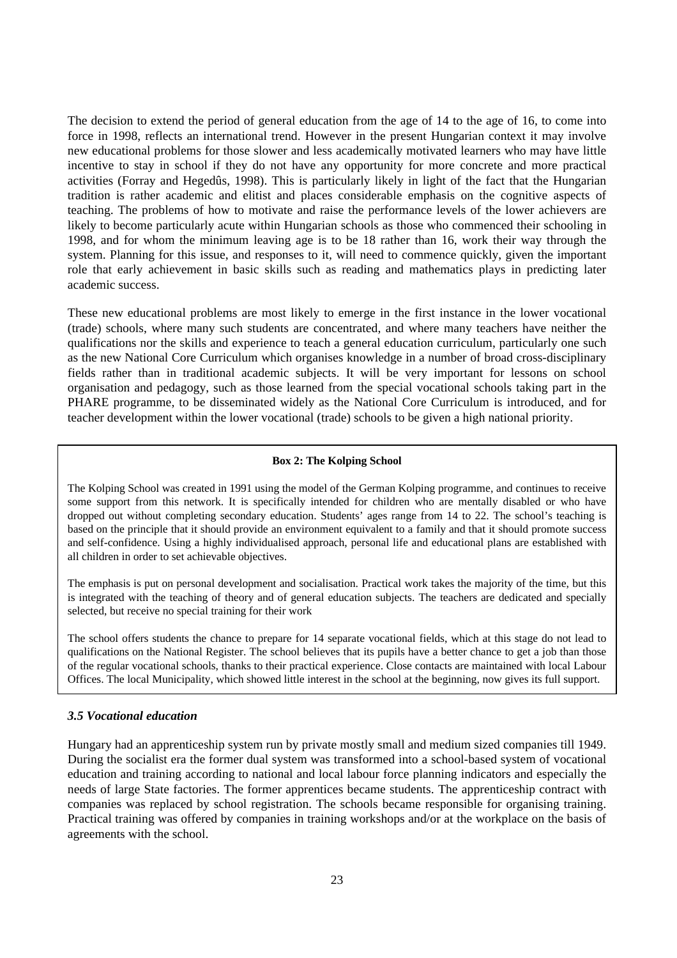The decision to extend the period of general education from the age of 14 to the age of 16, to come into force in 1998, reflects an international trend. However in the present Hungarian context it may involve new educational problems for those slower and less academically motivated learners who may have little incentive to stay in school if they do not have any opportunity for more concrete and more practical activities (Forray and Hegedûs, 1998). This is particularly likely in light of the fact that the Hungarian tradition is rather academic and elitist and places considerable emphasis on the cognitive aspects of teaching. The problems of how to motivate and raise the performance levels of the lower achievers are likely to become particularly acute within Hungarian schools as those who commenced their schooling in 1998, and for whom the minimum leaving age is to be 18 rather than 16, work their way through the system. Planning for this issue, and responses to it, will need to commence quickly, given the important role that early achievement in basic skills such as reading and mathematics plays in predicting later academic success.

These new educational problems are most likely to emerge in the first instance in the lower vocational (trade) schools, where many such students are concentrated, and where many teachers have neither the qualifications nor the skills and experience to teach a general education curriculum, particularly one such as the new National Core Curriculum which organises knowledge in a number of broad cross-disciplinary fields rather than in traditional academic subjects. It will be very important for lessons on school organisation and pedagogy, such as those learned from the special vocational schools taking part in the PHARE programme, to be disseminated widely as the National Core Curriculum is introduced, and for teacher development within the lower vocational (trade) schools to be given a high national priority.

#### **Box 2: The Kolping School**

The Kolping School was created in 1991 using the model of the German Kolping programme, and continues to receive some support from this network. It is specifically intended for children who are mentally disabled or who have dropped out without completing secondary education. Students' ages range from 14 to 22. The school's teaching is based on the principle that it should provide an environment equivalent to a family and that it should promote success and self-confidence. Using a highly individualised approach, personal life and educational plans are established with all children in order to set achievable objectives.

The emphasis is put on personal development and socialisation. Practical work takes the majority of the time, but this is integrated with the teaching of theory and of general education subjects. The teachers are dedicated and specially selected, but receive no special training for their work

The school offers students the chance to prepare for 14 separate vocational fields, which at this stage do not lead to qualifications on the National Register. The school believes that its pupils have a better chance to get a job than those of the regular vocational schools, thanks to their practical experience. Close contacts are maintained with local Labour Offices. The local Municipality, which showed little interest in the school at the beginning, now gives its full support.

#### *3.5 Vocational education*

Hungary had an apprenticeship system run by private mostly small and medium sized companies till 1949. During the socialist era the former dual system was transformed into a school-based system of vocational education and training according to national and local labour force planning indicators and especially the needs of large State factories. The former apprentices became students. The apprenticeship contract with companies was replaced by school registration. The schools became responsible for organising training. Practical training was offered by companies in training workshops and/or at the workplace on the basis of agreements with the school.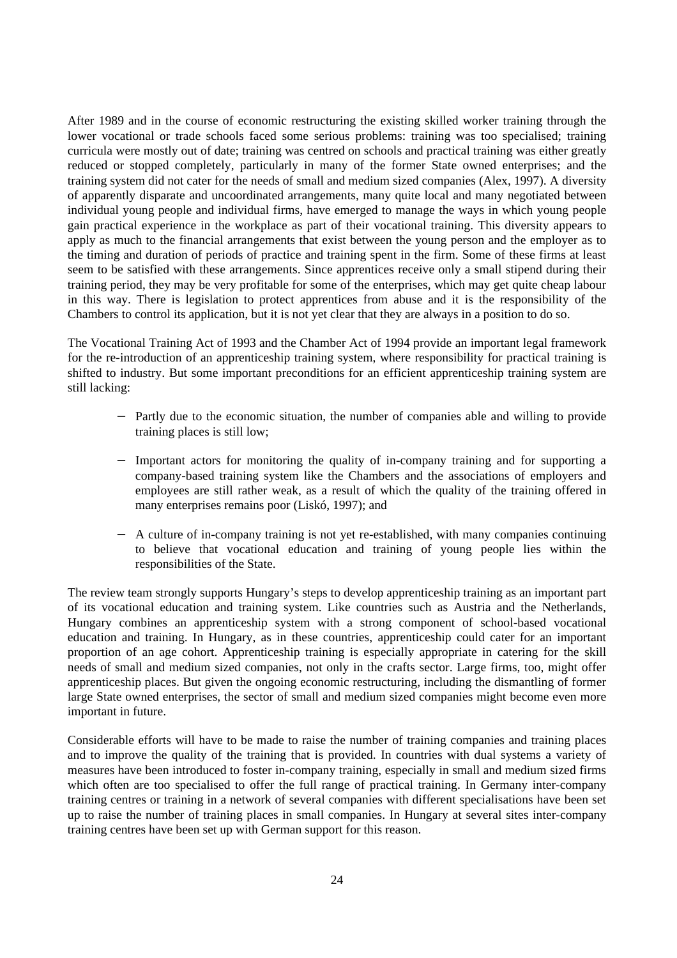After 1989 and in the course of economic restructuring the existing skilled worker training through the lower vocational or trade schools faced some serious problems: training was too specialised; training curricula were mostly out of date; training was centred on schools and practical training was either greatly reduced or stopped completely, particularly in many of the former State owned enterprises; and the training system did not cater for the needs of small and medium sized companies (Alex, 1997). A diversity of apparently disparate and uncoordinated arrangements, many quite local and many negotiated between individual young people and individual firms, have emerged to manage the ways in which young people gain practical experience in the workplace as part of their vocational training. This diversity appears to apply as much to the financial arrangements that exist between the young person and the employer as to the timing and duration of periods of practice and training spent in the firm. Some of these firms at least seem to be satisfied with these arrangements. Since apprentices receive only a small stipend during their training period, they may be very profitable for some of the enterprises, which may get quite cheap labour in this way. There is legislation to protect apprentices from abuse and it is the responsibility of the Chambers to control its application, but it is not yet clear that they are always in a position to do so.

The Vocational Training Act of 1993 and the Chamber Act of 1994 provide an important legal framework for the re-introduction of an apprenticeship training system, where responsibility for practical training is shifted to industry. But some important preconditions for an efficient apprenticeship training system are still lacking:

- − Partly due to the economic situation, the number of companies able and willing to provide training places is still low;
- Important actors for monitoring the quality of in-company training and for supporting a company-based training system like the Chambers and the associations of employers and employees are still rather weak, as a result of which the quality of the training offered in many enterprises remains poor (Liskó, 1997); and
- − A culture of in-company training is not yet re-established, with many companies continuing to believe that vocational education and training of young people lies within the responsibilities of the State.

The review team strongly supports Hungary's steps to develop apprenticeship training as an important part of its vocational education and training system. Like countries such as Austria and the Netherlands, Hungary combines an apprenticeship system with a strong component of school-based vocational education and training. In Hungary, as in these countries, apprenticeship could cater for an important proportion of an age cohort. Apprenticeship training is especially appropriate in catering for the skill needs of small and medium sized companies, not only in the crafts sector. Large firms, too, might offer apprenticeship places. But given the ongoing economic restructuring, including the dismantling of former large State owned enterprises, the sector of small and medium sized companies might become even more important in future.

Considerable efforts will have to be made to raise the number of training companies and training places and to improve the quality of the training that is provided. In countries with dual systems a variety of measures have been introduced to foster in-company training, especially in small and medium sized firms which often are too specialised to offer the full range of practical training. In Germany inter-company training centres or training in a network of several companies with different specialisations have been set up to raise the number of training places in small companies. In Hungary at several sites inter-company training centres have been set up with German support for this reason.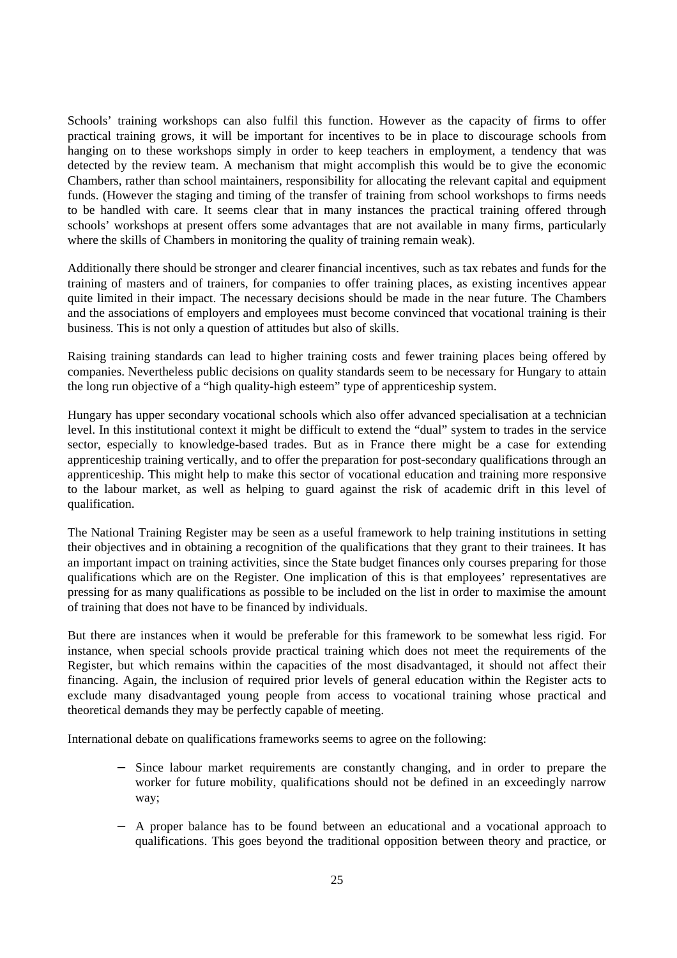Schools' training workshops can also fulfil this function. However as the capacity of firms to offer practical training grows, it will be important for incentives to be in place to discourage schools from hanging on to these workshops simply in order to keep teachers in employment, a tendency that was detected by the review team. A mechanism that might accomplish this would be to give the economic Chambers, rather than school maintainers, responsibility for allocating the relevant capital and equipment funds. (However the staging and timing of the transfer of training from school workshops to firms needs to be handled with care. It seems clear that in many instances the practical training offered through schools' workshops at present offers some advantages that are not available in many firms, particularly where the skills of Chambers in monitoring the quality of training remain weak).

Additionally there should be stronger and clearer financial incentives, such as tax rebates and funds for the training of masters and of trainers, for companies to offer training places, as existing incentives appear quite limited in their impact. The necessary decisions should be made in the near future. The Chambers and the associations of employers and employees must become convinced that vocational training is their business. This is not only a question of attitudes but also of skills.

Raising training standards can lead to higher training costs and fewer training places being offered by companies. Nevertheless public decisions on quality standards seem to be necessary for Hungary to attain the long run objective of a "high quality-high esteem" type of apprenticeship system.

Hungary has upper secondary vocational schools which also offer advanced specialisation at a technician level. In this institutional context it might be difficult to extend the "dual" system to trades in the service sector, especially to knowledge-based trades. But as in France there might be a case for extending apprenticeship training vertically, and to offer the preparation for post-secondary qualifications through an apprenticeship. This might help to make this sector of vocational education and training more responsive to the labour market, as well as helping to guard against the risk of academic drift in this level of qualification.

The National Training Register may be seen as a useful framework to help training institutions in setting their objectives and in obtaining a recognition of the qualifications that they grant to their trainees. It has an important impact on training activities, since the State budget finances only courses preparing for those qualifications which are on the Register. One implication of this is that employees' representatives are pressing for as many qualifications as possible to be included on the list in order to maximise the amount of training that does not have to be financed by individuals.

But there are instances when it would be preferable for this framework to be somewhat less rigid. For instance, when special schools provide practical training which does not meet the requirements of the Register, but which remains within the capacities of the most disadvantaged, it should not affect their financing. Again, the inclusion of required prior levels of general education within the Register acts to exclude many disadvantaged young people from access to vocational training whose practical and theoretical demands they may be perfectly capable of meeting.

International debate on qualifications frameworks seems to agree on the following:

- − Since labour market requirements are constantly changing, and in order to prepare the worker for future mobility, qualifications should not be defined in an exceedingly narrow way;
- − A proper balance has to be found between an educational and a vocational approach to qualifications. This goes beyond the traditional opposition between theory and practice, or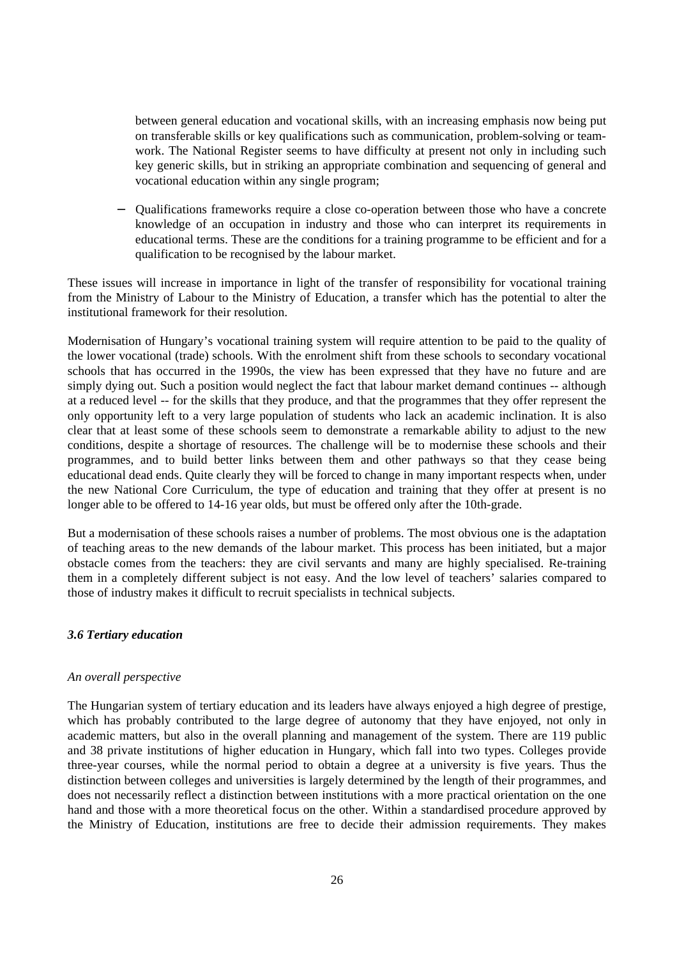between general education and vocational skills, with an increasing emphasis now being put on transferable skills or key qualifications such as communication, problem-solving or teamwork. The National Register seems to have difficulty at present not only in including such key generic skills, but in striking an appropriate combination and sequencing of general and vocational education within any single program;

− Qualifications frameworks require a close co-operation between those who have a concrete knowledge of an occupation in industry and those who can interpret its requirements in educational terms. These are the conditions for a training programme to be efficient and for a qualification to be recognised by the labour market.

These issues will increase in importance in light of the transfer of responsibility for vocational training from the Ministry of Labour to the Ministry of Education, a transfer which has the potential to alter the institutional framework for their resolution.

Modernisation of Hungary's vocational training system will require attention to be paid to the quality of the lower vocational (trade) schools. With the enrolment shift from these schools to secondary vocational schools that has occurred in the 1990s, the view has been expressed that they have no future and are simply dying out. Such a position would neglect the fact that labour market demand continues -- although at a reduced level -- for the skills that they produce, and that the programmes that they offer represent the only opportunity left to a very large population of students who lack an academic inclination. It is also clear that at least some of these schools seem to demonstrate a remarkable ability to adjust to the new conditions, despite a shortage of resources. The challenge will be to modernise these schools and their programmes, and to build better links between them and other pathways so that they cease being educational dead ends. Quite clearly they will be forced to change in many important respects when, under the new National Core Curriculum, the type of education and training that they offer at present is no longer able to be offered to 14-16 year olds, but must be offered only after the 10th-grade.

But a modernisation of these schools raises a number of problems. The most obvious one is the adaptation of teaching areas to the new demands of the labour market. This process has been initiated, but a major obstacle comes from the teachers: they are civil servants and many are highly specialised. Re-training them in a completely different subject is not easy. And the low level of teachers' salaries compared to those of industry makes it difficult to recruit specialists in technical subjects.

#### *3.6 Tertiary education*

## *An overall perspective*

The Hungarian system of tertiary education and its leaders have always enjoyed a high degree of prestige, which has probably contributed to the large degree of autonomy that they have enjoyed, not only in academic matters, but also in the overall planning and management of the system. There are 119 public and 38 private institutions of higher education in Hungary, which fall into two types. Colleges provide three-year courses, while the normal period to obtain a degree at a university is five years. Thus the distinction between colleges and universities is largely determined by the length of their programmes, and does not necessarily reflect a distinction between institutions with a more practical orientation on the one hand and those with a more theoretical focus on the other. Within a standardised procedure approved by the Ministry of Education, institutions are free to decide their admission requirements. They makes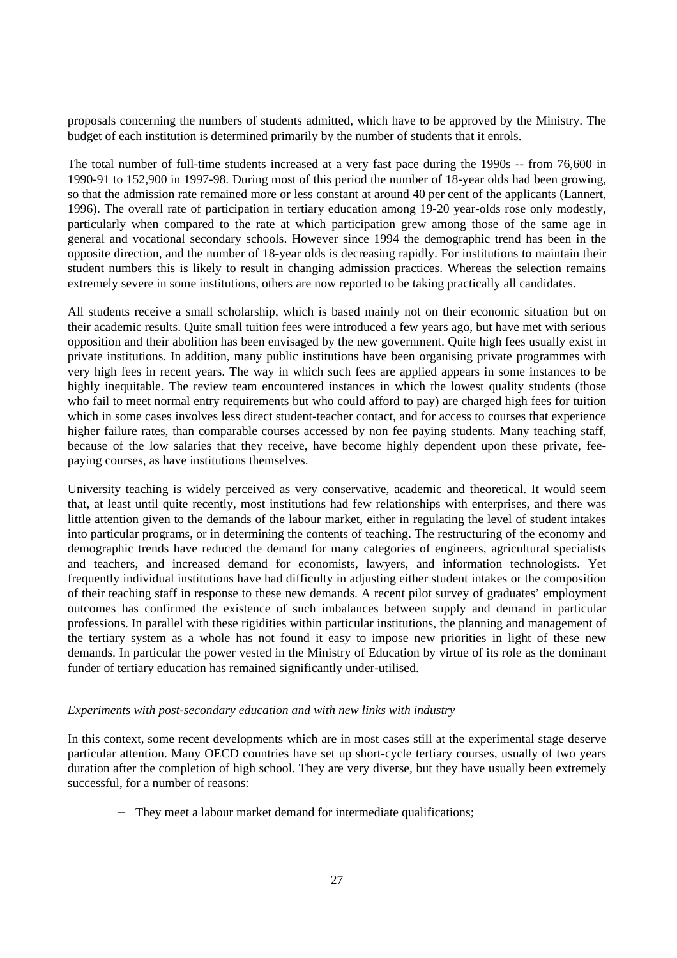proposals concerning the numbers of students admitted, which have to be approved by the Ministry. The budget of each institution is determined primarily by the number of students that it enrols.

The total number of full-time students increased at a very fast pace during the 1990s -- from 76,600 in 1990-91 to 152,900 in 1997-98. During most of this period the number of 18-year olds had been growing, so that the admission rate remained more or less constant at around 40 per cent of the applicants (Lannert, 1996). The overall rate of participation in tertiary education among 19-20 year-olds rose only modestly, particularly when compared to the rate at which participation grew among those of the same age in general and vocational secondary schools. However since 1994 the demographic trend has been in the opposite direction, and the number of 18-year olds is decreasing rapidly. For institutions to maintain their student numbers this is likely to result in changing admission practices. Whereas the selection remains extremely severe in some institutions, others are now reported to be taking practically all candidates.

All students receive a small scholarship, which is based mainly not on their economic situation but on their academic results. Quite small tuition fees were introduced a few years ago, but have met with serious opposition and their abolition has been envisaged by the new government. Quite high fees usually exist in private institutions. In addition, many public institutions have been organising private programmes with very high fees in recent years. The way in which such fees are applied appears in some instances to be highly inequitable. The review team encountered instances in which the lowest quality students (those who fail to meet normal entry requirements but who could afford to pay) are charged high fees for tuition which in some cases involves less direct student-teacher contact, and for access to courses that experience higher failure rates, than comparable courses accessed by non fee paying students. Many teaching staff, because of the low salaries that they receive, have become highly dependent upon these private, feepaying courses, as have institutions themselves.

University teaching is widely perceived as very conservative, academic and theoretical. It would seem that, at least until quite recently, most institutions had few relationships with enterprises, and there was little attention given to the demands of the labour market, either in regulating the level of student intakes into particular programs, or in determining the contents of teaching. The restructuring of the economy and demographic trends have reduced the demand for many categories of engineers, agricultural specialists and teachers, and increased demand for economists, lawyers, and information technologists. Yet frequently individual institutions have had difficulty in adjusting either student intakes or the composition of their teaching staff in response to these new demands. A recent pilot survey of graduates' employment outcomes has confirmed the existence of such imbalances between supply and demand in particular professions. In parallel with these rigidities within particular institutions, the planning and management of the tertiary system as a whole has not found it easy to impose new priorities in light of these new demands. In particular the power vested in the Ministry of Education by virtue of its role as the dominant funder of tertiary education has remained significantly under-utilised.

#### *Experiments with post-secondary education and with new links with industry*

In this context, some recent developments which are in most cases still at the experimental stage deserve particular attention. Many OECD countries have set up short-cycle tertiary courses, usually of two years duration after the completion of high school. They are very diverse, but they have usually been extremely successful, for a number of reasons:

They meet a labour market demand for intermediate qualifications;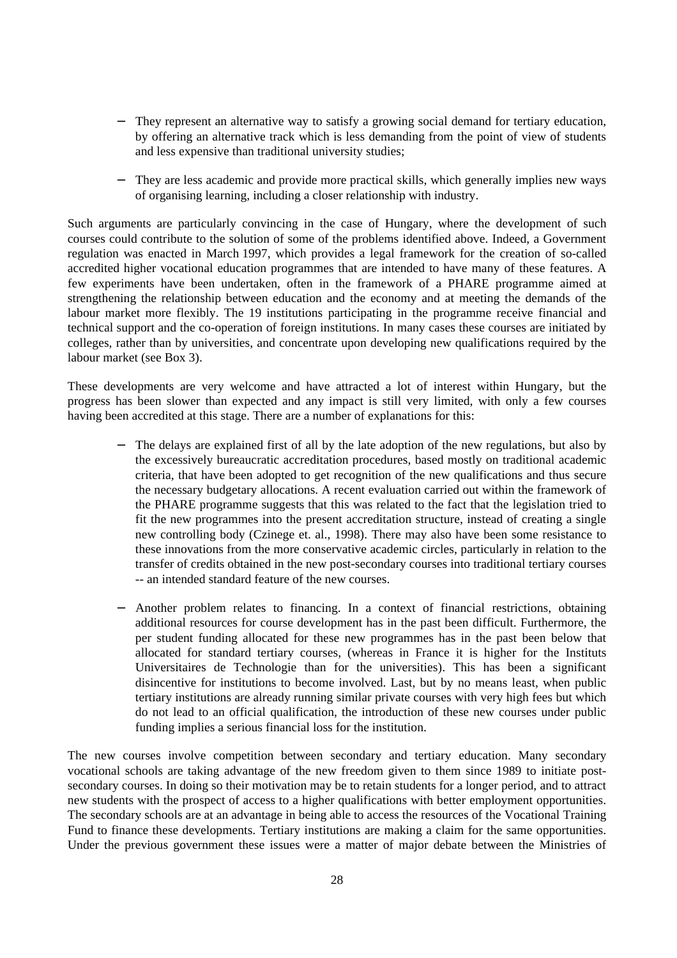- They represent an alternative way to satisfy a growing social demand for tertiary education, by offering an alternative track which is less demanding from the point of view of students and less expensive than traditional university studies;
- They are less academic and provide more practical skills, which generally implies new ways of organising learning, including a closer relationship with industry.

Such arguments are particularly convincing in the case of Hungary, where the development of such courses could contribute to the solution of some of the problems identified above. Indeed, a Government regulation was enacted in March 1997, which provides a legal framework for the creation of so-called accredited higher vocational education programmes that are intended to have many of these features. A few experiments have been undertaken, often in the framework of a PHARE programme aimed at strengthening the relationship between education and the economy and at meeting the demands of the labour market more flexibly. The 19 institutions participating in the programme receive financial and technical support and the co-operation of foreign institutions. In many cases these courses are initiated by colleges, rather than by universities, and concentrate upon developing new qualifications required by the labour market (see Box 3).

These developments are very welcome and have attracted a lot of interest within Hungary, but the progress has been slower than expected and any impact is still very limited, with only a few courses having been accredited at this stage. There are a number of explanations for this:

- The delays are explained first of all by the late adoption of the new regulations, but also by the excessively bureaucratic accreditation procedures, based mostly on traditional academic criteria, that have been adopted to get recognition of the new qualifications and thus secure the necessary budgetary allocations. A recent evaluation carried out within the framework of the PHARE programme suggests that this was related to the fact that the legislation tried to fit the new programmes into the present accreditation structure, instead of creating a single new controlling body (Czinege et. al., 1998). There may also have been some resistance to these innovations from the more conservative academic circles, particularly in relation to the transfer of credits obtained in the new post-secondary courses into traditional tertiary courses -- an intended standard feature of the new courses.
- − Another problem relates to financing. In a context of financial restrictions, obtaining additional resources for course development has in the past been difficult. Furthermore, the per student funding allocated for these new programmes has in the past been below that allocated for standard tertiary courses, (whereas in France it is higher for the Instituts Universitaires de Technologie than for the universities). This has been a significant disincentive for institutions to become involved. Last, but by no means least, when public tertiary institutions are already running similar private courses with very high fees but which do not lead to an official qualification, the introduction of these new courses under public funding implies a serious financial loss for the institution.

The new courses involve competition between secondary and tertiary education. Many secondary vocational schools are taking advantage of the new freedom given to them since 1989 to initiate postsecondary courses. In doing so their motivation may be to retain students for a longer period, and to attract new students with the prospect of access to a higher qualifications with better employment opportunities. The secondary schools are at an advantage in being able to access the resources of the Vocational Training Fund to finance these developments. Tertiary institutions are making a claim for the same opportunities. Under the previous government these issues were a matter of major debate between the Ministries of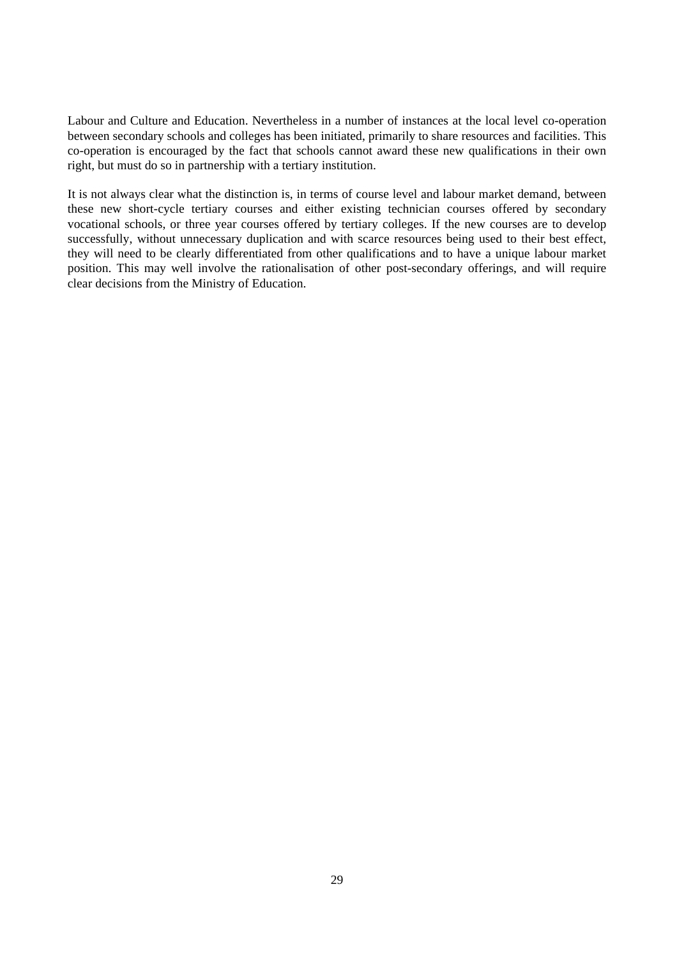Labour and Culture and Education. Nevertheless in a number of instances at the local level co-operation between secondary schools and colleges has been initiated, primarily to share resources and facilities. This co-operation is encouraged by the fact that schools cannot award these new qualifications in their own right, but must do so in partnership with a tertiary institution.

It is not always clear what the distinction is, in terms of course level and labour market demand, between these new short-cycle tertiary courses and either existing technician courses offered by secondary vocational schools, or three year courses offered by tertiary colleges. If the new courses are to develop successfully, without unnecessary duplication and with scarce resources being used to their best effect, they will need to be clearly differentiated from other qualifications and to have a unique labour market position. This may well involve the rationalisation of other post-secondary offerings, and will require clear decisions from the Ministry of Education.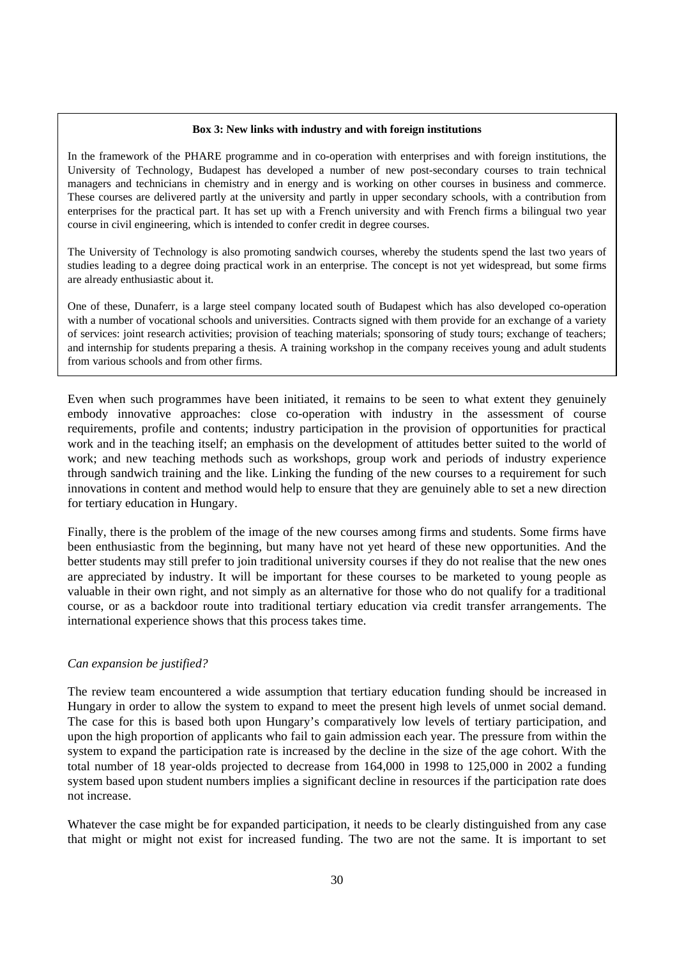#### **Box 3: New links with industry and with foreign institutions**

In the framework of the PHARE programme and in co-operation with enterprises and with foreign institutions, the University of Technology, Budapest has developed a number of new post-secondary courses to train technical managers and technicians in chemistry and in energy and is working on other courses in business and commerce. These courses are delivered partly at the university and partly in upper secondary schools, with a contribution from enterprises for the practical part. It has set up with a French university and with French firms a bilingual two year course in civil engineering, which is intended to confer credit in degree courses.

The University of Technology is also promoting sandwich courses, whereby the students spend the last two years of studies leading to a degree doing practical work in an enterprise. The concept is not yet widespread, but some firms are already enthusiastic about it.

One of these, Dunaferr, is a large steel company located south of Budapest which has also developed co-operation with a number of vocational schools and universities. Contracts signed with them provide for an exchange of a variety of services: joint research activities; provision of teaching materials; sponsoring of study tours; exchange of teachers; and internship for students preparing a thesis. A training workshop in the company receives young and adult students from various schools and from other firms.

Even when such programmes have been initiated, it remains to be seen to what extent they genuinely embody innovative approaches: close co-operation with industry in the assessment of course requirements, profile and contents; industry participation in the provision of opportunities for practical work and in the teaching itself; an emphasis on the development of attitudes better suited to the world of work; and new teaching methods such as workshops, group work and periods of industry experience through sandwich training and the like. Linking the funding of the new courses to a requirement for such innovations in content and method would help to ensure that they are genuinely able to set a new direction for tertiary education in Hungary.

Finally, there is the problem of the image of the new courses among firms and students. Some firms have been enthusiastic from the beginning, but many have not yet heard of these new opportunities. And the better students may still prefer to join traditional university courses if they do not realise that the new ones are appreciated by industry. It will be important for these courses to be marketed to young people as valuable in their own right, and not simply as an alternative for those who do not qualify for a traditional course, or as a backdoor route into traditional tertiary education via credit transfer arrangements. The international experience shows that this process takes time.

#### *Can expansion be justified?*

The review team encountered a wide assumption that tertiary education funding should be increased in Hungary in order to allow the system to expand to meet the present high levels of unmet social demand. The case for this is based both upon Hungary's comparatively low levels of tertiary participation, and upon the high proportion of applicants who fail to gain admission each year. The pressure from within the system to expand the participation rate is increased by the decline in the size of the age cohort. With the total number of 18 year-olds projected to decrease from 164,000 in 1998 to 125,000 in 2002 a funding system based upon student numbers implies a significant decline in resources if the participation rate does not increase.

Whatever the case might be for expanded participation, it needs to be clearly distinguished from any case that might or might not exist for increased funding. The two are not the same. It is important to set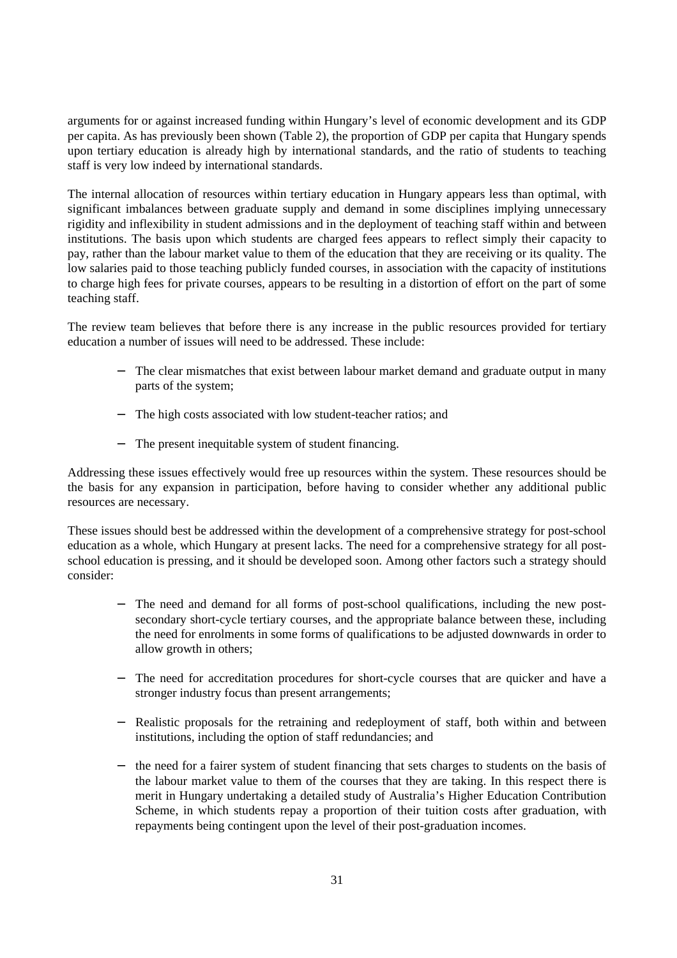arguments for or against increased funding within Hungary's level of economic development and its GDP per capita. As has previously been shown (Table 2), the proportion of GDP per capita that Hungary spends upon tertiary education is already high by international standards, and the ratio of students to teaching staff is very low indeed by international standards.

The internal allocation of resources within tertiary education in Hungary appears less than optimal, with significant imbalances between graduate supply and demand in some disciplines implying unnecessary rigidity and inflexibility in student admissions and in the deployment of teaching staff within and between institutions. The basis upon which students are charged fees appears to reflect simply their capacity to pay, rather than the labour market value to them of the education that they are receiving or its quality. The low salaries paid to those teaching publicly funded courses, in association with the capacity of institutions to charge high fees for private courses, appears to be resulting in a distortion of effort on the part of some teaching staff.

The review team believes that before there is any increase in the public resources provided for tertiary education a number of issues will need to be addressed. These include:

- The clear mismatches that exist between labour market demand and graduate output in many parts of the system;
- − The high costs associated with low student-teacher ratios; and
- The present inequitable system of student financing.

Addressing these issues effectively would free up resources within the system. These resources should be the basis for any expansion in participation, before having to consider whether any additional public resources are necessary.

These issues should best be addressed within the development of a comprehensive strategy for post-school education as a whole, which Hungary at present lacks. The need for a comprehensive strategy for all postschool education is pressing, and it should be developed soon. Among other factors such a strategy should consider:

- − The need and demand for all forms of post-school qualifications, including the new postsecondary short-cycle tertiary courses, and the appropriate balance between these, including the need for enrolments in some forms of qualifications to be adjusted downwards in order to allow growth in others;
- The need for accreditation procedures for short-cycle courses that are quicker and have a stronger industry focus than present arrangements;
- − Realistic proposals for the retraining and redeployment of staff, both within and between institutions, including the option of staff redundancies; and
- − the need for a fairer system of student financing that sets charges to students on the basis of the labour market value to them of the courses that they are taking. In this respect there is merit in Hungary undertaking a detailed study of Australia's Higher Education Contribution Scheme, in which students repay a proportion of their tuition costs after graduation, with repayments being contingent upon the level of their post-graduation incomes.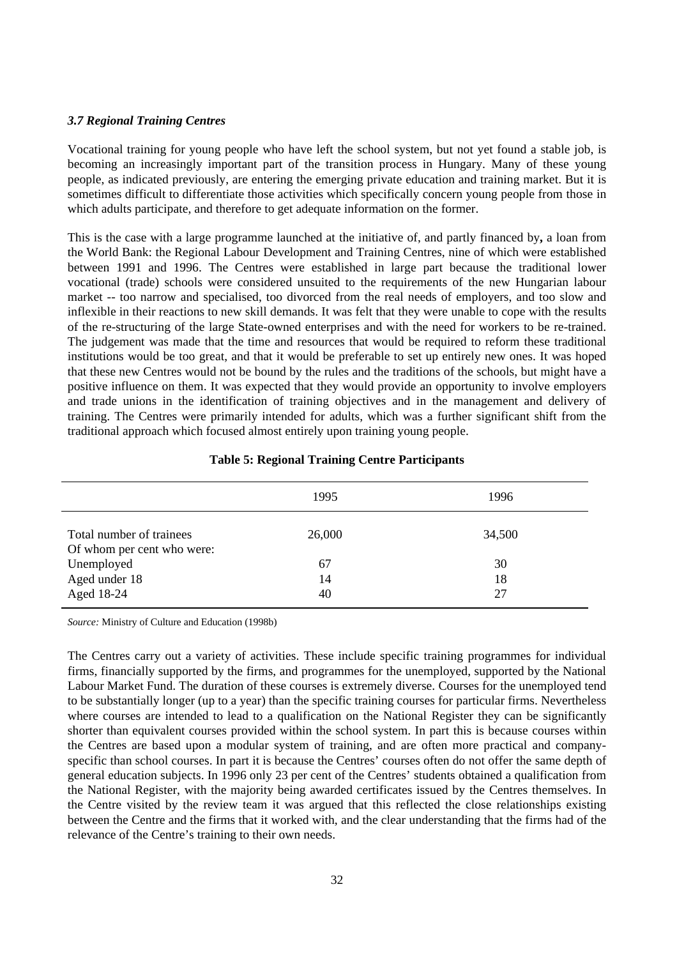#### *3.7 Regional Training Centres*

Vocational training for young people who have left the school system, but not yet found a stable job, is becoming an increasingly important part of the transition process in Hungary. Many of these young people, as indicated previously, are entering the emerging private education and training market. But it is sometimes difficult to differentiate those activities which specifically concern young people from those in which adults participate, and therefore to get adequate information on the former.

This is the case with a large programme launched at the initiative of, and partly financed by**,** a loan from the World Bank: the Regional Labour Development and Training Centres, nine of which were established between 1991 and 1996. The Centres were established in large part because the traditional lower vocational (trade) schools were considered unsuited to the requirements of the new Hungarian labour market -- too narrow and specialised, too divorced from the real needs of employers, and too slow and inflexible in their reactions to new skill demands. It was felt that they were unable to cope with the results of the re-structuring of the large State-owned enterprises and with the need for workers to be re-trained. The judgement was made that the time and resources that would be required to reform these traditional institutions would be too great, and that it would be preferable to set up entirely new ones. It was hoped that these new Centres would not be bound by the rules and the traditions of the schools, but might have a positive influence on them. It was expected that they would provide an opportunity to involve employers and trade unions in the identification of training objectives and in the management and delivery of training. The Centres were primarily intended for adults, which was a further significant shift from the traditional approach which focused almost entirely upon training young people.

|                                                        | 1995   | 1996   |
|--------------------------------------------------------|--------|--------|
| Total number of trainees<br>Of whom per cent who were: | 26,000 | 34,500 |
| Unemployed                                             | 67     | 30     |
| Aged under 18                                          | 14     | 18     |
| Aged 18-24                                             | 40     | 27     |

#### **Table 5: Regional Training Centre Participants**

*Source:* Ministry of Culture and Education (1998b)

The Centres carry out a variety of activities. These include specific training programmes for individual firms, financially supported by the firms, and programmes for the unemployed, supported by the National Labour Market Fund. The duration of these courses is extremely diverse. Courses for the unemployed tend to be substantially longer (up to a year) than the specific training courses for particular firms. Nevertheless where courses are intended to lead to a qualification on the National Register they can be significantly shorter than equivalent courses provided within the school system. In part this is because courses within the Centres are based upon a modular system of training, and are often more practical and companyspecific than school courses. In part it is because the Centres' courses often do not offer the same depth of general education subjects. In 1996 only 23 per cent of the Centres' students obtained a qualification from the National Register, with the majority being awarded certificates issued by the Centres themselves. In the Centre visited by the review team it was argued that this reflected the close relationships existing between the Centre and the firms that it worked with, and the clear understanding that the firms had of the relevance of the Centre's training to their own needs.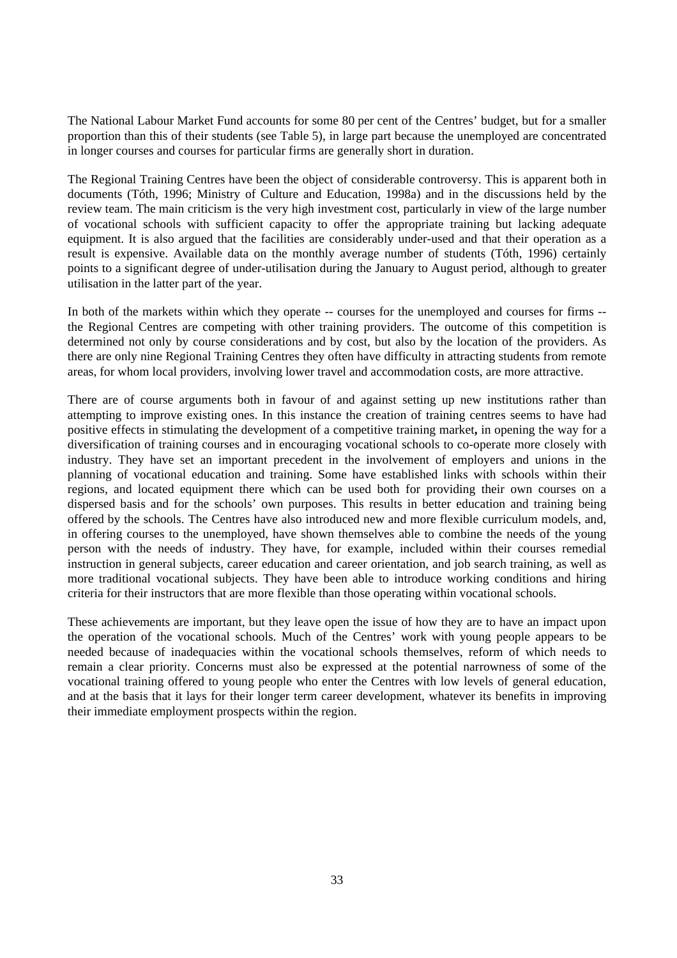The National Labour Market Fund accounts for some 80 per cent of the Centres' budget, but for a smaller proportion than this of their students (see Table 5), in large part because the unemployed are concentrated in longer courses and courses for particular firms are generally short in duration.

The Regional Training Centres have been the object of considerable controversy. This is apparent both in documents (Tóth, 1996; Ministry of Culture and Education, 1998a) and in the discussions held by the review team. The main criticism is the very high investment cost, particularly in view of the large number of vocational schools with sufficient capacity to offer the appropriate training but lacking adequate equipment. It is also argued that the facilities are considerably under-used and that their operation as a result is expensive. Available data on the monthly average number of students (Tóth, 1996) certainly points to a significant degree of under-utilisation during the January to August period, although to greater utilisation in the latter part of the year.

In both of the markets within which they operate -- courses for the unemployed and courses for firms - the Regional Centres are competing with other training providers. The outcome of this competition is determined not only by course considerations and by cost, but also by the location of the providers. As there are only nine Regional Training Centres they often have difficulty in attracting students from remote areas, for whom local providers, involving lower travel and accommodation costs, are more attractive.

There are of course arguments both in favour of and against setting up new institutions rather than attempting to improve existing ones. In this instance the creation of training centres seems to have had positive effects in stimulating the development of a competitive training market**,** in opening the way for a diversification of training courses and in encouraging vocational schools to co-operate more closely with industry. They have set an important precedent in the involvement of employers and unions in the planning of vocational education and training. Some have established links with schools within their regions, and located equipment there which can be used both for providing their own courses on a dispersed basis and for the schools' own purposes. This results in better education and training being offered by the schools. The Centres have also introduced new and more flexible curriculum models, and, in offering courses to the unemployed, have shown themselves able to combine the needs of the young person with the needs of industry. They have, for example, included within their courses remedial instruction in general subjects, career education and career orientation, and job search training, as well as more traditional vocational subjects. They have been able to introduce working conditions and hiring criteria for their instructors that are more flexible than those operating within vocational schools.

These achievements are important, but they leave open the issue of how they are to have an impact upon the operation of the vocational schools. Much of the Centres' work with young people appears to be needed because of inadequacies within the vocational schools themselves, reform of which needs to remain a clear priority. Concerns must also be expressed at the potential narrowness of some of the vocational training offered to young people who enter the Centres with low levels of general education, and at the basis that it lays for their longer term career development, whatever its benefits in improving their immediate employment prospects within the region.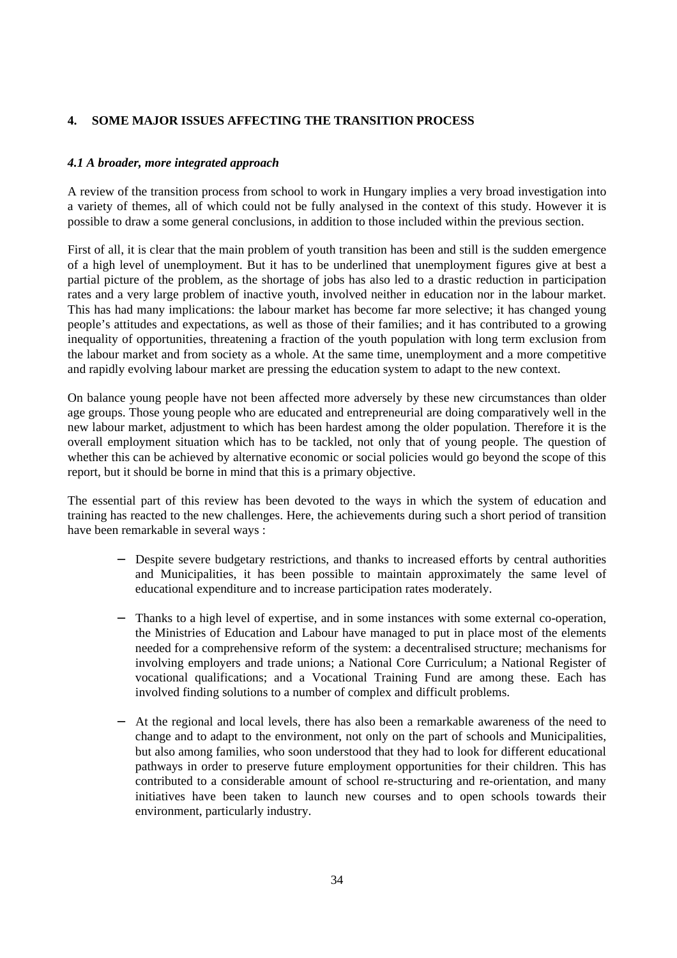# **4. SOME MAJOR ISSUES AFFECTING THE TRANSITION PROCESS**

## *4.1 A broader, more integrated approach*

A review of the transition process from school to work in Hungary implies a very broad investigation into a variety of themes, all of which could not be fully analysed in the context of this study. However it is possible to draw a some general conclusions, in addition to those included within the previous section.

First of all, it is clear that the main problem of youth transition has been and still is the sudden emergence of a high level of unemployment. But it has to be underlined that unemployment figures give at best a partial picture of the problem, as the shortage of jobs has also led to a drastic reduction in participation rates and a very large problem of inactive youth, involved neither in education nor in the labour market. This has had many implications: the labour market has become far more selective; it has changed young people's attitudes and expectations, as well as those of their families; and it has contributed to a growing inequality of opportunities, threatening a fraction of the youth population with long term exclusion from the labour market and from society as a whole. At the same time, unemployment and a more competitive and rapidly evolving labour market are pressing the education system to adapt to the new context.

On balance young people have not been affected more adversely by these new circumstances than older age groups. Those young people who are educated and entrepreneurial are doing comparatively well in the new labour market, adjustment to which has been hardest among the older population. Therefore it is the overall employment situation which has to be tackled, not only that of young people. The question of whether this can be achieved by alternative economic or social policies would go beyond the scope of this report, but it should be borne in mind that this is a primary objective.

The essential part of this review has been devoted to the ways in which the system of education and training has reacted to the new challenges. Here, the achievements during such a short period of transition have been remarkable in several ways :

- Despite severe budgetary restrictions, and thanks to increased efforts by central authorities and Municipalities, it has been possible to maintain approximately the same level of educational expenditure and to increase participation rates moderately.
- Thanks to a high level of expertise, and in some instances with some external co-operation, the Ministries of Education and Labour have managed to put in place most of the elements needed for a comprehensive reform of the system: a decentralised structure; mechanisms for involving employers and trade unions; a National Core Curriculum; a National Register of vocational qualifications; and a Vocational Training Fund are among these. Each has involved finding solutions to a number of complex and difficult problems.
- At the regional and local levels, there has also been a remarkable awareness of the need to change and to adapt to the environment, not only on the part of schools and Municipalities, but also among families, who soon understood that they had to look for different educational pathways in order to preserve future employment opportunities for their children. This has contributed to a considerable amount of school re-structuring and re-orientation, and many initiatives have been taken to launch new courses and to open schools towards their environment, particularly industry.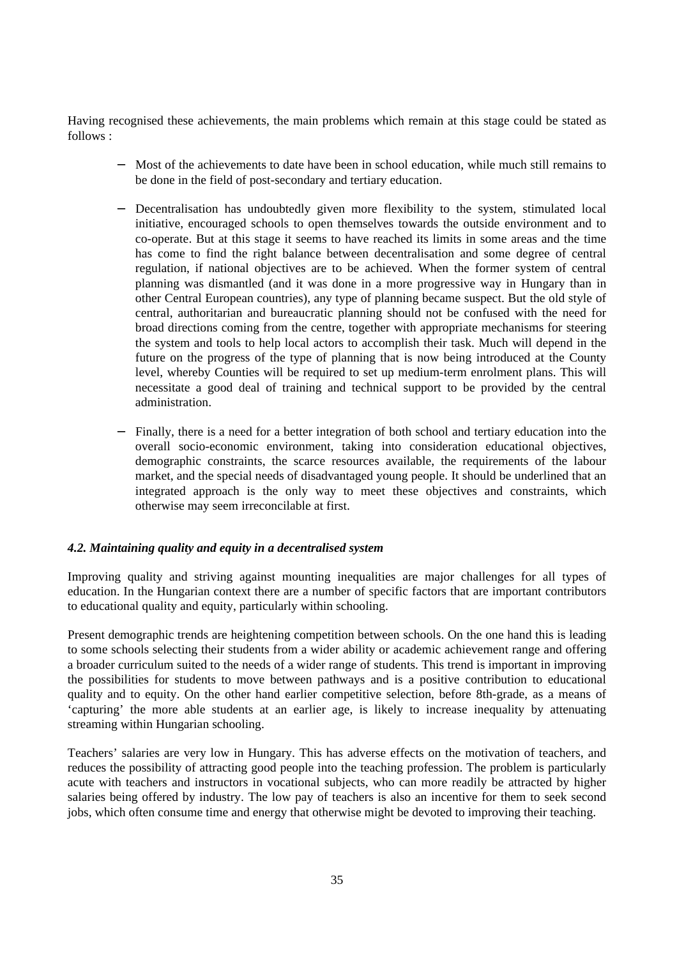Having recognised these achievements, the main problems which remain at this stage could be stated as follows :

- Most of the achievements to date have been in school education, while much still remains to be done in the field of post-secondary and tertiary education.
- − Decentralisation has undoubtedly given more flexibility to the system, stimulated local initiative, encouraged schools to open themselves towards the outside environment and to co-operate. But at this stage it seems to have reached its limits in some areas and the time has come to find the right balance between decentralisation and some degree of central regulation, if national objectives are to be achieved. When the former system of central planning was dismantled (and it was done in a more progressive way in Hungary than in other Central European countries), any type of planning became suspect. But the old style of central, authoritarian and bureaucratic planning should not be confused with the need for broad directions coming from the centre, together with appropriate mechanisms for steering the system and tools to help local actors to accomplish their task. Much will depend in the future on the progress of the type of planning that is now being introduced at the County level, whereby Counties will be required to set up medium-term enrolment plans. This will necessitate a good deal of training and technical support to be provided by the central administration.
- Finally, there is a need for a better integration of both school and tertiary education into the overall socio-economic environment, taking into consideration educational objectives, demographic constraints, the scarce resources available, the requirements of the labour market, and the special needs of disadvantaged young people. It should be underlined that an integrated approach is the only way to meet these objectives and constraints, which otherwise may seem irreconcilable at first.

## *4.2. Maintaining quality and equity in a decentralised system*

Improving quality and striving against mounting inequalities are major challenges for all types of education. In the Hungarian context there are a number of specific factors that are important contributors to educational quality and equity, particularly within schooling.

Present demographic trends are heightening competition between schools. On the one hand this is leading to some schools selecting their students from a wider ability or academic achievement range and offering a broader curriculum suited to the needs of a wider range of students. This trend is important in improving the possibilities for students to move between pathways and is a positive contribution to educational quality and to equity. On the other hand earlier competitive selection, before 8th-grade, as a means of 'capturing' the more able students at an earlier age, is likely to increase inequality by attenuating streaming within Hungarian schooling.

Teachers' salaries are very low in Hungary. This has adverse effects on the motivation of teachers, and reduces the possibility of attracting good people into the teaching profession. The problem is particularly acute with teachers and instructors in vocational subjects, who can more readily be attracted by higher salaries being offered by industry. The low pay of teachers is also an incentive for them to seek second jobs, which often consume time and energy that otherwise might be devoted to improving their teaching.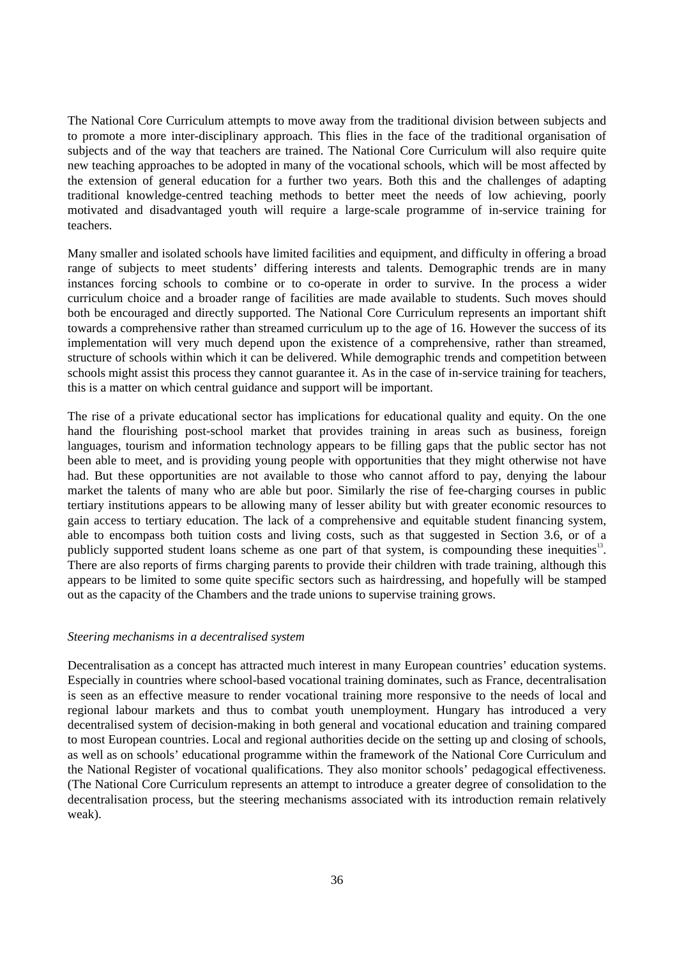The National Core Curriculum attempts to move away from the traditional division between subjects and to promote a more inter-disciplinary approach. This flies in the face of the traditional organisation of subjects and of the way that teachers are trained. The National Core Curriculum will also require quite new teaching approaches to be adopted in many of the vocational schools, which will be most affected by the extension of general education for a further two years. Both this and the challenges of adapting traditional knowledge-centred teaching methods to better meet the needs of low achieving, poorly motivated and disadvantaged youth will require a large-scale programme of in-service training for teachers.

Many smaller and isolated schools have limited facilities and equipment, and difficulty in offering a broad range of subjects to meet students' differing interests and talents. Demographic trends are in many instances forcing schools to combine or to co-operate in order to survive. In the process a wider curriculum choice and a broader range of facilities are made available to students. Such moves should both be encouraged and directly supported. The National Core Curriculum represents an important shift towards a comprehensive rather than streamed curriculum up to the age of 16. However the success of its implementation will very much depend upon the existence of a comprehensive, rather than streamed, structure of schools within which it can be delivered. While demographic trends and competition between schools might assist this process they cannot guarantee it. As in the case of in-service training for teachers, this is a matter on which central guidance and support will be important.

The rise of a private educational sector has implications for educational quality and equity. On the one hand the flourishing post-school market that provides training in areas such as business, foreign languages, tourism and information technology appears to be filling gaps that the public sector has not been able to meet, and is providing young people with opportunities that they might otherwise not have had. But these opportunities are not available to those who cannot afford to pay, denying the labour market the talents of many who are able but poor. Similarly the rise of fee-charging courses in public tertiary institutions appears to be allowing many of lesser ability but with greater economic resources to gain access to tertiary education. The lack of a comprehensive and equitable student financing system, able to encompass both tuition costs and living costs, such as that suggested in Section 3.6, or of a publicly supported student loans scheme as one part of that system, is compounding these inequities<sup>13</sup>. There are also reports of firms charging parents to provide their children with trade training, although this appears to be limited to some quite specific sectors such as hairdressing, and hopefully will be stamped out as the capacity of the Chambers and the trade unions to supervise training grows.

#### *Steering mechanisms in a decentralised system*

Decentralisation as a concept has attracted much interest in many European countries' education systems. Especially in countries where school-based vocational training dominates, such as France, decentralisation is seen as an effective measure to render vocational training more responsive to the needs of local and regional labour markets and thus to combat youth unemployment. Hungary has introduced a very decentralised system of decision-making in both general and vocational education and training compared to most European countries. Local and regional authorities decide on the setting up and closing of schools, as well as on schools' educational programme within the framework of the National Core Curriculum and the National Register of vocational qualifications. They also monitor schools' pedagogical effectiveness. (The National Core Curriculum represents an attempt to introduce a greater degree of consolidation to the decentralisation process, but the steering mechanisms associated with its introduction remain relatively weak).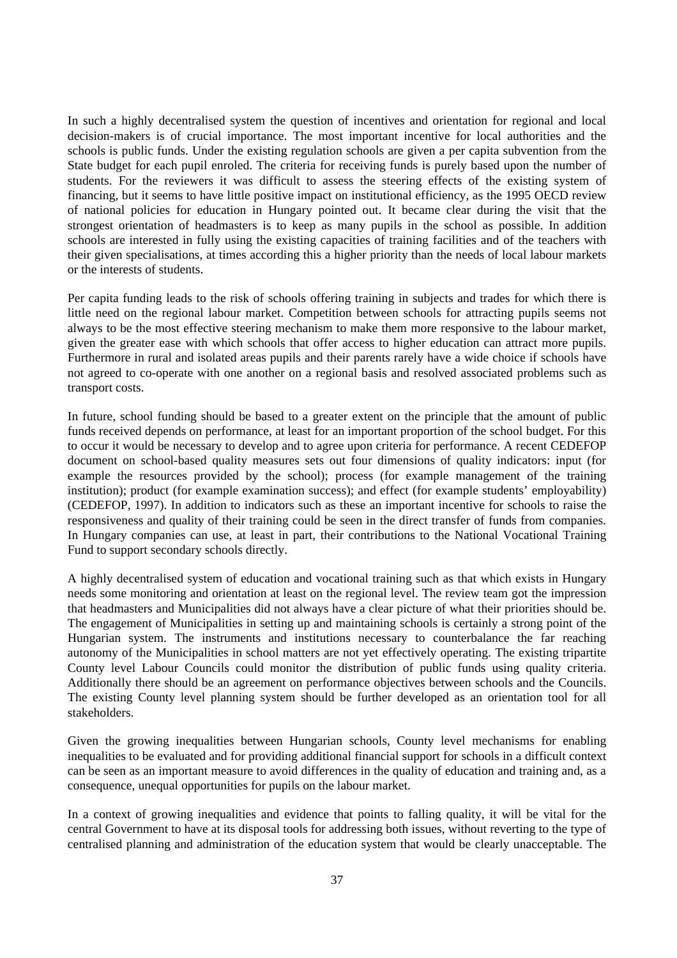In such a highly decentralised system the question of incentives and orientation for regional and local decision-makers is of crucial importance. The most important incentive for local authorities and the schools is public funds. Under the existing regulation schools are given a per capita subvention from the State budget for each pupil enroled. The criteria for receiving funds is purely based upon the number of students. For the reviewers it was difficult to assess the steering effects of the existing system of financing, but it seems to have little positive impact on institutional efficiency, as the 1995 OECD review of national policies for education in Hungary pointed out. It became clear during the visit that the strongest orientation of headmasters is to keep as many pupils in the school as possible. In addition schools are interested in fully using the existing capacities of training facilities and of the teachers with their given specialisations, at times according this a higher priority than the needs of local labour markets or the interests of students.

Per capita funding leads to the risk of schools offering training in subjects and trades for which there is little need on the regional labour market. Competition between schools for attracting pupils seems not always to be the most effective steering mechanism to make them more responsive to the labour market, given the greater ease with which schools that offer access to higher education can attract more pupils. Furthermore in rural and isolated areas pupils and their parents rarely have a wide choice if schools have not agreed to co-operate with one another on a regional basis and resolved associated problems such as transport costs.

In future, school funding should be based to a greater extent on the principle that the amount of public funds received depends on performance, at least for an important proportion of the school budget. For this to occur it would be necessary to develop and to agree upon criteria for performance. A recent CEDEFOP document on school-based quality measures sets out four dimensions of quality indicators: input (for example the resources provided by the school); process (for example management of the training institution); product (for example examination success); and effect (for example students' employability) (CEDEFOP, 1997). In addition to indicators such as these an important incentive for schools to raise the responsiveness and quality of their training could be seen in the direct transfer of funds from companies. In Hungary companies can use, at least in part, their contributions to the National Vocational Training Fund to support secondary schools directly.

A highly decentralised system of education and vocational training such as that which exists in Hungary needs some monitoring and orientation at least on the regional level. The review team got the impression that headmasters and Municipalities did not always have a clear picture of what their priorities should be. The engagement of Municipalities in setting up and maintaining schools is certainly a strong point of the Hungarian system. The instruments and institutions necessary to counterbalance the far reaching autonomy of the Municipalities in school matters are not yet effectively operating. The existing tripartite County level Labour Councils could monitor the distribution of public funds using quality criteria. Additionally there should be an agreement on performance objectives between schools and the Councils. The existing County level planning system should be further developed as an orientation tool for all stakeholders.

Given the growing inequalities between Hungarian schools, County level mechanisms for enabling inequalities to be evaluated and for providing additional financial support for schools in a difficult context can be seen as an important measure to avoid differences in the quality of education and training and, as a consequence, unequal opportunities for pupils on the labour market.

In a context of growing inequalities and evidence that points to falling quality, it will be vital for the central Government to have at its disposal tools for addressing both issues, without reverting to the type of centralised planning and administration of the education system that would be clearly unacceptable. The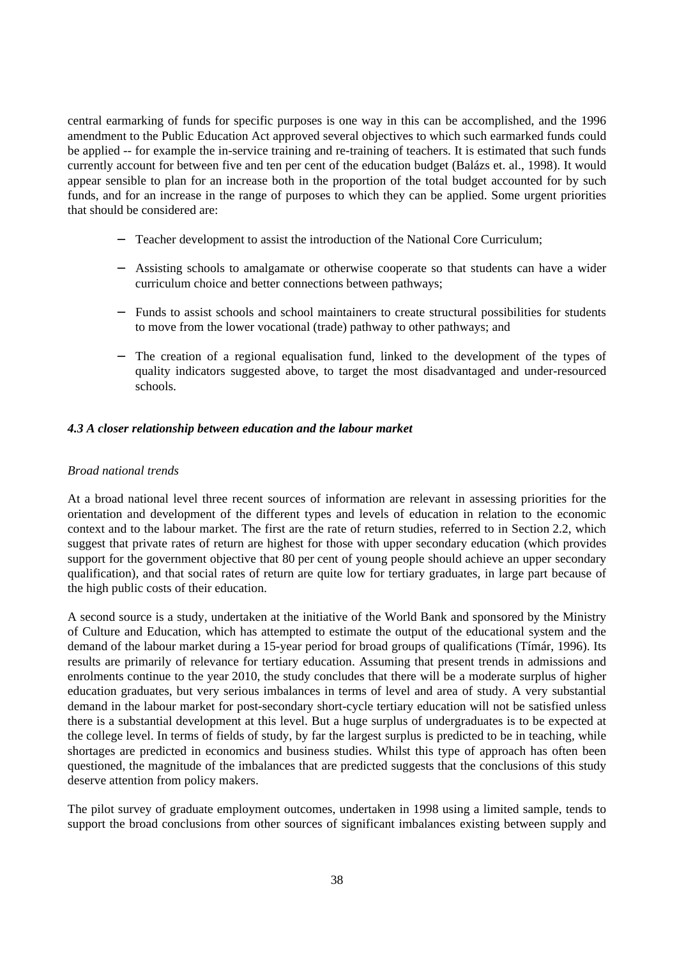central earmarking of funds for specific purposes is one way in this can be accomplished, and the 1996 amendment to the Public Education Act approved several objectives to which such earmarked funds could be applied -- for example the in-service training and re-training of teachers. It is estimated that such funds currently account for between five and ten per cent of the education budget (Balázs et. al., 1998). It would appear sensible to plan for an increase both in the proportion of the total budget accounted for by such funds, and for an increase in the range of purposes to which they can be applied. Some urgent priorities that should be considered are:

- Teacher development to assist the introduction of the National Core Curriculum;
- − Assisting schools to amalgamate or otherwise cooperate so that students can have a wider curriculum choice and better connections between pathways;
- − Funds to assist schools and school maintainers to create structural possibilities for students to move from the lower vocational (trade) pathway to other pathways; and
- The creation of a regional equalisation fund, linked to the development of the types of quality indicators suggested above, to target the most disadvantaged and under-resourced schools.

## *4.3 A closer relationship between education and the labour market*

## *Broad national trends*

At a broad national level three recent sources of information are relevant in assessing priorities for the orientation and development of the different types and levels of education in relation to the economic context and to the labour market. The first are the rate of return studies, referred to in Section 2.2, which suggest that private rates of return are highest for those with upper secondary education (which provides support for the government objective that 80 per cent of young people should achieve an upper secondary qualification), and that social rates of return are quite low for tertiary graduates, in large part because of the high public costs of their education.

A second source is a study, undertaken at the initiative of the World Bank and sponsored by the Ministry of Culture and Education, which has attempted to estimate the output of the educational system and the demand of the labour market during a 15-year period for broad groups of qualifications (Tímár, 1996). Its results are primarily of relevance for tertiary education. Assuming that present trends in admissions and enrolments continue to the year 2010, the study concludes that there will be a moderate surplus of higher education graduates, but very serious imbalances in terms of level and area of study. A very substantial demand in the labour market for post-secondary short-cycle tertiary education will not be satisfied unless there is a substantial development at this level. But a huge surplus of undergraduates is to be expected at the college level. In terms of fields of study, by far the largest surplus is predicted to be in teaching, while shortages are predicted in economics and business studies. Whilst this type of approach has often been questioned, the magnitude of the imbalances that are predicted suggests that the conclusions of this study deserve attention from policy makers.

The pilot survey of graduate employment outcomes, undertaken in 1998 using a limited sample, tends to support the broad conclusions from other sources of significant imbalances existing between supply and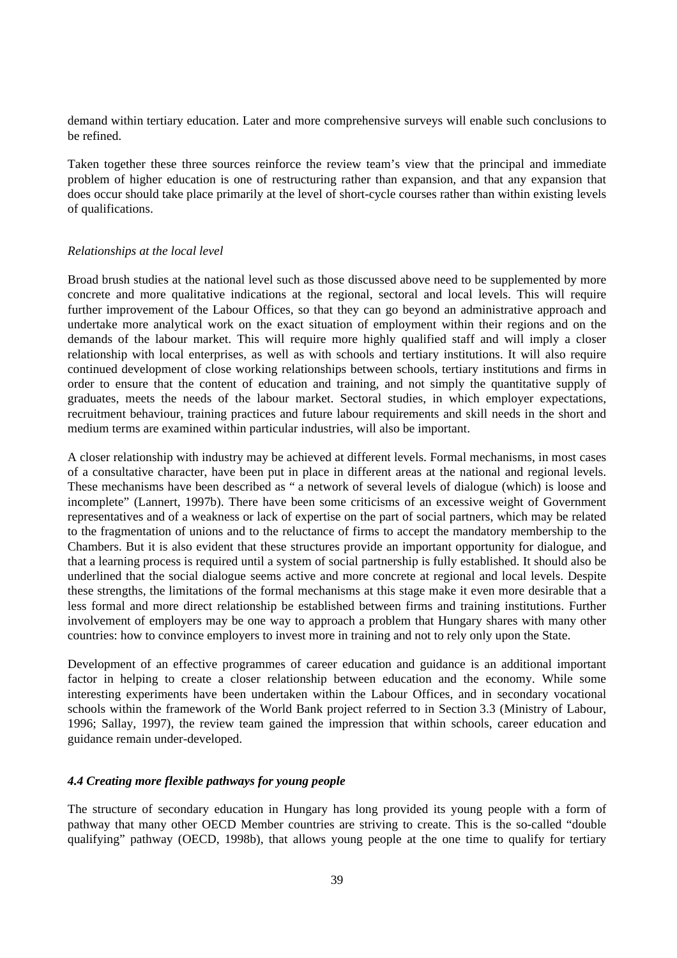demand within tertiary education. Later and more comprehensive surveys will enable such conclusions to be refined.

Taken together these three sources reinforce the review team's view that the principal and immediate problem of higher education is one of restructuring rather than expansion, and that any expansion that does occur should take place primarily at the level of short-cycle courses rather than within existing levels of qualifications.

#### *Relationships at the local level*

Broad brush studies at the national level such as those discussed above need to be supplemented by more concrete and more qualitative indications at the regional, sectoral and local levels. This will require further improvement of the Labour Offices, so that they can go beyond an administrative approach and undertake more analytical work on the exact situation of employment within their regions and on the demands of the labour market. This will require more highly qualified staff and will imply a closer relationship with local enterprises, as well as with schools and tertiary institutions. It will also require continued development of close working relationships between schools, tertiary institutions and firms in order to ensure that the content of education and training, and not simply the quantitative supply of graduates, meets the needs of the labour market. Sectoral studies, in which employer expectations, recruitment behaviour, training practices and future labour requirements and skill needs in the short and medium terms are examined within particular industries, will also be important.

A closer relationship with industry may be achieved at different levels. Formal mechanisms, in most cases of a consultative character, have been put in place in different areas at the national and regional levels. These mechanisms have been described as " a network of several levels of dialogue (which) is loose and incomplete" (Lannert, 1997b). There have been some criticisms of an excessive weight of Government representatives and of a weakness or lack of expertise on the part of social partners, which may be related to the fragmentation of unions and to the reluctance of firms to accept the mandatory membership to the Chambers. But it is also evident that these structures provide an important opportunity for dialogue, and that a learning process is required until a system of social partnership is fully established. It should also be underlined that the social dialogue seems active and more concrete at regional and local levels. Despite these strengths, the limitations of the formal mechanisms at this stage make it even more desirable that a less formal and more direct relationship be established between firms and training institutions. Further involvement of employers may be one way to approach a problem that Hungary shares with many other countries: how to convince employers to invest more in training and not to rely only upon the State.

Development of an effective programmes of career education and guidance is an additional important factor in helping to create a closer relationship between education and the economy. While some interesting experiments have been undertaken within the Labour Offices, and in secondary vocational schools within the framework of the World Bank project referred to in Section 3.3 (Ministry of Labour, 1996; Sallay, 1997), the review team gained the impression that within schools, career education and guidance remain under-developed.

## *4.4 Creating more flexible pathways for young people*

The structure of secondary education in Hungary has long provided its young people with a form of pathway that many other OECD Member countries are striving to create. This is the so-called "double qualifying" pathway (OECD, 1998b), that allows young people at the one time to qualify for tertiary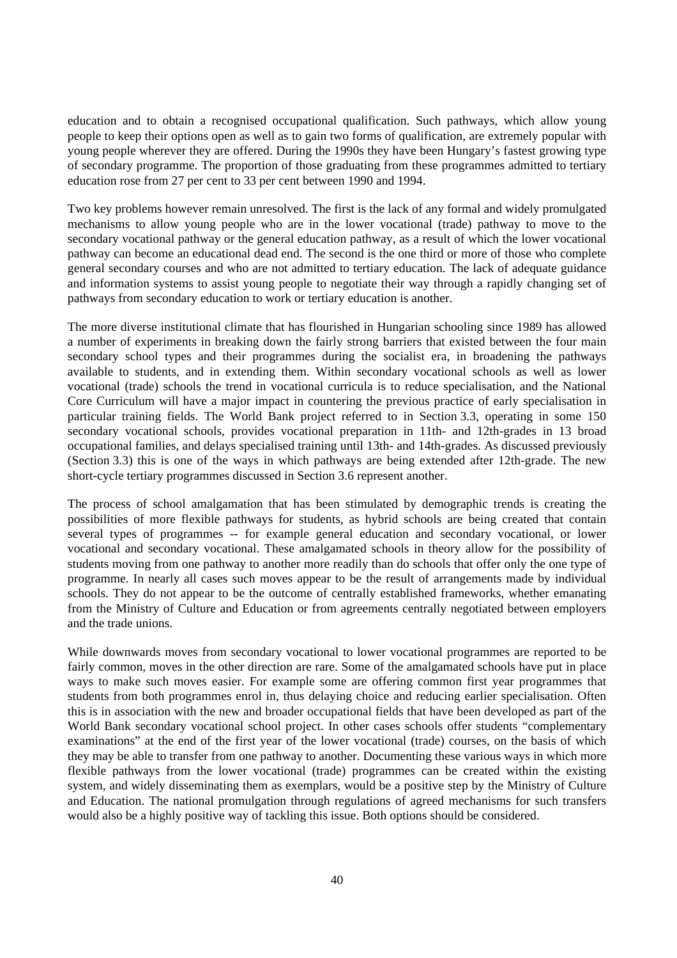education and to obtain a recognised occupational qualification. Such pathways, which allow young people to keep their options open as well as to gain two forms of qualification, are extremely popular with young people wherever they are offered. During the 1990s they have been Hungary's fastest growing type of secondary programme. The proportion of those graduating from these programmes admitted to tertiary education rose from 27 per cent to 33 per cent between 1990 and 1994.

Two key problems however remain unresolved. The first is the lack of any formal and widely promulgated mechanisms to allow young people who are in the lower vocational (trade) pathway to move to the secondary vocational pathway or the general education pathway, as a result of which the lower vocational pathway can become an educational dead end. The second is the one third or more of those who complete general secondary courses and who are not admitted to tertiary education. The lack of adequate guidance and information systems to assist young people to negotiate their way through a rapidly changing set of pathways from secondary education to work or tertiary education is another.

The more diverse institutional climate that has flourished in Hungarian schooling since 1989 has allowed a number of experiments in breaking down the fairly strong barriers that existed between the four main secondary school types and their programmes during the socialist era, in broadening the pathways available to students, and in extending them. Within secondary vocational schools as well as lower vocational (trade) schools the trend in vocational curricula is to reduce specialisation, and the National Core Curriculum will have a major impact in countering the previous practice of early specialisation in particular training fields. The World Bank project referred to in Section 3.3, operating in some 150 secondary vocational schools, provides vocational preparation in 11th- and 12th-grades in 13 broad occupational families, and delays specialised training until 13th- and 14th-grades. As discussed previously (Section 3.3) this is one of the ways in which pathways are being extended after 12th-grade. The new short-cycle tertiary programmes discussed in Section 3.6 represent another.

The process of school amalgamation that has been stimulated by demographic trends is creating the possibilities of more flexible pathways for students, as hybrid schools are being created that contain several types of programmes -- for example general education and secondary vocational, or lower vocational and secondary vocational. These amalgamated schools in theory allow for the possibility of students moving from one pathway to another more readily than do schools that offer only the one type of programme. In nearly all cases such moves appear to be the result of arrangements made by individual schools. They do not appear to be the outcome of centrally established frameworks, whether emanating from the Ministry of Culture and Education or from agreements centrally negotiated between employers and the trade unions.

While downwards moves from secondary vocational to lower vocational programmes are reported to be fairly common, moves in the other direction are rare. Some of the amalgamated schools have put in place ways to make such moves easier. For example some are offering common first year programmes that students from both programmes enrol in, thus delaying choice and reducing earlier specialisation. Often this is in association with the new and broader occupational fields that have been developed as part of the World Bank secondary vocational school project. In other cases schools offer students "complementary examinations" at the end of the first year of the lower vocational (trade) courses, on the basis of which they may be able to transfer from one pathway to another. Documenting these various ways in which more flexible pathways from the lower vocational (trade) programmes can be created within the existing system, and widely disseminating them as exemplars, would be a positive step by the Ministry of Culture and Education. The national promulgation through regulations of agreed mechanisms for such transfers would also be a highly positive way of tackling this issue. Both options should be considered.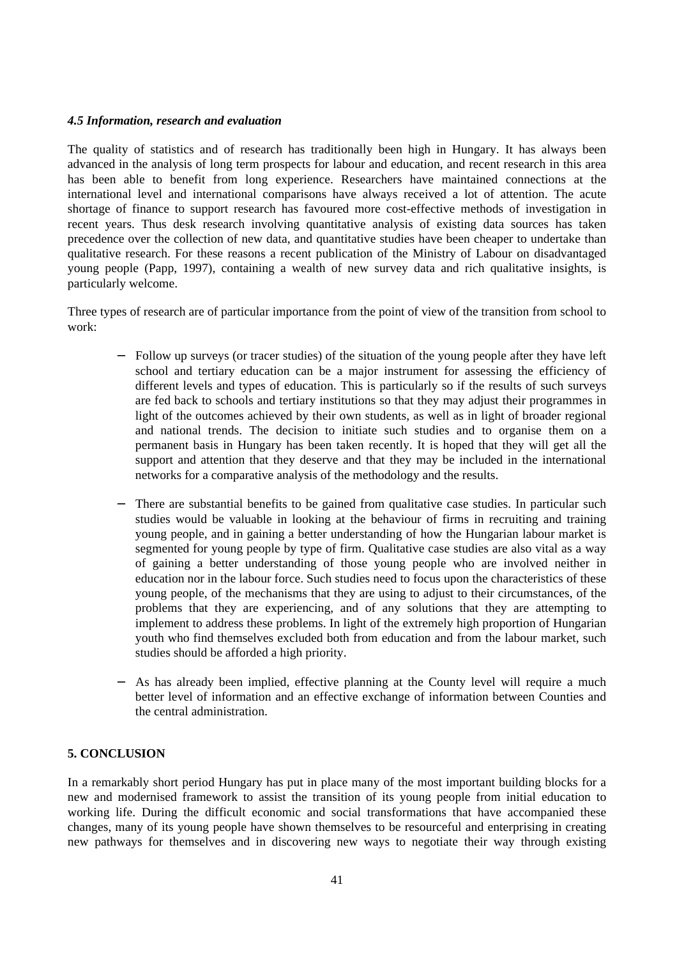## *4.5 Information, research and evaluation*

The quality of statistics and of research has traditionally been high in Hungary. It has always been advanced in the analysis of long term prospects for labour and education, and recent research in this area has been able to benefit from long experience. Researchers have maintained connections at the international level and international comparisons have always received a lot of attention. The acute shortage of finance to support research has favoured more cost-effective methods of investigation in recent years. Thus desk research involving quantitative analysis of existing data sources has taken precedence over the collection of new data, and quantitative studies have been cheaper to undertake than qualitative research. For these reasons a recent publication of the Ministry of Labour on disadvantaged young people (Papp, 1997), containing a wealth of new survey data and rich qualitative insights, is particularly welcome.

Three types of research are of particular importance from the point of view of the transition from school to work:

- Follow up surveys (or tracer studies) of the situation of the young people after they have left school and tertiary education can be a major instrument for assessing the efficiency of different levels and types of education. This is particularly so if the results of such surveys are fed back to schools and tertiary institutions so that they may adjust their programmes in light of the outcomes achieved by their own students, as well as in light of broader regional and national trends. The decision to initiate such studies and to organise them on a permanent basis in Hungary has been taken recently. It is hoped that they will get all the support and attention that they deserve and that they may be included in the international networks for a comparative analysis of the methodology and the results.
- There are substantial benefits to be gained from qualitative case studies. In particular such studies would be valuable in looking at the behaviour of firms in recruiting and training young people, and in gaining a better understanding of how the Hungarian labour market is segmented for young people by type of firm. Qualitative case studies are also vital as a way of gaining a better understanding of those young people who are involved neither in education nor in the labour force. Such studies need to focus upon the characteristics of these young people, of the mechanisms that they are using to adjust to their circumstances, of the problems that they are experiencing, and of any solutions that they are attempting to implement to address these problems. In light of the extremely high proportion of Hungarian youth who find themselves excluded both from education and from the labour market, such studies should be afforded a high priority.
- As has already been implied, effective planning at the County level will require a much better level of information and an effective exchange of information between Counties and the central administration.

## **5. CONCLUSION**

In a remarkably short period Hungary has put in place many of the most important building blocks for a new and modernised framework to assist the transition of its young people from initial education to working life. During the difficult economic and social transformations that have accompanied these changes, many of its young people have shown themselves to be resourceful and enterprising in creating new pathways for themselves and in discovering new ways to negotiate their way through existing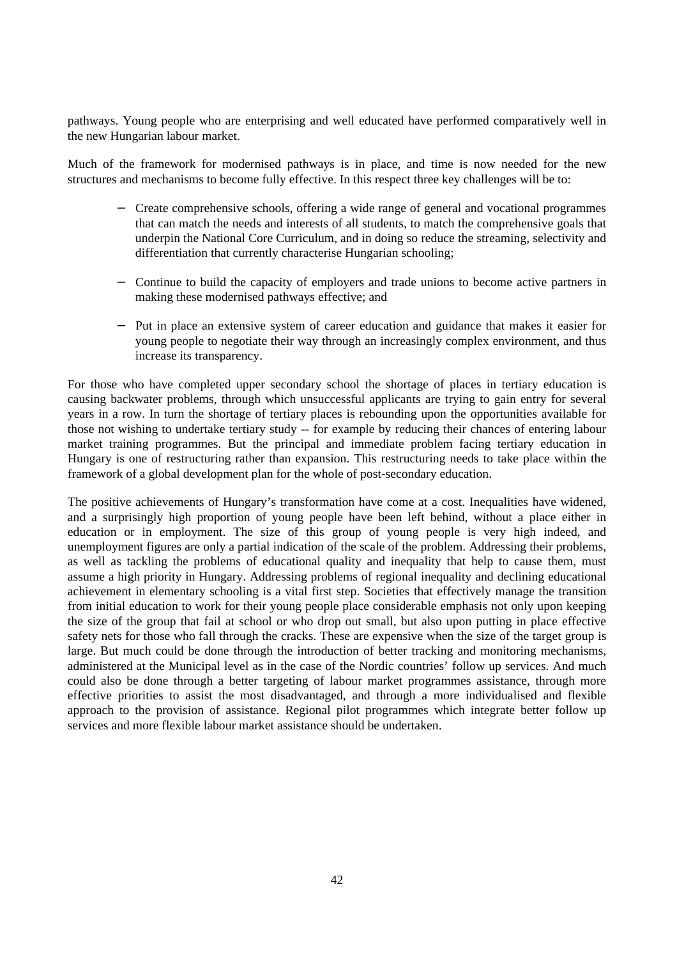pathways. Young people who are enterprising and well educated have performed comparatively well in the new Hungarian labour market.

Much of the framework for modernised pathways is in place, and time is now needed for the new structures and mechanisms to become fully effective. In this respect three key challenges will be to:

- − Create comprehensive schools, offering a wide range of general and vocational programmes that can match the needs and interests of all students, to match the comprehensive goals that underpin the National Core Curriculum, and in doing so reduce the streaming, selectivity and differentiation that currently characterise Hungarian schooling;
- − Continue to build the capacity of employers and trade unions to become active partners in making these modernised pathways effective; and
- Put in place an extensive system of career education and guidance that makes it easier for young people to negotiate their way through an increasingly complex environment, and thus increase its transparency.

For those who have completed upper secondary school the shortage of places in tertiary education is causing backwater problems, through which unsuccessful applicants are trying to gain entry for several years in a row. In turn the shortage of tertiary places is rebounding upon the opportunities available for those not wishing to undertake tertiary study -- for example by reducing their chances of entering labour market training programmes. But the principal and immediate problem facing tertiary education in Hungary is one of restructuring rather than expansion. This restructuring needs to take place within the framework of a global development plan for the whole of post-secondary education.

The positive achievements of Hungary's transformation have come at a cost. Inequalities have widened, and a surprisingly high proportion of young people have been left behind, without a place either in education or in employment. The size of this group of young people is very high indeed, and unemployment figures are only a partial indication of the scale of the problem. Addressing their problems, as well as tackling the problems of educational quality and inequality that help to cause them, must assume a high priority in Hungary. Addressing problems of regional inequality and declining educational achievement in elementary schooling is a vital first step. Societies that effectively manage the transition from initial education to work for their young people place considerable emphasis not only upon keeping the size of the group that fail at school or who drop out small, but also upon putting in place effective safety nets for those who fall through the cracks. These are expensive when the size of the target group is large. But much could be done through the introduction of better tracking and monitoring mechanisms, administered at the Municipal level as in the case of the Nordic countries' follow up services. And much could also be done through a better targeting of labour market programmes assistance, through more effective priorities to assist the most disadvantaged, and through a more individualised and flexible approach to the provision of assistance. Regional pilot programmes which integrate better follow up services and more flexible labour market assistance should be undertaken.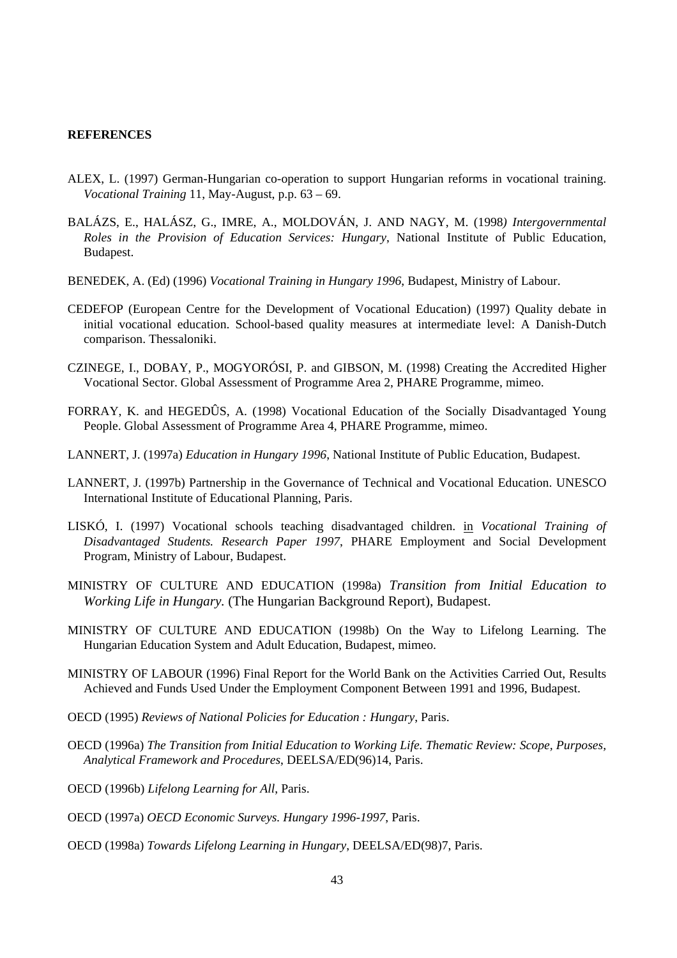## **REFERENCES**

- ALEX, L. (1997) German-Hungarian co-operation to support Hungarian reforms in vocational training. *Vocational Training* 11, May-August, p.p. 63 – 69.
- BALÁZS, E., HALÁSZ, G., IMRE, A., MOLDOVÁN, J. AND NAGY, M. (1998*) Intergovernmental Roles in the Provision of Education Services: Hungary*, National Institute of Public Education, Budapest.
- BENEDEK, A. (Ed) (1996) *Vocational Training in Hungary 1996*, Budapest, Ministry of Labour.
- CEDEFOP (European Centre for the Development of Vocational Education) (1997) Quality debate in initial vocational education. School-based quality measures at intermediate level: A Danish-Dutch comparison. Thessaloniki.
- CZINEGE, I., DOBAY, P., MOGYORÓSI, P. and GIBSON, M. (1998) Creating the Accredited Higher Vocational Sector. Global Assessment of Programme Area 2, PHARE Programme, mimeo.
- FORRAY, K. and HEGEDÛS, A. (1998) Vocational Education of the Socially Disadvantaged Young People. Global Assessment of Programme Area 4, PHARE Programme, mimeo.
- LANNERT, J. (1997a) *Education in Hungary 1996*, National Institute of Public Education, Budapest.
- LANNERT, J. (1997b) Partnership in the Governance of Technical and Vocational Education. UNESCO International Institute of Educational Planning, Paris.
- LISKÓ, I. (1997) Vocational schools teaching disadvantaged children. in *Vocational Training of Disadvantaged Students. Research Paper 1997*, PHARE Employment and Social Development Program, Ministry of Labour, Budapest.
- MINISTRY OF CULTURE AND EDUCATION (1998a) *Transition from Initial Education to Working Life in Hungary.* (The Hungarian Background Report), Budapest.
- MINISTRY OF CULTURE AND EDUCATION (1998b) On the Way to Lifelong Learning. The Hungarian Education System and Adult Education, Budapest, mimeo.
- MINISTRY OF LABOUR (1996) Final Report for the World Bank on the Activities Carried Out, Results Achieved and Funds Used Under the Employment Component Between 1991 and 1996, Budapest.
- OECD (1995) *Reviews of National Policies for Education : Hungary*, Paris.
- OECD (1996a) *The Transition from Initial Education to Working Life. Thematic Review: Scope, Purposes, Analytical Framework and Procedures*, DEELSA/ED(96)14, Paris.
- OECD (1996b) *Lifelong Learning for All*, Paris.
- OECD (1997a) *OECD Economic Surveys. Hungary 1996-1997*, Paris.
- OECD (1998a) *Towards Lifelong Learning in Hungary*, DEELSA/ED(98)7, Paris.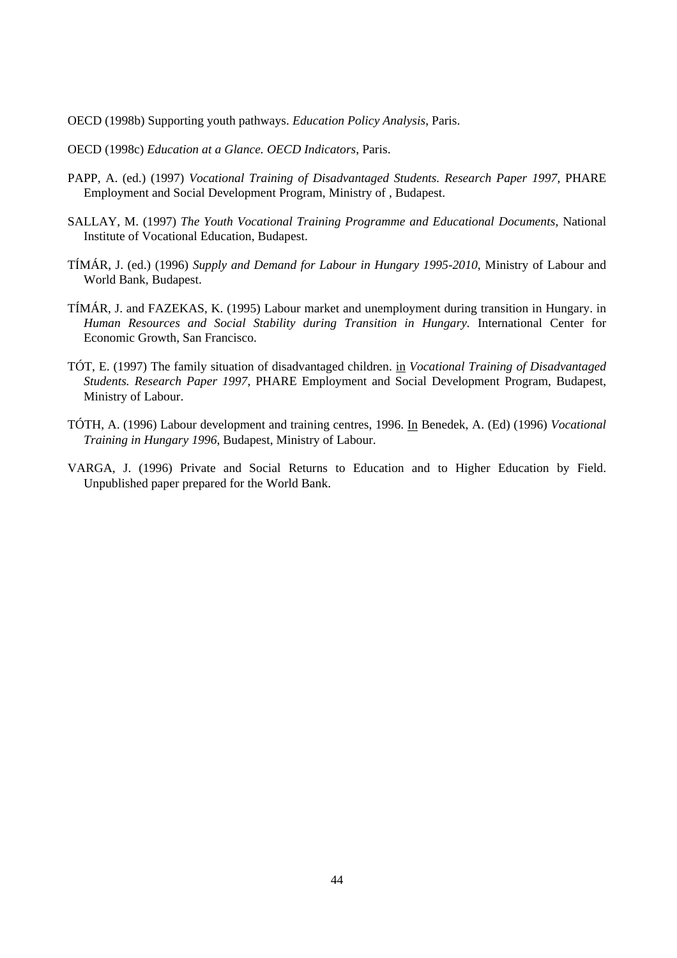OECD (1998b) Supporting youth pathways. *Education Policy Analysis*, Paris.

OECD (1998c) *Education at a Glance. OECD Indicators*, Paris.

- PAPP, A. (ed.) (1997) *Vocational Training of Disadvantaged Students. Research Paper 1997*, PHARE Employment and Social Development Program, Ministry of , Budapest.
- SALLAY, M. (1997) *The Youth Vocational Training Programme and Educational Documents*, National Institute of Vocational Education, Budapest.
- TÍMÁR, J. (ed.) (1996) *Supply and Demand for Labour in Hungary 1995-2010*, Ministry of Labour and World Bank, Budapest.
- TÍMÁR, J. and FAZEKAS, K. (1995) Labour market and unemployment during transition in Hungary. in *Human Resources and Social Stability during Transition in Hungary.* International Center for Economic Growth, San Francisco.
- TÓT, E. (1997) The family situation of disadvantaged children. in *Vocational Training of Disadvantaged Students. Research Paper 1997*, PHARE Employment and Social Development Program, Budapest, Ministry of Labour.
- TÓTH, A. (1996) Labour development and training centres, 1996. In Benedek, A. (Ed) (1996) *Vocational Training in Hungary 1996*, Budapest, Ministry of Labour.
- VARGA, J. (1996) Private and Social Returns to Education and to Higher Education by Field. Unpublished paper prepared for the World Bank.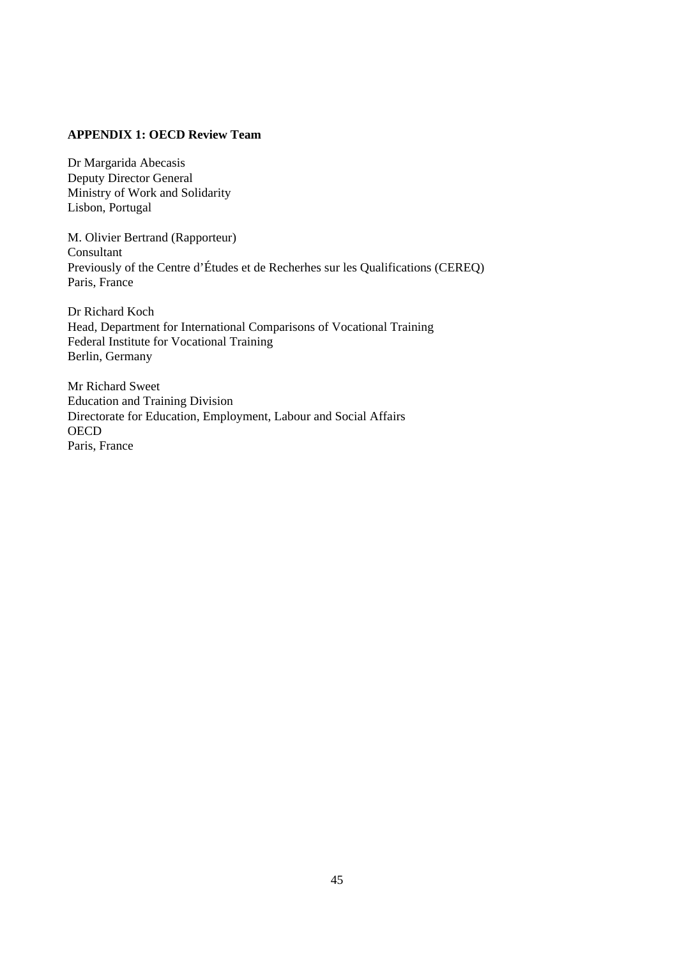# **APPENDIX 1: OECD Review Team**

Dr Margarida Abecasis Deputy Director General Ministry of Work and Solidarity Lisbon, Portugal

M. Olivier Bertrand (Rapporteur) Consultant Previously of the Centre d'Études et de Recherhes sur les Qualifications (CEREQ) Paris, France

Dr Richard Koch Head, Department for International Comparisons of Vocational Training Federal Institute for Vocational Training Berlin, Germany

Mr Richard Sweet Education and Training Division Directorate for Education, Employment, Labour and Social Affairs **OECD** Paris, France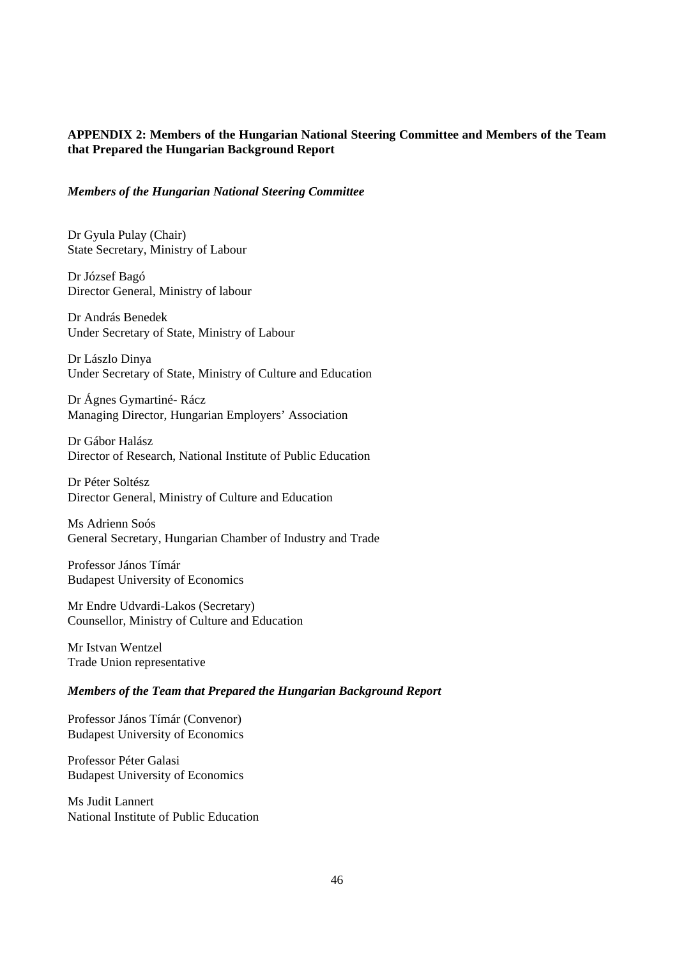# **APPENDIX 2: Members of the Hungarian National Steering Committee and Members of the Team that Prepared the Hungarian Background Report**

## *Members of the Hungarian National Steering Committee*

Dr Gyula Pulay (Chair) State Secretary, Ministry of Labour

Dr József Bagó Director General, Ministry of labour

Dr András Benedek Under Secretary of State, Ministry of Labour

Dr Lászlo Dinya Under Secretary of State, Ministry of Culture and Education

Dr Ágnes Gymartiné- Rácz Managing Director, Hungarian Employers' Association

Dr Gábor Halász Director of Research, National Institute of Public Education

Dr Péter Soltész Director General, Ministry of Culture and Education

Ms Adrienn Soós General Secretary, Hungarian Chamber of Industry and Trade

Professor János Tímár Budapest University of Economics

Mr Endre Udvardi-Lakos (Secretary) Counsellor, Ministry of Culture and Education

Mr Istvan Wentzel Trade Union representative

# *Members of the Team that Prepared the Hungarian Background Report*

Professor János Tímár (Convenor) Budapest University of Economics

Professor Péter Galasi Budapest University of Economics

Ms Judit Lannert National Institute of Public Education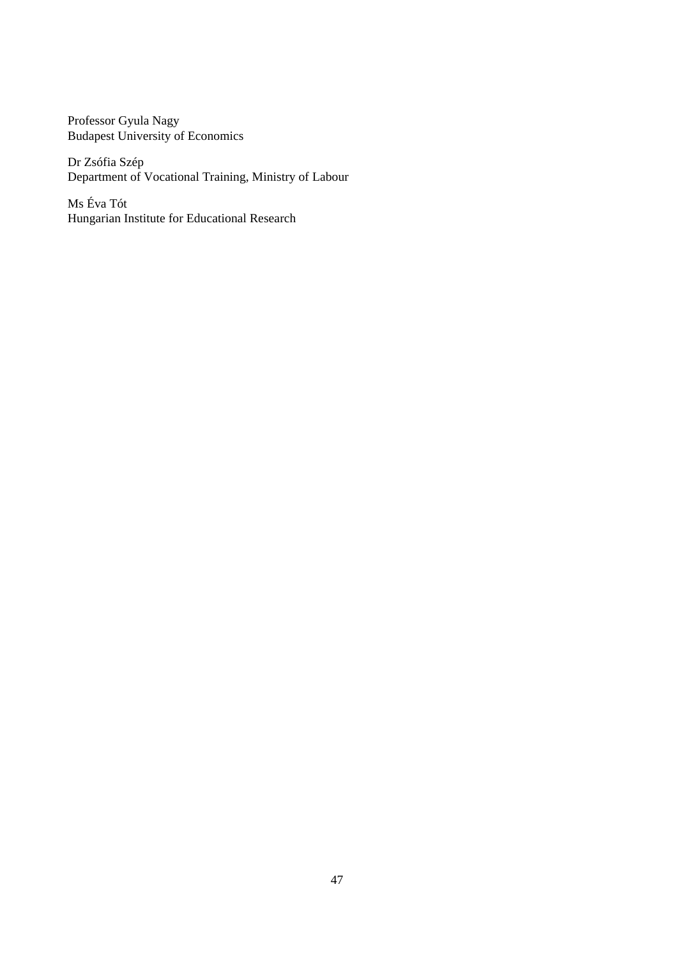Professor Gyula Nagy Budapest University of Economics

Dr Zsófia Szép Department of Vocational Training, Ministry of Labour

Ms Éva Tót Hungarian Institute for Educational Research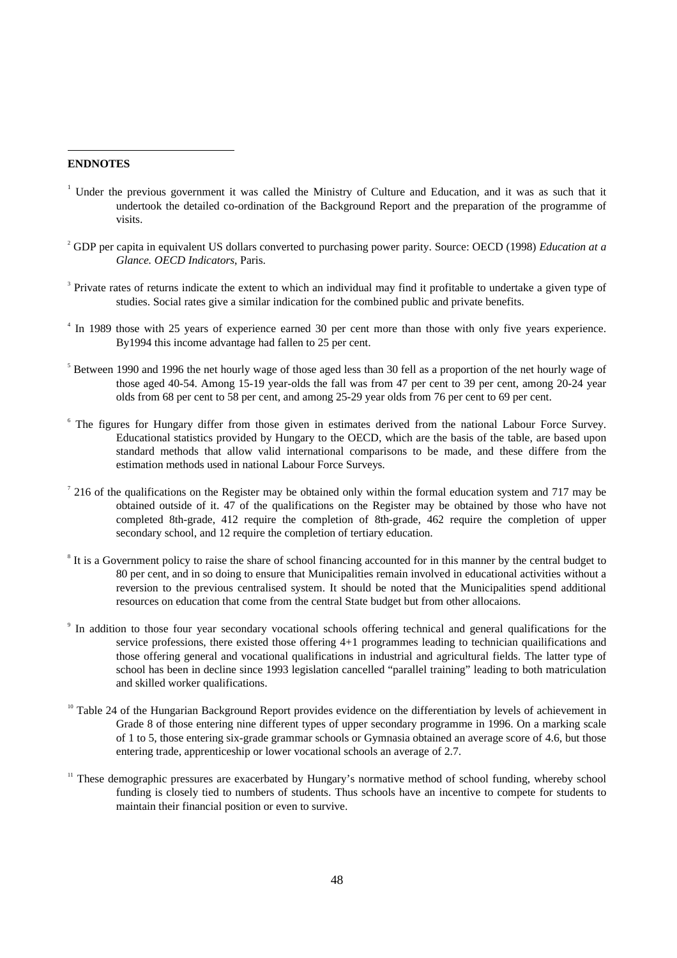#### **ENDNOTES**

- <sup>1</sup> Under the previous government it was called the Ministry of Culture and Education, and it was as such that it undertook the detailed co-ordination of the Background Report and the preparation of the programme of visits.
- 2 GDP per capita in equivalent US dollars converted to purchasing power parity. Source: OECD (1998) *Education at a Glance. OECD Indicators*, Paris.
- <sup>3</sup> Private rates of returns indicate the extent to which an individual may find it profitable to undertake a given type of studies. Social rates give a similar indication for the combined public and private benefits.
- <sup>4</sup> In 1989 those with 25 years of experience earned 30 per cent more than those with only five years experience. By1994 this income advantage had fallen to 25 per cent.
- <sup>5</sup> Between 1990 and 1996 the net hourly wage of those aged less than 30 fell as a proportion of the net hourly wage of those aged 40-54. Among 15-19 year-olds the fall was from 47 per cent to 39 per cent, among 20-24 year olds from 68 per cent to 58 per cent, and among 25-29 year olds from 76 per cent to 69 per cent.
- <sup>6</sup> The figures for Hungary differ from those given in estimates derived from the national Labour Force Survey. Educational statistics provided by Hungary to the OECD, which are the basis of the table, are based upon standard methods that allow valid international comparisons to be made, and these differe from the estimation methods used in national Labour Force Surveys.
- $7216$  of the qualifications on the Register may be obtained only within the formal education system and 717 may be obtained outside of it. 47 of the qualifications on the Register may be obtained by those who have not completed 8th-grade, 412 require the completion of 8th-grade, 462 require the completion of upper secondary school, and 12 require the completion of tertiary education.
- <sup>8</sup> It is a Government policy to raise the share of school financing accounted for in this manner by the central budget to 80 per cent, and in so doing to ensure that Municipalities remain involved in educational activities without a reversion to the previous centralised system. It should be noted that the Municipalities spend additional resources on education that come from the central State budget but from other allocaions.
- <sup>9</sup> In addition to those four year secondary vocational schools offering technical and general qualifications for the service professions, there existed those offering 4+1 programmes leading to technician quailifications and those offering general and vocational qualifications in industrial and agricultural fields. The latter type of school has been in decline since 1993 legislation cancelled "parallel training" leading to both matriculation and skilled worker qualifications.
- <sup>10</sup> Table 24 of the Hungarian Background Report provides evidence on the differentiation by levels of achievement in Grade 8 of those entering nine different types of upper secondary programme in 1996. On a marking scale of 1 to 5, those entering six-grade grammar schools or Gymnasia obtained an average score of 4.6, but those entering trade, apprenticeship or lower vocational schools an average of 2.7.
- <sup>11</sup> These demographic pressures are exacerbated by Hungary's normative method of school funding, whereby school funding is closely tied to numbers of students. Thus schools have an incentive to compete for students to maintain their financial position or even to survive.